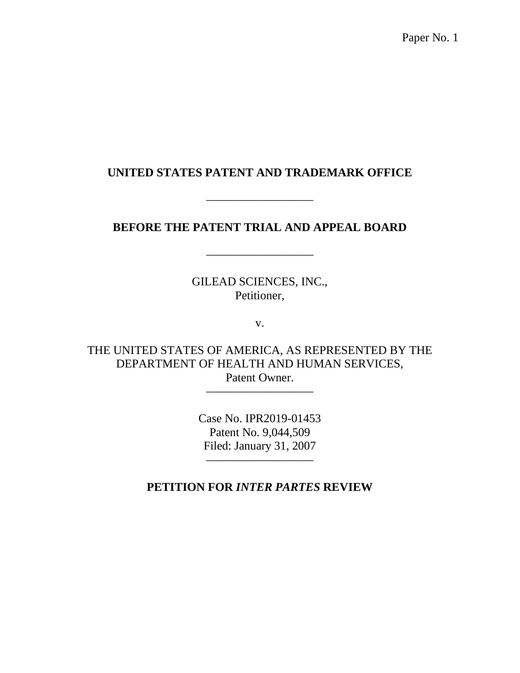Paper No. 1

## **UNITED STATES PATENT AND TRADEMARK OFFICE**

## **BEFORE THE PATENT TRIAL AND APPEAL BOARD**

––––––––––––––––––

––––––––––––––––––

GILEAD SCIENCES, INC., Petitioner,

v.

THE UNITED STATES OF AMERICA, AS REPRESENTED BY THE DEPARTMENT OF HEALTH AND HUMAN SERVICES, Patent Owner.

––––––––––––––––––

Case No. IPR2019-01453 Patent No. 9,044,509 Filed: January 31, 2007

––––––––––––––––––

**PETITION FOR** *INTER PARTES* **REVIEW**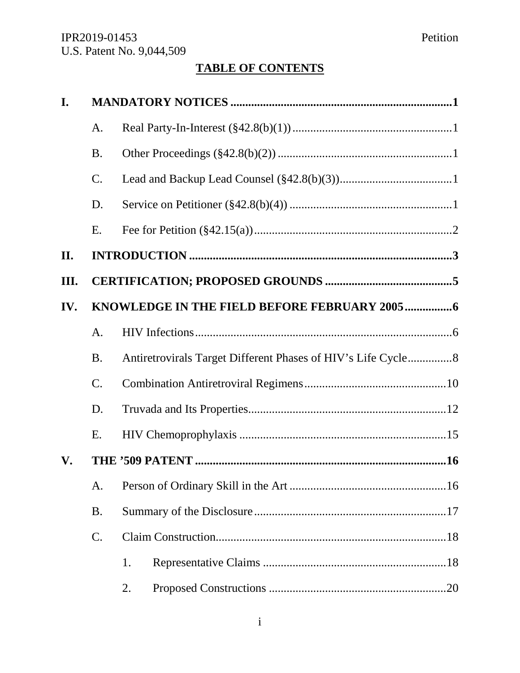# **TABLE OF CONTENTS**

| I.              |                 |                                                               |  |  |  |  |
|-----------------|-----------------|---------------------------------------------------------------|--|--|--|--|
|                 | A.              |                                                               |  |  |  |  |
|                 | <b>B.</b>       |                                                               |  |  |  |  |
|                 | C.              |                                                               |  |  |  |  |
|                 | D.              |                                                               |  |  |  |  |
|                 | E.              |                                                               |  |  |  |  |
| II.             |                 |                                                               |  |  |  |  |
| Ш.              |                 |                                                               |  |  |  |  |
| IV.             |                 |                                                               |  |  |  |  |
|                 | A.              |                                                               |  |  |  |  |
|                 | <b>B.</b>       | Antiretrovirals Target Different Phases of HIV's Life Cycle 8 |  |  |  |  |
| $\mathcal{C}$ . |                 |                                                               |  |  |  |  |
|                 | D.              |                                                               |  |  |  |  |
|                 | E.              |                                                               |  |  |  |  |
| V.              |                 |                                                               |  |  |  |  |
|                 | A.              |                                                               |  |  |  |  |
|                 | <b>B.</b>       |                                                               |  |  |  |  |
|                 | $\mathcal{C}$ . |                                                               |  |  |  |  |
|                 |                 | 1.                                                            |  |  |  |  |
|                 |                 | 2.                                                            |  |  |  |  |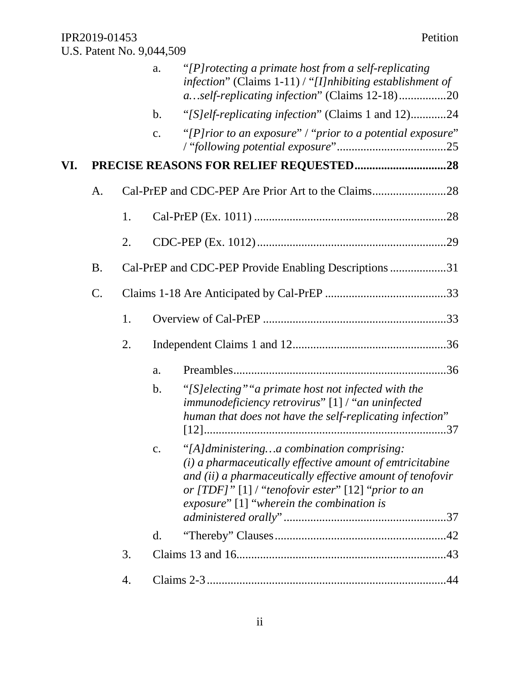|                 |    | a.             | "[P] rotecting a primate host from a self-replicating"                                                                                             |                                                                                                                                                                                                                                                                                                                                                                                                                                                                                   |
|-----------------|----|----------------|----------------------------------------------------------------------------------------------------------------------------------------------------|-----------------------------------------------------------------------------------------------------------------------------------------------------------------------------------------------------------------------------------------------------------------------------------------------------------------------------------------------------------------------------------------------------------------------------------------------------------------------------------|
|                 |    | $\mathbf b$ .  |                                                                                                                                                    |                                                                                                                                                                                                                                                                                                                                                                                                                                                                                   |
|                 |    | $\mathbf{c}$ . |                                                                                                                                                    |                                                                                                                                                                                                                                                                                                                                                                                                                                                                                   |
|                 |    |                |                                                                                                                                                    |                                                                                                                                                                                                                                                                                                                                                                                                                                                                                   |
| A.              |    |                |                                                                                                                                                    |                                                                                                                                                                                                                                                                                                                                                                                                                                                                                   |
|                 | 1. |                |                                                                                                                                                    |                                                                                                                                                                                                                                                                                                                                                                                                                                                                                   |
|                 | 2. |                |                                                                                                                                                    |                                                                                                                                                                                                                                                                                                                                                                                                                                                                                   |
| <b>B.</b>       |    |                |                                                                                                                                                    |                                                                                                                                                                                                                                                                                                                                                                                                                                                                                   |
| $\mathcal{C}$ . |    |                |                                                                                                                                                    |                                                                                                                                                                                                                                                                                                                                                                                                                                                                                   |
|                 | 1. |                |                                                                                                                                                    |                                                                                                                                                                                                                                                                                                                                                                                                                                                                                   |
|                 | 2. |                |                                                                                                                                                    |                                                                                                                                                                                                                                                                                                                                                                                                                                                                                   |
|                 |    | a.             |                                                                                                                                                    |                                                                                                                                                                                                                                                                                                                                                                                                                                                                                   |
|                 |    | $\mathbf b$ .  | "[S] electing" "a primate host not infected with the<br>immunodeficiency retrovirus" [1] / "an uninfected                                          |                                                                                                                                                                                                                                                                                                                                                                                                                                                                                   |
|                 |    | c.             | "[A]dministeringa combination comprising:<br>or $[TDF]$ " [1] / "tenofovir ester" [12] "prior to an<br>exposure" $[1]$ "wherein the combination is |                                                                                                                                                                                                                                                                                                                                                                                                                                                                                   |
|                 |    | d.             |                                                                                                                                                    |                                                                                                                                                                                                                                                                                                                                                                                                                                                                                   |
|                 | 3. |                |                                                                                                                                                    |                                                                                                                                                                                                                                                                                                                                                                                                                                                                                   |
|                 | 4. |                |                                                                                                                                                    | .44                                                                                                                                                                                                                                                                                                                                                                                                                                                                               |
|                 |    |                |                                                                                                                                                    | infection" (Claims $1-11$ ) / "[I]nhibiting establishment of<br>aself-replicating infection" (Claims 12-18)20<br>"[S]elf-replicating infection" (Claims 1 and 12)24<br>"[P]rior to an exposure" / "prior to a potential exposure"<br>Cal-PrEP and CDC-PEP Provide Enabling Descriptions 31<br>human that does not have the self-replicating infection"<br>$(i)$ a pharmaceutically effective amount of emtricitabine<br>and (ii) a pharmaceutically effective amount of tenofovir |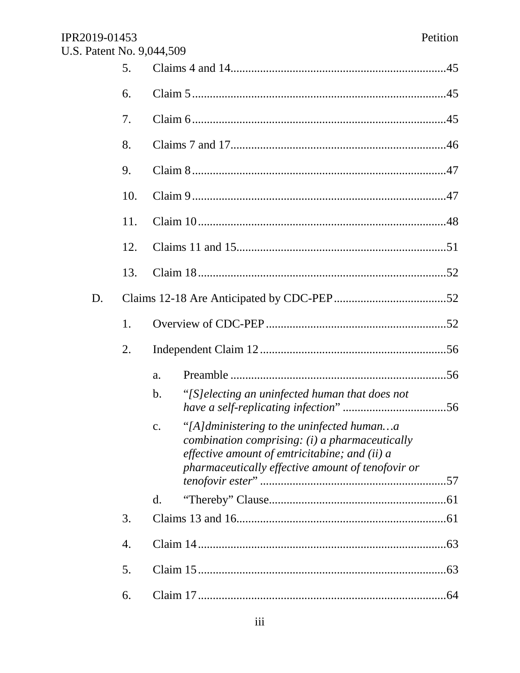| IPR2019-01453<br>U.S. Patent No. 9,044,509 |     |                                                                                                                                                                                                             | Petition |
|--------------------------------------------|-----|-------------------------------------------------------------------------------------------------------------------------------------------------------------------------------------------------------------|----------|
|                                            | 5.  |                                                                                                                                                                                                             |          |
|                                            | 6.  |                                                                                                                                                                                                             |          |
|                                            | 7.  |                                                                                                                                                                                                             |          |
|                                            | 8.  |                                                                                                                                                                                                             |          |
|                                            | 9.  |                                                                                                                                                                                                             |          |
|                                            | 10. |                                                                                                                                                                                                             |          |
|                                            | 11. |                                                                                                                                                                                                             |          |
|                                            | 12. |                                                                                                                                                                                                             |          |
|                                            | 13. |                                                                                                                                                                                                             |          |
| D.                                         |     |                                                                                                                                                                                                             |          |
|                                            | 1.  |                                                                                                                                                                                                             |          |
|                                            | 2.  |                                                                                                                                                                                                             |          |
|                                            |     | a.                                                                                                                                                                                                          |          |
|                                            |     | "[S] electing an uninfected human that does not<br>b.                                                                                                                                                       |          |
|                                            |     | "[A]dministering to the uninfected humana<br>c.<br>combination comprising: $(i)$ a pharmaceutically<br>effective amount of emtricitabine; and (ii) $a$<br>pharmaceutically effective amount of tenofovir or |          |
|                                            |     | $\mathbf{d}$ .                                                                                                                                                                                              |          |
|                                            | 3.  |                                                                                                                                                                                                             |          |
|                                            | 4.  |                                                                                                                                                                                                             |          |
|                                            | 5.  |                                                                                                                                                                                                             |          |
|                                            | 6.  |                                                                                                                                                                                                             | .64      |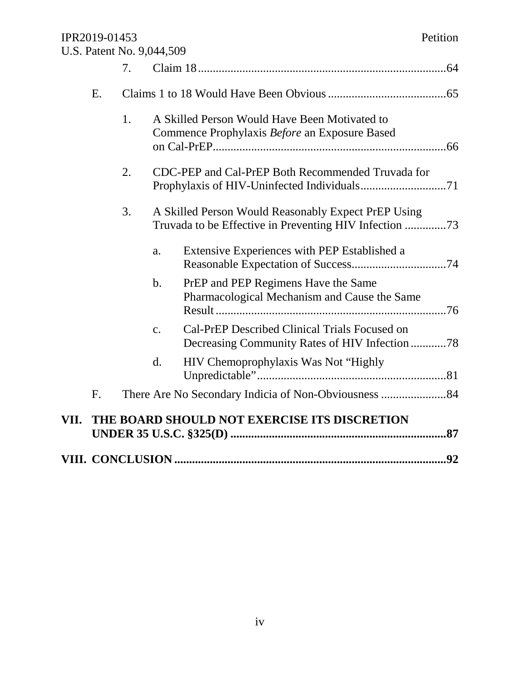|      |    | 7. |                |                                                                                                 |
|------|----|----|----------------|-------------------------------------------------------------------------------------------------|
|      | Ε. |    |                |                                                                                                 |
|      |    | 1. |                | A Skilled Person Would Have Been Motivated to<br>Commence Prophylaxis Before an Exposure Based  |
|      |    | 2. |                | CDC-PEP and Cal-PrEP Both Recommended Truvada for                                               |
|      |    | 3. |                | A Skilled Person Would Reasonably Expect PrEP Using                                             |
|      |    |    | a.             | Extensive Experiences with PEP Established a                                                    |
|      |    |    | $\mathbf b$ .  | PrEP and PEP Regimens Have the Same<br>Pharmacological Mechanism and Cause the Same             |
|      |    |    | $\mathbf{C}$ . | Cal-PrEP Described Clinical Trials Focused on<br>Decreasing Community Rates of HIV Infection 78 |
|      |    |    | d.             | HIV Chemoprophylaxis Was Not "Highly"                                                           |
|      | F. |    |                |                                                                                                 |
| VII. |    |    |                | THE BOARD SHOULD NOT EXERCISE ITS DISCRETION                                                    |
|      |    |    |                |                                                                                                 |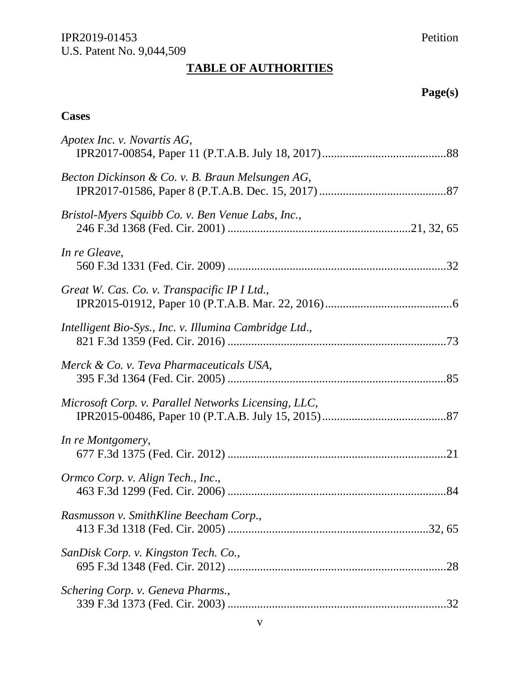# **TABLE OF AUTHORITIES**

# **Page(s)**

# **Cases**

| Apotex Inc. v. Novartis AG,                            |
|--------------------------------------------------------|
| Becton Dickinson & Co. v. B. Braun Melsungen AG,       |
| Bristol-Myers Squibb Co. v. Ben Venue Labs, Inc.,      |
| In re Gleave,                                          |
| Great W. Cas. Co. v. Transpacific IP I Ltd.,           |
| Intelligent Bio-Sys., Inc. v. Illumina Cambridge Ltd., |
| Merck & Co. v. Teva Pharmaceuticals USA,               |
| Microsoft Corp. v. Parallel Networks Licensing, LLC,   |
| In re Montgomery,                                      |
| Ormco Corp. v. Align Tech., Inc.,                      |
| Rasmusson v. SmithKline Beecham Corp.,                 |
| SanDisk Corp. v. Kingston Tech. Co.,                   |
| Schering Corp. v. Geneva Pharms.,                      |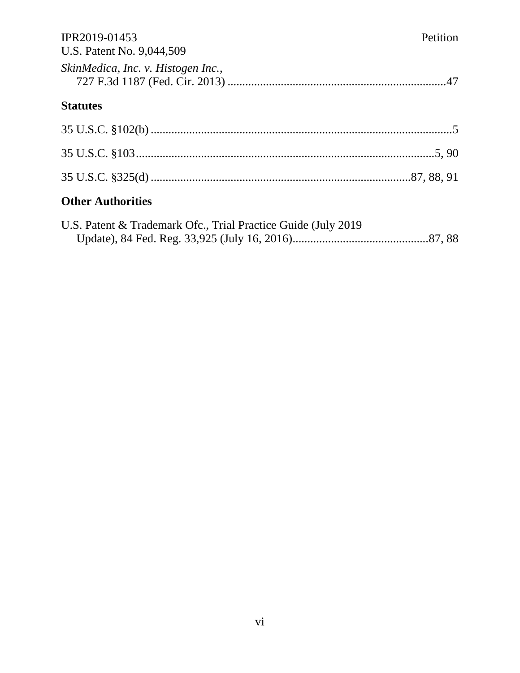| IPR2019-01453<br>U.S. Patent No. 9,044,509                     | Petition |
|----------------------------------------------------------------|----------|
| SkinMedica, Inc. v. Histogen Inc.,                             |          |
| <b>Statutes</b>                                                |          |
|                                                                |          |
|                                                                |          |
|                                                                |          |
| <b>Other Authorities</b>                                       |          |
| U.S. Patent & Trademark Ofc., Trial Practice Guide (July 2019) |          |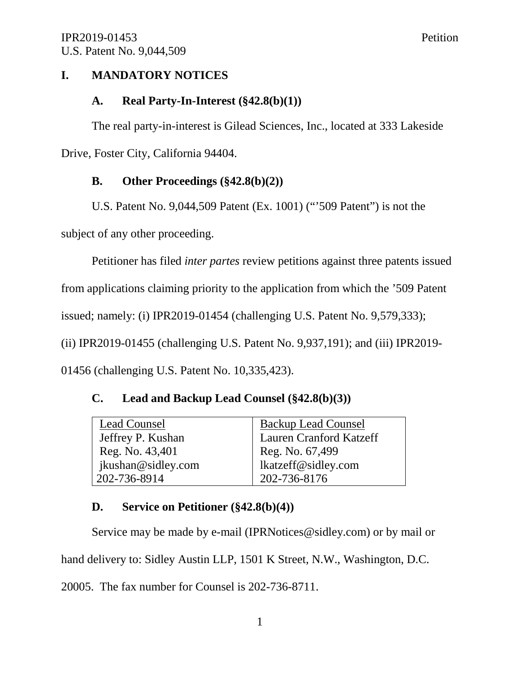## **I. MANDATORY NOTICES**

#### **A. Real Party-In-Interest (§42.8(b)(1))**

The real party-in-interest is Gilead Sciences, Inc., located at 333 Lakeside Drive, Foster City, California 94404.

## **B. Other Proceedings (§42.8(b)(2))**

U.S. Patent No. 9,044,509 Patent (Ex. 1001) ("'509 Patent") is not the

subject of any other proceeding.

Petitioner has filed *inter partes* review petitions against three patents issued

from applications claiming priority to the application from which the '509 Patent

issued; namely: (i) IPR2019-01454 (challenging U.S. Patent No. 9,579,333);

(ii) IPR2019-01455 (challenging U.S. Patent No. 9,937,191); and (iii) IPR2019-

01456 (challenging U.S. Patent No. 10,335,423).

## **C. Lead and Backup Lead Counsel (§42.8(b)(3))**

| <b>Lead Counsel</b> | <b>Backup Lead Counsel</b>     |
|---------------------|--------------------------------|
| Jeffrey P. Kushan   | <b>Lauren Cranford Katzeff</b> |
| Reg. No. 43,401     | Reg. No. 67,499                |
| jkushan@sidley.com  | lkatzeff@sidley.com            |
| 202-736-8914        | 202-736-8176                   |

## **D. Service on Petitioner (§42.8(b)(4))**

Service may be made by e-mail (IPRNotices@sidley.com) or by mail or

hand delivery to: Sidley Austin LLP, 1501 K Street, N.W., Washington, D.C.

20005. The fax number for Counsel is 202-736-8711.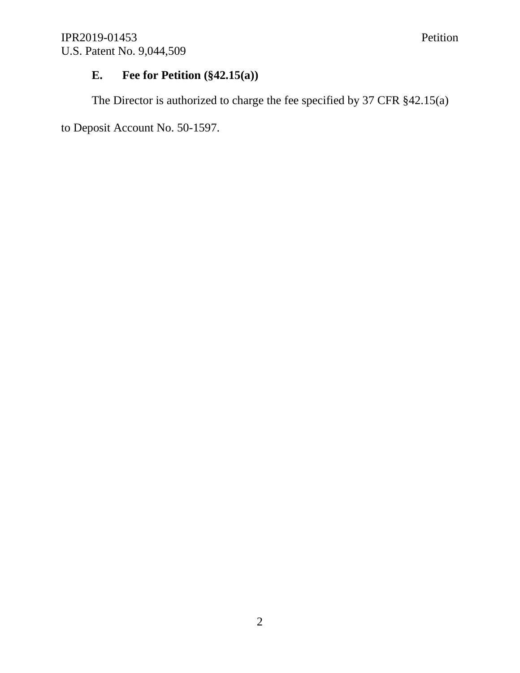## **E. Fee for Petition (§42.15(a))**

The Director is authorized to charge the fee specified by 37 CFR §42.15(a)

to Deposit Account No. 50-1597.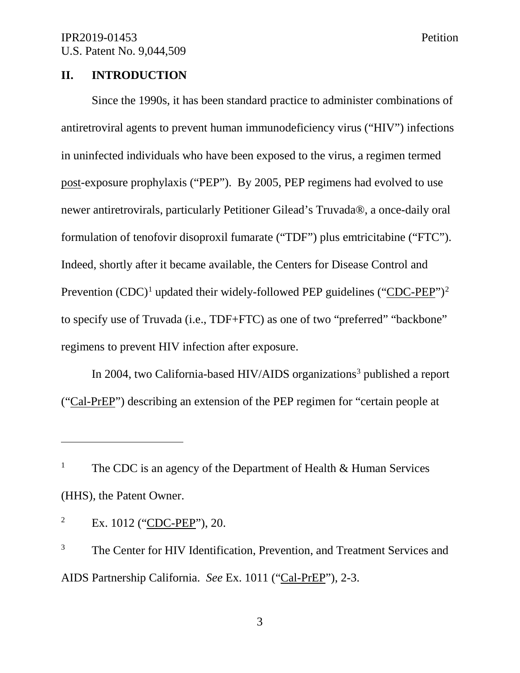#### **II. INTRODUCTION**

Since the 1990s, it has been standard practice to administer combinations of antiretroviral agents to prevent human immunodeficiency virus ("HIV") infections in uninfected individuals who have been exposed to the virus, a regimen termed post-exposure prophylaxis ("PEP"). By 2005, PEP regimens had evolved to use newer antiretrovirals, particularly Petitioner Gilead's Truvada®, a once-daily oral formulation of tenofovir disoproxil fumarate ("TDF") plus emtricitabine ("FTC"). Indeed, shortly after it became available, the Centers for Disease Control and Prevention  $(CDC)^1$  updated their widely-followed PEP guidelines ("CDC-PEP")<sup>2</sup> to specify use of Truvada (i.e., TDF+FTC) as one of two "preferred" "backbone" regimens to prevent HIV infection after exposure.

In 2004, two California-based HIV/AIDS organizations<sup>3</sup> published a report ("Cal-PrEP") describing an extension of the PEP regimen for "certain people at

<sup>&</sup>lt;sup>1</sup> The CDC is an agency of the Department of Health  $\&$  Human Services (HHS), the Patent Owner.

<sup>2</sup> Ex. 1012 ("CDC-PEP"), 20.

<sup>&</sup>lt;sup>3</sup> The Center for HIV Identification, Prevention, and Treatment Services and AIDS Partnership California. *See* Ex. 1011 ("Cal-PrEP"), 2-3.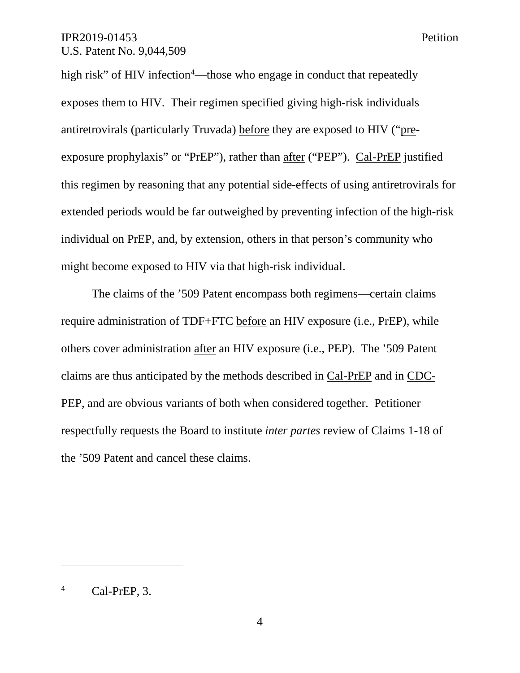high risk" of HIV infection<sup>4</sup>—those who engage in conduct that repeatedly exposes them to HIV. Their regimen specified giving high-risk individuals antiretrovirals (particularly Truvada) before they are exposed to HIV ("preexposure prophylaxis" or "PrEP"), rather than after ("PEP"). Cal-PrEP justified this regimen by reasoning that any potential side-effects of using antiretrovirals for extended periods would be far outweighed by preventing infection of the high-risk individual on PrEP, and, by extension, others in that person's community who might become exposed to HIV via that high-risk individual.

The claims of the '509 Patent encompass both regimens—certain claims require administration of TDF+FTC before an HIV exposure (i.e., PrEP), while others cover administration after an HIV exposure (i.e., PEP). The '509 Patent claims are thus anticipated by the methods described in Cal-PrEP and in CDC-PEP, and are obvious variants of both when considered together. Petitioner respectfully requests the Board to institute *inter partes* review of Claims 1-18 of the '509 Patent and cancel these claims.

<sup>4</sup> Cal-PrEP, 3.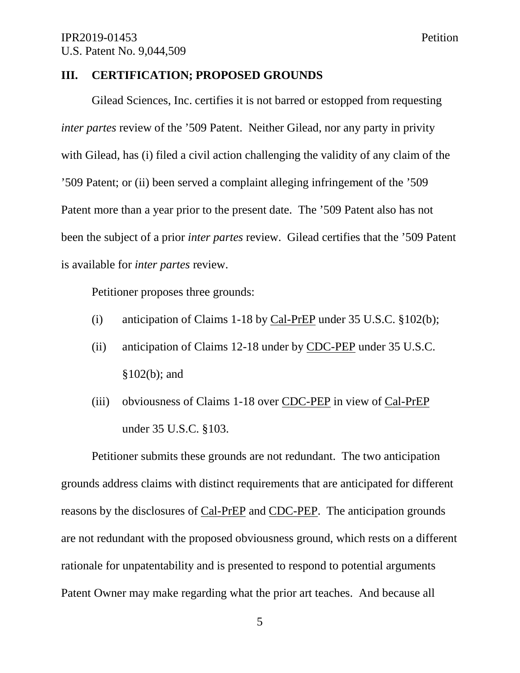#### **III. CERTIFICATION; PROPOSED GROUNDS**

Gilead Sciences, Inc. certifies it is not barred or estopped from requesting *inter partes* review of the '509 Patent. Neither Gilead, nor any party in privity with Gilead, has (i) filed a civil action challenging the validity of any claim of the '509 Patent; or (ii) been served a complaint alleging infringement of the '509 Patent more than a year prior to the present date. The '509 Patent also has not been the subject of a prior *inter partes* review. Gilead certifies that the '509 Patent is available for *inter partes* review.

Petitioner proposes three grounds:

- (i) anticipation of Claims 1-18 by Cal-PrEP under 35 U.S.C. §102(b);
- (ii) anticipation of Claims 12-18 under by CDC-PEP under 35 U.S.C. §102(b); and
- (iii) obviousness of Claims 1-18 over CDC-PEP in view of Cal-PrEP under 35 U.S.C. §103.

Petitioner submits these grounds are not redundant. The two anticipation grounds address claims with distinct requirements that are anticipated for different reasons by the disclosures of Cal-PrEP and CDC-PEP. The anticipation grounds are not redundant with the proposed obviousness ground, which rests on a different rationale for unpatentability and is presented to respond to potential arguments Patent Owner may make regarding what the prior art teaches. And because all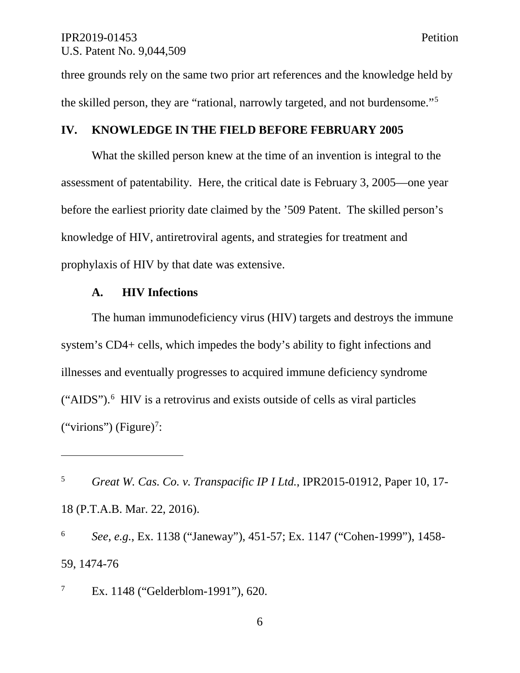three grounds rely on the same two prior art references and the knowledge held by the skilled person, they are "rational, narrowly targeted, and not burdensome."5

## **IV. KNOWLEDGE IN THE FIELD BEFORE FEBRUARY 2005**

What the skilled person knew at the time of an invention is integral to the assessment of patentability. Here, the critical date is February 3, 2005—one year before the earliest priority date claimed by the '509 Patent. The skilled person's knowledge of HIV, antiretroviral agents, and strategies for treatment and prophylaxis of HIV by that date was extensive.

#### **A. HIV Infections**

 $\overline{a}$ 

The human immunodeficiency virus (HIV) targets and destroys the immune system's CD4+ cells, which impedes the body's ability to fight infections and illnesses and eventually progresses to acquired immune deficiency syndrome ("AIDS").<sup>6</sup> HIV is a retrovirus and exists outside of cells as viral particles ("virions") (Figure)<sup>7</sup>:

<sup>6</sup> *See*, *e.g.*, Ex. 1138 ("Janeway"), 451-57; Ex. 1147 ("Cohen-1999"), 1458- 59, 1474-76

<sup>7</sup> Ex. 1148 ("Gelderblom-1991"), 620.

6

<sup>5</sup> *Great W. Cas. Co. v. Transpacific IP I Ltd.*, IPR2015-01912, Paper 10, 17- 18 (P.T.A.B. Mar. 22, 2016).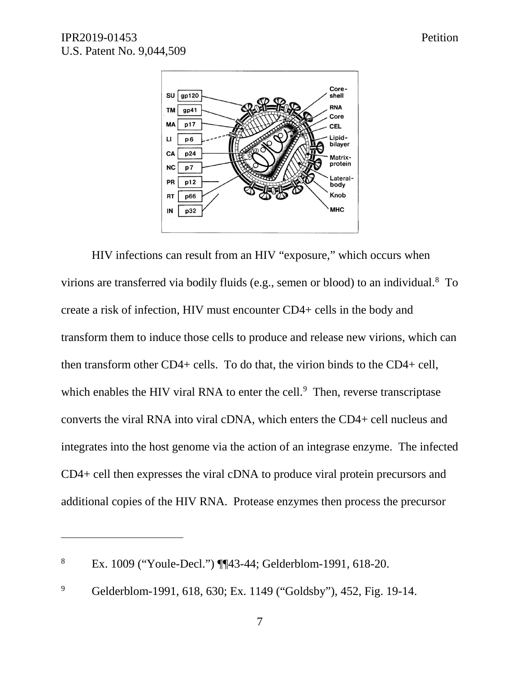$\overline{a}$ 



HIV infections can result from an HIV "exposure," which occurs when virions are transferred via bodily fluids (e.g., semen or blood) to an individual.<sup>8</sup> To create a risk of infection, HIV must encounter CD4+ cells in the body and transform them to induce those cells to produce and release new virions, which can then transform other CD4+ cells. To do that, the virion binds to the CD4+ cell, which enables the HIV viral RNA to enter the cell.<sup>9</sup> Then, reverse transcriptase converts the viral RNA into viral cDNA, which enters the CD4+ cell nucleus and integrates into the host genome via the action of an integrase enzyme. The infected CD4+ cell then expresses the viral cDNA to produce viral protein precursors and additional copies of the HIV RNA. Protease enzymes then process the precursor

<sup>8</sup> Ex. 1009 ("Youle-Decl.") ¶¶43-44; Gelderblom-1991, 618-20.

<sup>&</sup>lt;sup>9</sup> Gelderblom-1991, 618, 630; Ex. 1149 ("Goldsby"), 452, Fig. 19-14.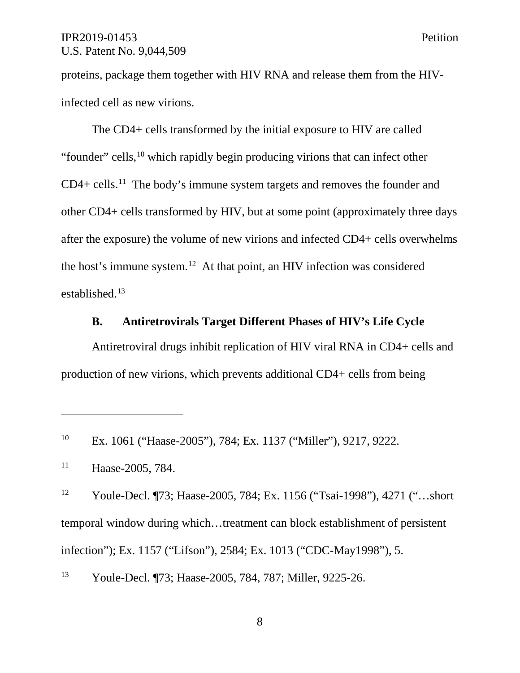proteins, package them together with HIV RNA and release them from the HIVinfected cell as new virions.

The CD4+ cells transformed by the initial exposure to HIV are called "founder" cells,<sup>10</sup> which rapidly begin producing virions that can infect other  $CD4 + cells.<sup>11</sup>$  The body's immune system targets and removes the founder and other CD4+ cells transformed by HIV, but at some point (approximately three days after the exposure) the volume of new virions and infected CD4+ cells overwhelms the host's immune system. <sup>12</sup> At that point, an HIV infection was considered established.13

#### **B. Antiretrovirals Target Different Phases of HIV's Life Cycle**

Antiretroviral drugs inhibit replication of HIV viral RNA in CD4+ cells and production of new virions, which prevents additional CD4+ cells from being

<sup>10</sup> Ex. 1061 ("Haase-2005"), 784; Ex. 1137 ("Miller"), 9217, 9222.

<sup>11</sup> Haase-2005, 784.

 $\overline{a}$ 

<sup>12</sup> Youle-Decl. ¶73; Haase-2005, 784; Ex. 1156 ("Tsai-1998"), 4271 ("…short temporal window during which…treatment can block establishment of persistent infection"); Ex. 1157 ("Lifson"), 2584; Ex. 1013 ("CDC-May1998"), 5.

<sup>13</sup> Youle-Decl. ¶73; Haase-2005, 784, 787; Miller, 9225-26.

8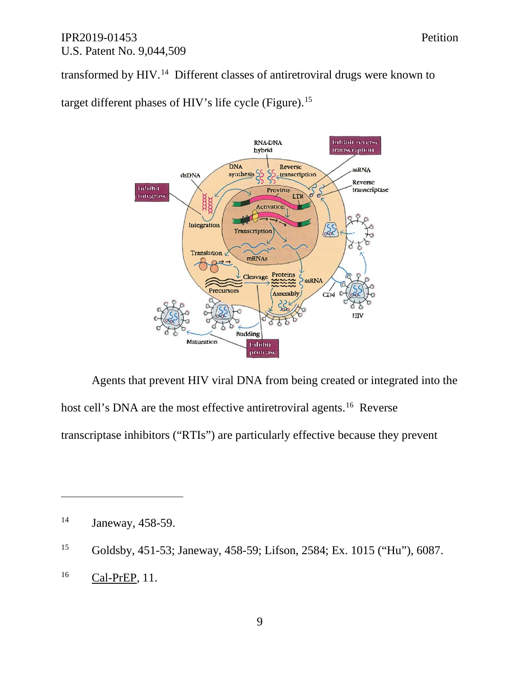transformed by HIV.<sup>14</sup> Different classes of antiretroviral drugs were known to

target different phases of HIV's life cycle (Figure).<sup>15</sup>



Agents that prevent HIV viral DNA from being created or integrated into the host cell's DNA are the most effective antiretroviral agents.<sup>16</sup> Reverse transcriptase inhibitors ("RTIs") are particularly effective because they prevent

 $\overline{a}$ 

<sup>16</sup> Cal-PrEP, 11.

<sup>14</sup> Janeway, 458-59.

<sup>15</sup> Goldsby, 451-53; Janeway, 458-59; Lifson, 2584; Ex. 1015 ("Hu"), 6087.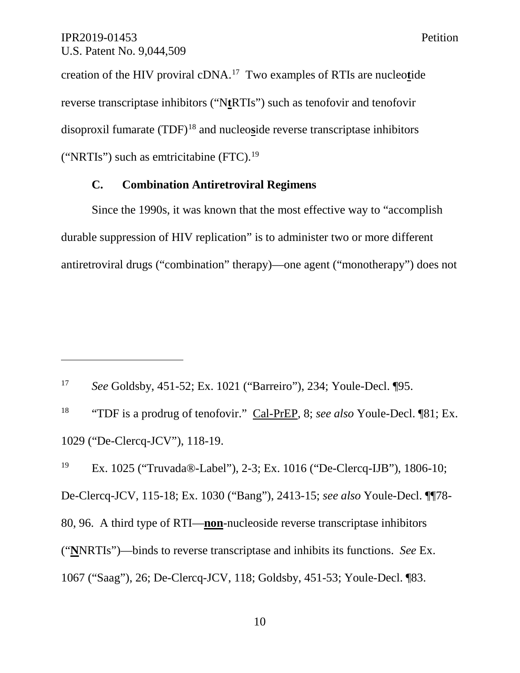$\overline{a}$ 

creation of the HIV proviral cDNA.17 Two examples of RTIs are nucleo**t**ide reverse transcriptase inhibitors ("N**t**RTIs") such as tenofovir and tenofovir disoproxil fumarate (TDF)<sup>18</sup> and nucleoside reverse transcriptase inhibitors ("NRTIs") such as emtricitabine  $(FTC)^{19}$ 

## **C. Combination Antiretroviral Regimens**

Since the 1990s, it was known that the most effective way to "accomplish durable suppression of HIV replication" is to administer two or more different antiretroviral drugs ("combination" therapy)—one agent ("monotherapy") does not

<sup>17</sup> *See* Goldsby, 451-52; Ex. 1021 ("Barreiro"), 234; Youle-Decl. ¶95.

<sup>18</sup> "TDF is a prodrug of tenofovir." Cal-PrEP, 8; *see also* Youle-Decl. ¶81; Ex. 1029 ("De-Clercq-JCV"), 118-19.

<sup>19</sup> Ex. 1025 ("Truvada®-Label"), 2-3; Ex. 1016 ("De-Clercq-IJB"), 1806-10; De-Clercq-JCV, 115-18; Ex. 1030 ("Bang"), 2413-15; *see also* Youle-Decl. ¶¶78- 80, 96. A third type of RTI—**non**-nucleoside reverse transcriptase inhibitors ("**N**NRTIs")—binds to reverse transcriptase and inhibits its functions. *See* Ex. 1067 ("Saag"), 26; De-Clercq-JCV, 118; Goldsby, 451-53; Youle-Decl. ¶83.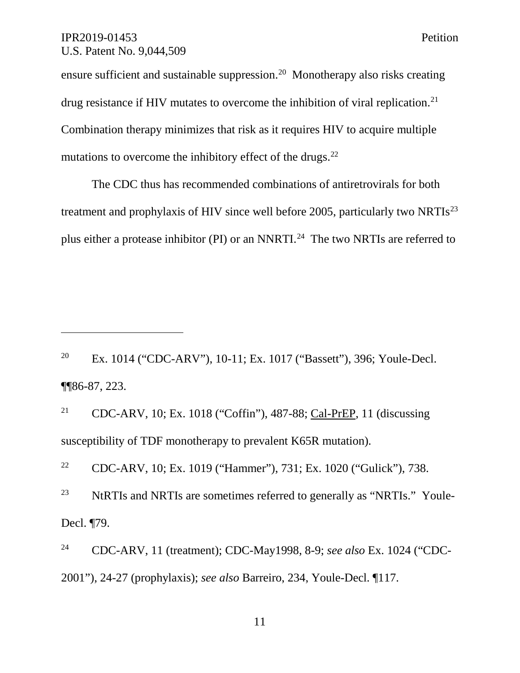$\overline{a}$ 

ensure sufficient and sustainable suppression.20 Monotherapy also risks creating drug resistance if HIV mutates to overcome the inhibition of viral replication.<sup>21</sup> Combination therapy minimizes that risk as it requires HIV to acquire multiple mutations to overcome the inhibitory effect of the drugs.<sup>22</sup>

The CDC thus has recommended combinations of antiretrovirals for both treatment and prophylaxis of HIV since well before 2005, particularly two NRTIs<sup>23</sup> plus either a protease inhibitor (PI) or an NNRTI.<sup>24</sup> The two NRTIs are referred to

<sup>20</sup> Ex. 1014 ("CDC-ARV"), 10-11; Ex. 1017 ("Bassett"), 396; Youle-Decl. ¶¶86-87, 223.

<sup>21</sup> CDC-ARV, 10; Ex. 1018 ("Coffin"), 487-88; Cal-PrEP, 11 (discussing susceptibility of TDF monotherapy to prevalent K65R mutation).

<sup>22</sup> CDC-ARV, 10; Ex. 1019 ("Hammer"), 731; Ex. 1020 ("Gulick"), 738. <sup>23</sup> NtRTIs and NRTIs are sometimes referred to generally as "NRTIs." Youle-Decl. ¶79.

<sup>24</sup> CDC-ARV, 11 (treatment); CDC-May1998, 8-9; *see also* Ex. 1024 ("CDC-2001"), 24-27 (prophylaxis); *see also* Barreiro, 234, Youle-Decl. ¶117.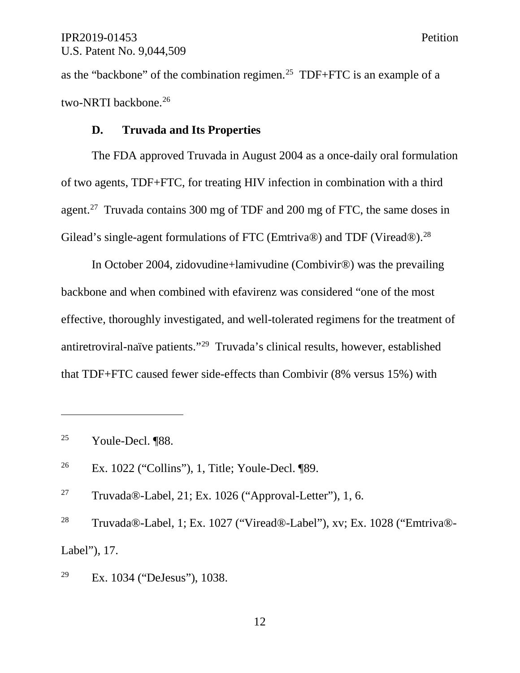as the "backbone" of the combination regimen.<sup>25</sup> TDF+FTC is an example of a two-NRTI backbone.<sup>26</sup>

## **D. Truvada and Its Properties**

The FDA approved Truvada in August 2004 as a once-daily oral formulation of two agents, TDF+FTC, for treating HIV infection in combination with a third agent.<sup>27</sup> Truvada contains 300 mg of TDF and 200 mg of FTC, the same doses in Gilead's single-agent formulations of FTC (Emtriva®) and TDF (Viread®).<sup>28</sup>

In October 2004, zidovudine+lamivudine (Combivir®) was the prevailing backbone and when combined with efavirenz was considered "one of the most effective, thoroughly investigated, and well-tolerated regimens for the treatment of antiretroviral-naïve patients."29 Truvada's clinical results, however, established that TDF+FTC caused fewer side-effects than Combivir (8% versus 15%) with

<sup>25</sup> Youle-Decl. ¶88.

 $\overline{a}$ 

<sup>26</sup> Ex. 1022 ("Collins"), 1, Title; Youle-Decl. ¶89.

<sup>27</sup> Truvada®-Label, 21; Ex. 1026 ("Approval-Letter"), 1, 6.

<sup>28</sup> Truvada®-Label, 1; Ex. 1027 ("Viread®-Label"), xv; Ex. 1028 ("Emtriva®- Label"), 17.

<sup>29</sup> Ex. 1034 ("DeJesus"), 1038.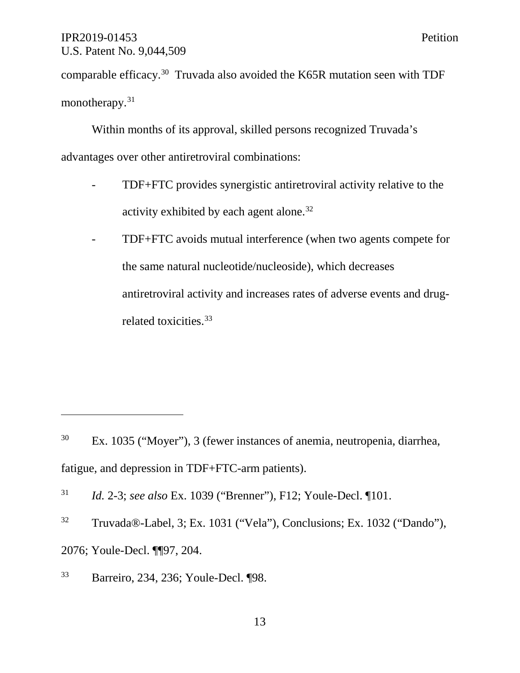comparable efficacy.30 Truvada also avoided the K65R mutation seen with TDF monotherapy.<sup>31</sup>

Within months of its approval, skilled persons recognized Truvada's advantages over other antiretroviral combinations:

- TDF+FTC provides synergistic antiretroviral activity relative to the activity exhibited by each agent alone.32
- TDF+FTC avoids mutual interference (when two agents compete for the same natural nucleotide/nucleoside), which decreases antiretroviral activity and increases rates of adverse events and drugrelated toxicities.<sup>33</sup>

<sup>32</sup> Truvada®-Label, 3; Ex. 1031 ("Vela"), Conclusions; Ex. 1032 ("Dando"), 2076; Youle-Decl. ¶¶97, 204.

<sup>30</sup> Ex. 1035 ("Moyer"), 3 (fewer instances of anemia, neutropenia, diarrhea, fatigue, and depression in TDF+FTC-arm patients).

<sup>31</sup> *Id.* 2-3; *see also* Ex. 1039 ("Brenner"), F12; Youle-Decl. ¶101.

<sup>33</sup> Barreiro, 234, 236; Youle-Decl. ¶98.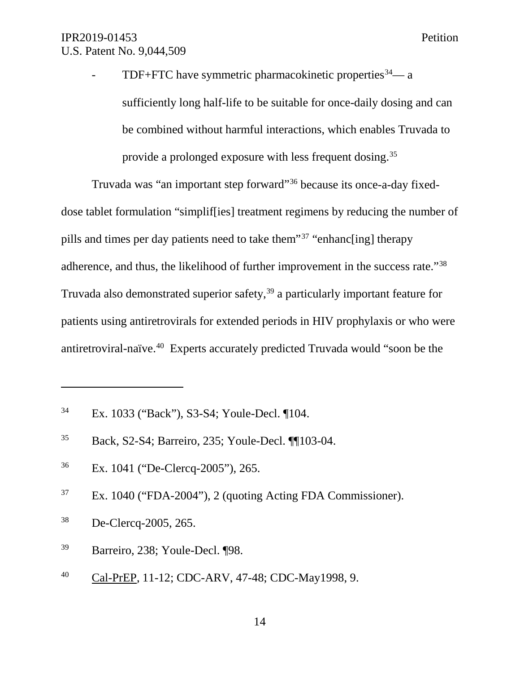- TDF+FTC have symmetric pharmacokinetic properties  $34$ — a sufficiently long half-life to be suitable for once-daily dosing and can be combined without harmful interactions, which enables Truvada to provide a prolonged exposure with less frequent dosing.35

Truvada was "an important step forward"36 because its once-a-day fixeddose tablet formulation "simplif[ies] treatment regimens by reducing the number of pills and times per day patients need to take them"37 "enhanc[ing] therapy adherence, and thus, the likelihood of further improvement in the success rate."38 Truvada also demonstrated superior safety,<sup>39</sup> a particularly important feature for patients using antiretrovirals for extended periods in HIV prophylaxis or who were antiretroviral-naïve.40 Experts accurately predicted Truvada would "soon be the

- <sup>36</sup> Ex. 1041 ("De-Clercq-2005"), 265.
- <sup>37</sup> Ex. 1040 ("FDA-2004"), 2 (quoting Acting FDA Commissioner).
- <sup>38</sup> De-Clercq-2005, 265.

- <sup>39</sup> Barreiro, 238; Youle-Decl. ¶98.
- <sup>40</sup> Cal-PrEP, 11-12; CDC-ARV, 47-48; CDC-May1998, 9.

<sup>34</sup> Ex. 1033 ("Back"), S3-S4; Youle-Decl. ¶104.

<sup>35</sup> Back, S2-S4; Barreiro, 235; Youle-Decl. ¶¶103-04.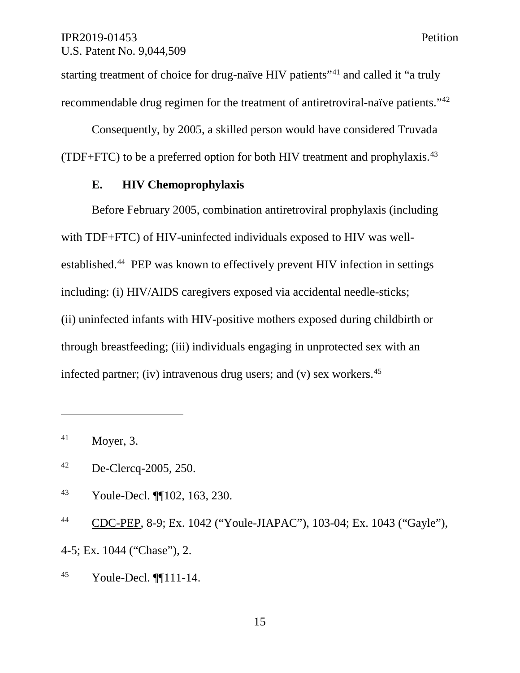starting treatment of choice for drug-naïve HIV patients<sup>"41</sup> and called it "a truly recommendable drug regimen for the treatment of antiretroviral-naïve patients."42

Consequently, by 2005, a skilled person would have considered Truvada (TDF+FTC) to be a preferred option for both HIV treatment and prophylaxis.43

#### **E. HIV Chemoprophylaxis**

Before February 2005, combination antiretroviral prophylaxis (including with TDF+FTC) of HIV-uninfected individuals exposed to HIV was wellestablished.44 PEP was known to effectively prevent HIV infection in settings including: (i) HIV/AIDS caregivers exposed via accidental needle-sticks; (ii) uninfected infants with HIV-positive mothers exposed during childbirth or through breastfeeding; (iii) individuals engaging in unprotected sex with an infected partner; (iv) intravenous drug users; and (v) sex workers.  $45$ 

 $\overline{a}$ 

- <sup>43</sup> Youle-Decl. ¶¶102, 163, 230.
- <sup>44</sup> CDC-PEP, 8-9; Ex. 1042 ("Youle-JIAPAC"), 103-04; Ex. 1043 ("Gayle"),

4-5; Ex. 1044 ("Chase"), 2.

<sup>45</sup> Youle-Decl. ¶¶111-14.

 $^{41}$  Moyer, 3.

<sup>42</sup> De-Clercq-2005, 250.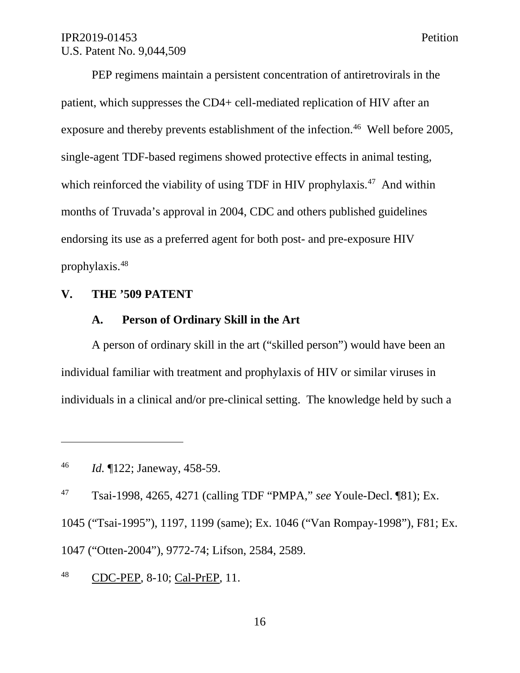PEP regimens maintain a persistent concentration of antiretrovirals in the patient, which suppresses the CD4+ cell-mediated replication of HIV after an exposure and thereby prevents establishment of the infection.<sup>46</sup> Well before 2005, single-agent TDF-based regimens showed protective effects in animal testing, which reinforced the viability of using TDF in HIV prophylaxis.<sup>47</sup> And within

months of Truvada's approval in 2004, CDC and others published guidelines endorsing its use as a preferred agent for both post- and pre-exposure HIV

prophylaxis.48

 $\overline{a}$ 

## **V. THE '509 PATENT**

#### **A. Person of Ordinary Skill in the Art**

A person of ordinary skill in the art ("skilled person") would have been an individual familiar with treatment and prophylaxis of HIV or similar viruses in individuals in a clinical and/or pre-clinical setting. The knowledge held by such a

<sup>47</sup> Tsai-1998, 4265, 4271 (calling TDF "PMPA," *see* Youle-Decl. ¶81); Ex.

1045 ("Tsai-1995"), 1197, 1199 (same); Ex. 1046 ("Van Rompay-1998"), F81; Ex.

1047 ("Otten-2004"), 9772-74; Lifson, 2584, 2589.

<sup>48</sup> CDC-PEP, 8-10; Cal-PrEP, 11.

<sup>46</sup> *Id.* ¶122; Janeway, 458-59.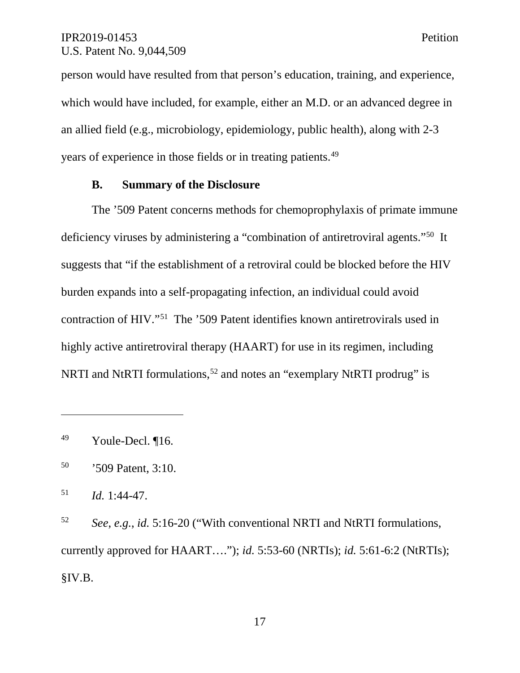person would have resulted from that person's education, training, and experience, which would have included, for example, either an M.D. or an advanced degree in an allied field (e.g., microbiology, epidemiology, public health), along with 2-3 years of experience in those fields or in treating patients.49

#### **B. Summary of the Disclosure**

The '509 Patent concerns methods for chemoprophylaxis of primate immune deficiency viruses by administering a "combination of antiretroviral agents."50 It suggests that "if the establishment of a retroviral could be blocked before the HIV burden expands into a self-propagating infection, an individual could avoid contraction of HIV."51 The '509 Patent identifies known antiretrovirals used in highly active antiretroviral therapy (HAART) for use in its regimen, including NRTI and NtRTI formulations,  $52$  and notes an "exemplary NtRTI prodrug" is

 $\overline{a}$ 

<sup>52</sup> *See*, *e.g.*, *id.* 5:16-20 ("With conventional NRTI and NtRTI formulations, currently approved for HAART…."); *id.* 5:53-60 (NRTIs); *id.* 5:61-6:2 (NtRTIs); §IV.B.

17

<sup>49</sup> Youle-Decl. ¶16.

<sup>50</sup> '509 Patent, 3:10.

 $1.44 - 47$ .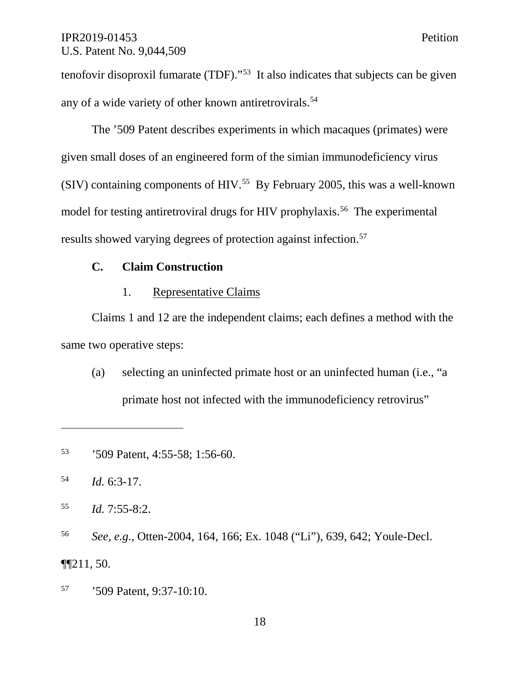tenofovir disoproxil fumarate (TDF)."<sup>53</sup> It also indicates that subjects can be given any of a wide variety of other known antiretrovirals. 54

The '509 Patent describes experiments in which macaques (primates) were given small doses of an engineered form of the simian immunodeficiency virus (SIV) containing components of HIV.<sup>55</sup> By February 2005, this was a well-known model for testing antiretroviral drugs for HIV prophylaxis.<sup>56</sup> The experimental results showed varying degrees of protection against infection.57

## **C. Claim Construction**

## 1. Representative Claims

Claims 1 and 12 are the independent claims; each defines a method with the same two operative steps:

(a) selecting an uninfected primate host or an uninfected human (i.e., "a primate host not infected with the immunodeficiency retrovirus"

<sup>54</sup> *Id.* 6:3-17.

 $\overline{a}$ 

<sup>55</sup> *Id.* 7:55-8:2.

<sup>56</sup> *See, e.g.*, Otten-2004, 164, 166; Ex. 1048 ("Li"), 639, 642; Youle-Decl.  $\P$  $[211, 50.$ 

<sup>57</sup> '509 Patent, 9:37-10:10.

<sup>53</sup> '509 Patent, 4:55-58; 1:56-60.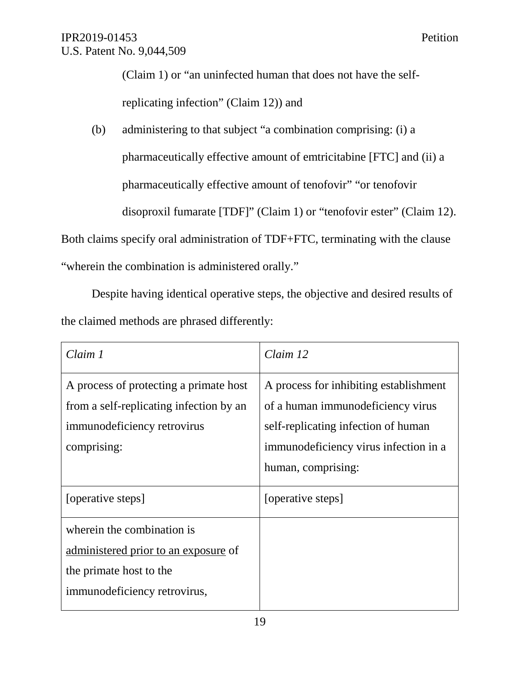(Claim 1) or "an uninfected human that does not have the selfreplicating infection" (Claim 12)) and

(b) administering to that subject "a combination comprising: (i) a pharmaceutically effective amount of emtricitabine [FTC] and (ii) a pharmaceutically effective amount of tenofovir" "or tenofovir disoproxil fumarate [TDF]" (Claim 1) or "tenofovir ester" (Claim 12).

Both claims specify oral administration of TDF+FTC, terminating with the clause

"wherein the combination is administered orally."

Despite having identical operative steps, the objective and desired results of the claimed methods are phrased differently:

| Claim 1                                                                                                                         | Claim 12                                                                                                                                                                          |
|---------------------------------------------------------------------------------------------------------------------------------|-----------------------------------------------------------------------------------------------------------------------------------------------------------------------------------|
| A process of protecting a primate host<br>from a self-replicating infection by an<br>immunodeficiency retrovirus<br>comprising: | A process for inhibiting establishment<br>of a human immunodeficiency virus<br>self-replicating infection of human<br>immunodeficiency virus infection in a<br>human, comprising: |
| [operative steps]                                                                                                               | [operative steps]                                                                                                                                                                 |
| wherein the combination is<br>administered prior to an exposure of<br>the primate host to the<br>immunodeficiency retrovirus,   |                                                                                                                                                                                   |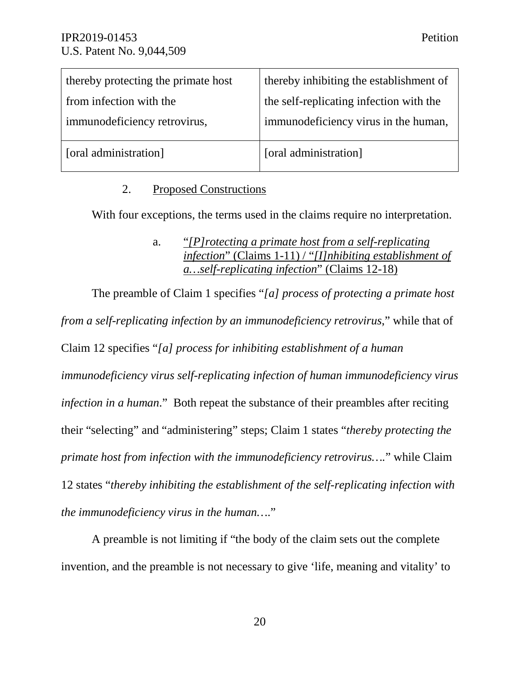| thereby protecting the primate host | thereby inhibiting the establishment of |
|-------------------------------------|-----------------------------------------|
| from infection with the             | the self-replicating infection with the |
| immunodeficiency retrovirus,        | immunodeficiency virus in the human,    |
| [oral administration]               | [oral administration]                   |

## 2. Proposed Constructions

With four exceptions, the terms used in the claims require no interpretation.

The preamble of Claim 1 specifies "*[a] process of protecting a primate host from a self-replicating infection by an immunodeficiency retrovirus*," while that of Claim 12 specifies "*[a] process for inhibiting establishment of a human immunodeficiency virus self-replicating infection of human immunodeficiency virus infection in a human*." Both repeat the substance of their preambles after reciting their "selecting" and "administering" steps; Claim 1 states "*thereby protecting the primate host from infection with the immunodeficiency retrovirus….*" while Claim 12 states "*thereby inhibiting the establishment of the self-replicating infection with the immunodeficiency virus in the human…*."

A preamble is not limiting if "the body of the claim sets out the complete invention, and the preamble is not necessary to give 'life, meaning and vitality' to

a. "*[P]rotecting a primate host from a self-replicating infection*" (Claims 1-11) / "*[I]nhibiting establishment of a…self-replicating infection*" (Claims 12-18)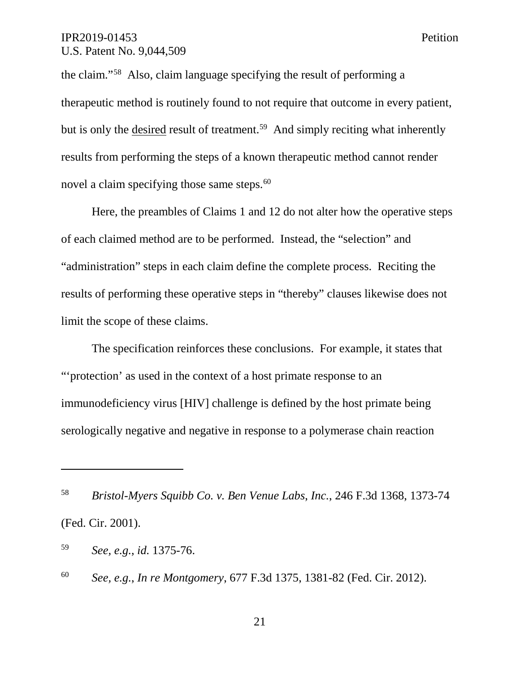the claim."58 Also, claim language specifying the result of performing a therapeutic method is routinely found to not require that outcome in every patient, but is only the desired result of treatment.<sup>59</sup> And simply reciting what inherently results from performing the steps of a known therapeutic method cannot render novel a claim specifying those same steps.<sup>60</sup>

Here, the preambles of Claims 1 and 12 do not alter how the operative steps of each claimed method are to be performed. Instead, the "selection" and "administration" steps in each claim define the complete process. Reciting the results of performing these operative steps in "thereby" clauses likewise does not limit the scope of these claims.

The specification reinforces these conclusions. For example, it states that "'protection' as used in the context of a host primate response to an immunodeficiency virus [HIV] challenge is defined by the host primate being serologically negative and negative in response to a polymerase chain reaction

<sup>58</sup> *Bristol-Myers Squibb Co. v. Ben Venue Labs*, *Inc.*, 246 F.3d 1368, 1373-74 (Fed. Cir. 2001).

<sup>59</sup> *See, e.g.*, *id.* 1375-76.

<sup>60</sup> *See, e.g.*, *In re Montgomery*, 677 F.3d 1375, 1381-82 (Fed. Cir. 2012).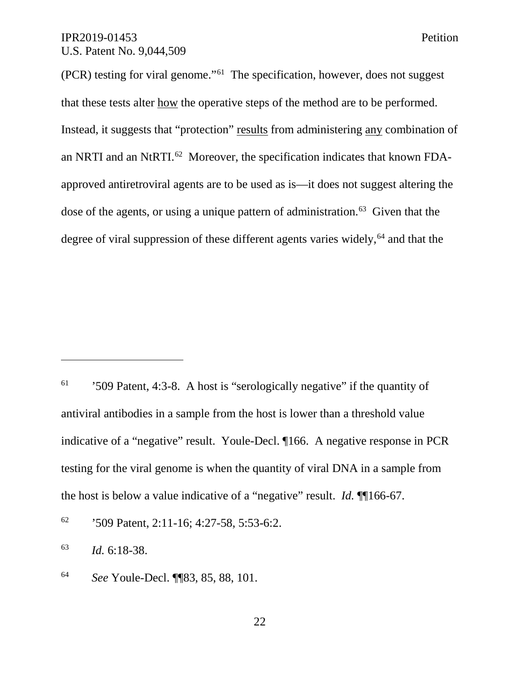(PCR) testing for viral genome."61 The specification, however, does not suggest that these tests alter how the operative steps of the method are to be performed. Instead, it suggests that "protection" results from administering any combination of an NRTI and an NtRTI.62 Moreover, the specification indicates that known FDAapproved antiretroviral agents are to be used as is—it does not suggest altering the dose of the agents, or using a unique pattern of administration.<sup>63</sup> Given that the degree of viral suppression of these different agents varies widely,  $64$  and that the

 $61$  '509 Patent, 4:3-8. A host is "serologically negative" if the quantity of antiviral antibodies in a sample from the host is lower than a threshold value indicative of a "negative" result. Youle-Decl. ¶166. A negative response in PCR testing for the viral genome is when the quantity of viral DNA in a sample from the host is below a value indicative of a "negative" result. *Id.* ¶¶166-67.

 $62$  '509 Patent, 2:11-16; 4:27-58, 5:53-6:2.

<sup>63</sup> *Id.* 6:18-38.

<sup>64</sup> *See* Youle-Decl. ¶¶83, 85, 88, 101.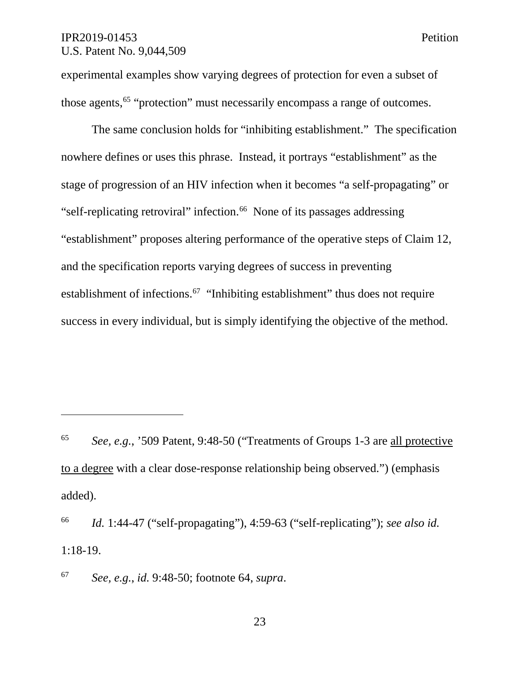$\overline{a}$ 

experimental examples show varying degrees of protection for even a subset of those agents,<sup>65</sup> "protection" must necessarily encompass a range of outcomes.

The same conclusion holds for "inhibiting establishment." The specification nowhere defines or uses this phrase. Instead, it portrays "establishment" as the stage of progression of an HIV infection when it becomes "a self-propagating" or "self-replicating retroviral" infection.<sup>66</sup> None of its passages addressing "establishment" proposes altering performance of the operative steps of Claim 12, and the specification reports varying degrees of success in preventing establishment of infections.<sup>67</sup> "Inhibiting establishment" thus does not require success in every individual, but is simply identifying the objective of the method.

<sup>67</sup> *See, e.g.*, *id.* 9:48-50; footnote 64, *supra*.

<sup>65</sup> *See, e.g.*, '509 Patent, 9:48-50 ("Treatments of Groups 1-3 are all protective to a degree with a clear dose-response relationship being observed.") (emphasis added).

<sup>66</sup> *Id.* 1:44-47 ("self-propagating"), 4:59-63 ("self-replicating"); *see also id.* 1:18-19.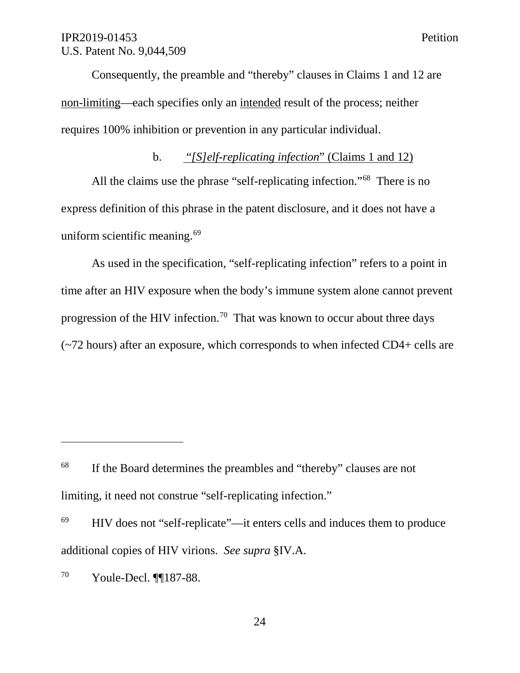Consequently, the preamble and "thereby" clauses in Claims 1 and 12 are non-limiting—each specifies only an intended result of the process; neither requires 100% inhibition or prevention in any particular individual.

## b. "*[S]elf-replicating infection*" (Claims 1 and 12)

All the claims use the phrase "self-replicating infection."68 There is no express definition of this phrase in the patent disclosure, and it does not have a uniform scientific meaning.<sup>69</sup>

As used in the specification, "self-replicating infection" refers to a point in time after an HIV exposure when the body's immune system alone cannot prevent progression of the HIV infection.<sup>70</sup> That was known to occur about three days (~72 hours) after an exposure, which corresponds to when infected CD4+ cells are

<sup>69</sup> HIV does not "self-replicate"—it enters cells and induces them to produce additional copies of HIV virions. *See supra* §IV.A.

<sup>70</sup> Youle-Decl. ¶¶187-88.

<sup>&</sup>lt;sup>68</sup> If the Board determines the preambles and "thereby" clauses are not limiting, it need not construe "self-replicating infection."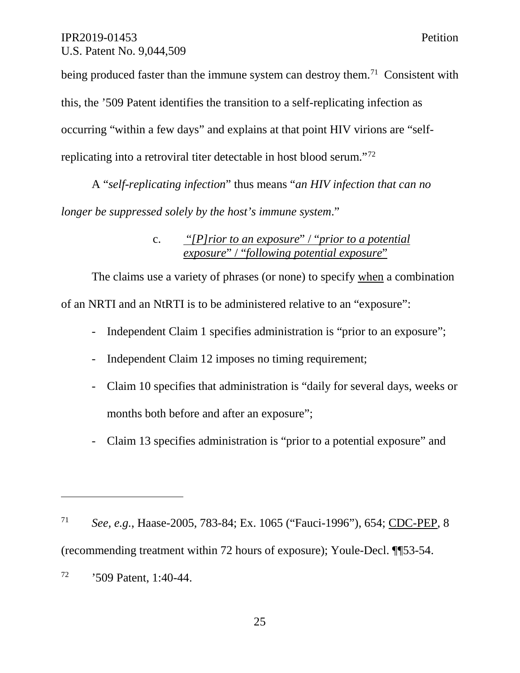$\overline{a}$ 

being produced faster than the immune system can destroy them.<sup>71</sup> Consistent with this, the '509 Patent identifies the transition to a self-replicating infection as occurring "within a few days" and explains at that point HIV virions are "selfreplicating into a retroviral titer detectable in host blood serum."72

A "*self-replicating infection*" thus means "*an HIV infection that can no longer be suppressed solely by the host's immune system*."

> c. "*[P]rior to an exposure*" / "*prior to a potential exposure*" / "*following potential exposure*"

The claims use a variety of phrases (or none) to specify when a combination of an NRTI and an NtRTI is to be administered relative to an "exposure":

- Independent Claim 1 specifies administration is "prior to an exposure";
- Independent Claim 12 imposes no timing requirement;
- Claim 10 specifies that administration is "daily for several days, weeks or months both before and after an exposure";
- Claim 13 specifies administration is "prior to a potential exposure" and

<sup>71</sup> *See, e.g.*, Haase-2005, 783-84; Ex. 1065 ("Fauci-1996"), 654; CDC-PEP, 8 (recommending treatment within 72 hours of exposure); Youle-Decl. ¶¶53-54. <sup>72</sup> '509 Patent, 1:40-44.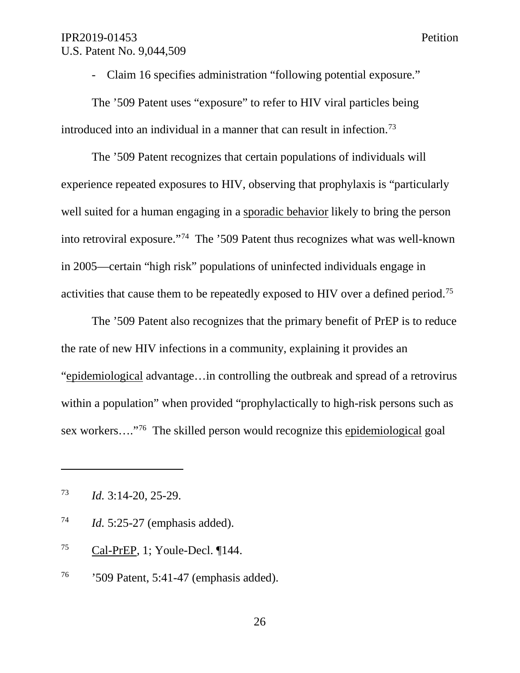- Claim 16 specifies administration "following potential exposure."

The '509 Patent uses "exposure" to refer to HIV viral particles being introduced into an individual in a manner that can result in infection.<sup>73</sup>

The '509 Patent recognizes that certain populations of individuals will experience repeated exposures to HIV, observing that prophylaxis is "particularly well suited for a human engaging in a sporadic behavior likely to bring the person into retroviral exposure."74 The '509 Patent thus recognizes what was well-known in 2005—certain "high risk" populations of uninfected individuals engage in activities that cause them to be repeatedly exposed to HIV over a defined period.<sup>75</sup>

The '509 Patent also recognizes that the primary benefit of PrEP is to reduce the rate of new HIV infections in a community, explaining it provides an "epidemiological advantage…in controlling the outbreak and spread of a retrovirus within a population" when provided "prophylactically to high-risk persons such as sex workers…."76 The skilled person would recognize this epidemiological goal

- <sup>74</sup> *Id.* 5:25-27 (emphasis added).
- <sup>75</sup> Cal-PrEP, 1; Youle-Decl. ¶144.
- <sup>76</sup> '509 Patent, 5:41-47 (emphasis added).

<sup>73</sup> *Id.* 3:14-20, 25-29.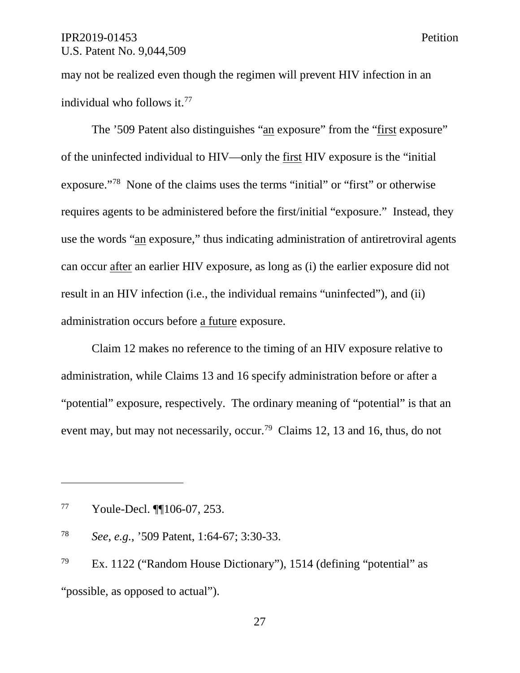may not be realized even though the regimen will prevent HIV infection in an individual who follows it. 77

The '509 Patent also distinguishes "an exposure" from the "first exposure" of the uninfected individual to HIV—only the first HIV exposure is the "initial exposure."78 None of the claims uses the terms "initial" or "first" or otherwise requires agents to be administered before the first/initial "exposure." Instead, they use the words "an exposure," thus indicating administration of antiretroviral agents can occur after an earlier HIV exposure, as long as (i) the earlier exposure did not result in an HIV infection (i.e., the individual remains "uninfected"), and (ii) administration occurs before a future exposure.

Claim 12 makes no reference to the timing of an HIV exposure relative to administration, while Claims 13 and 16 specify administration before or after a "potential" exposure, respectively. The ordinary meaning of "potential" is that an event may, but may not necessarily, occur.<sup>79</sup> Claims 12, 13 and 16, thus, do not

<sup>77</sup> Youle-Decl. ¶¶106-07, 253.

<sup>78</sup> *See*, *e.g.*, '509 Patent, 1:64-67; 3:30-33.

<sup>79</sup> Ex. 1122 ("Random House Dictionary"), 1514 (defining "potential" as "possible, as opposed to actual").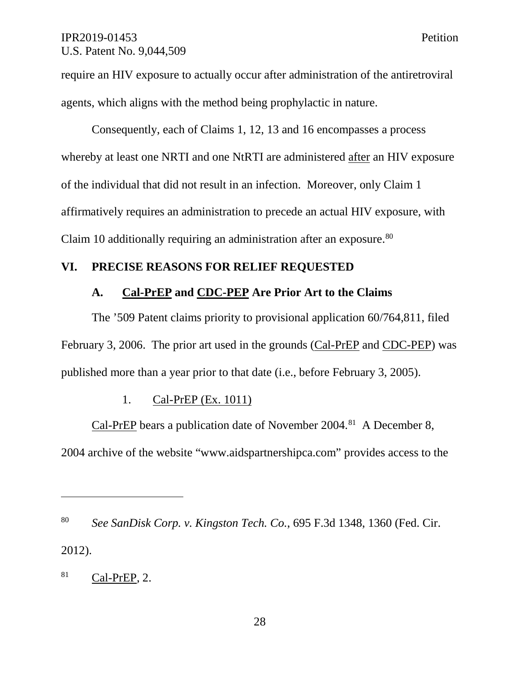require an HIV exposure to actually occur after administration of the antiretroviral agents, which aligns with the method being prophylactic in nature.

Consequently, each of Claims 1, 12, 13 and 16 encompasses a process whereby at least one NRTI and one NtRTI are administered after an HIV exposure of the individual that did not result in an infection. Moreover, only Claim 1 affirmatively requires an administration to precede an actual HIV exposure, with Claim 10 additionally requiring an administration after an exposure.<sup>80</sup>

## **VI. PRECISE REASONS FOR RELIEF REQUESTED**

#### **A. Cal-PrEP and CDC-PEP Are Prior Art to the Claims**

The '509 Patent claims priority to provisional application 60/764,811, filed February 3, 2006. The prior art used in the grounds (Cal-PrEP and CDC-PEP) was published more than a year prior to that date (i.e., before February 3, 2005).

### 1. Cal-PrEP (Ex. 1011)

Cal-PrEP bears a publication date of November 2004.<sup>81</sup> A December 8, 2004 archive of the website "www.aidspartnershipca.com" provides access to the

<sup>81</sup> Cal-PrEP, 2.

<sup>80</sup> *See SanDisk Corp. v. Kingston Tech. Co.*, 695 F.3d 1348, 1360 (Fed. Cir. 2012).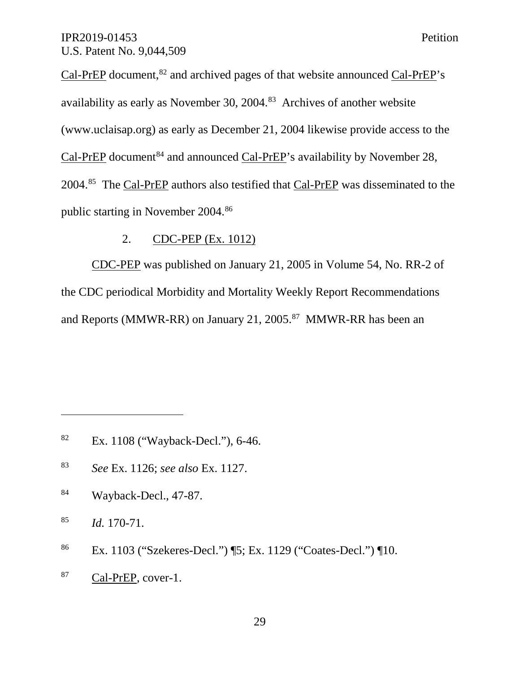Cal-PrEP document,<sup>82</sup> and archived pages of that website announced Cal-PrEP's availability as early as November 30, 2004.<sup>83</sup> Archives of another website (www.uclaisap.org) as early as December 21, 2004 likewise provide access to the Cal-PrEP document<sup>84</sup> and announced Cal-PrEP's availability by November 28, 2004.85 The Cal-PrEP authors also testified that Cal-PrEP was disseminated to the public starting in November 2004.86

## 2. CDC-PEP (Ex. 1012)

CDC-PEP was published on January 21, 2005 in Volume 54, No. RR-2 of the CDC periodical Morbidity and Mortality Weekly Report Recommendations and Reports (MMWR-RR) on January 21, 2005.<sup>87</sup> MMWR-RR has been an

<sup>85</sup> *Id.* 170-71.

 $\overline{a}$ 

<sup>87</sup> Cal-PrEP, cover-1.

<sup>&</sup>lt;sup>82</sup> Ex. 1108 ("Wayback-Decl."), 6-46.

<sup>83</sup> *See* Ex. 1126; *see also* Ex. 1127.

<sup>84</sup> Wayback-Decl., 47-87.

<sup>86</sup> Ex. 1103 ("Szekeres-Decl.") ¶5; Ex. 1129 ("Coates-Decl.") ¶10.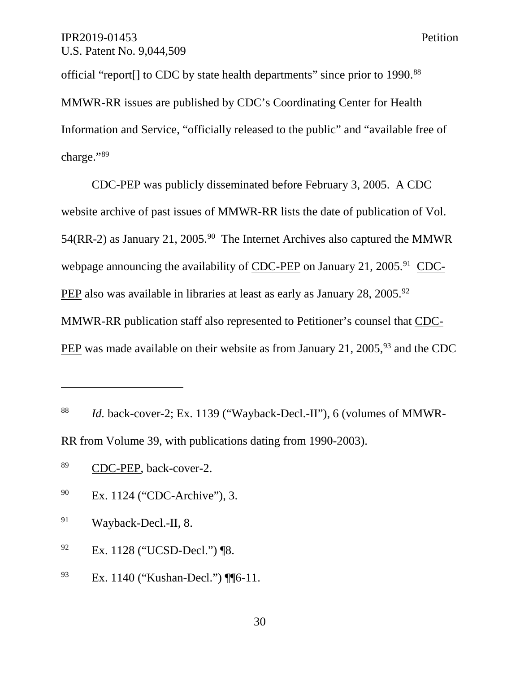official "report[] to CDC by state health departments" since prior to 1990.88 MMWR-RR issues are published by CDC's Coordinating Center for Health Information and Service, "officially released to the public" and "available free of charge."89

CDC-PEP was publicly disseminated before February 3, 2005. A CDC website archive of past issues of MMWR-RR lists the date of publication of Vol. 54(RR-2) as January 21, 2005.<sup>90</sup> The Internet Archives also captured the MMWR webpage announcing the availability of CDC-PEP on January 21, 2005.<sup>91</sup> CDC-PEP also was available in libraries at least as early as January  $28$ ,  $2005$ .<sup>92</sup> MMWR-RR publication staff also represented to Petitioner's counsel that CDC-PEP was made available on their website as from January 21, 2005,<sup>93</sup> and the CDC

- <sup>90</sup> Ex. 1124 ("CDC-Archive"), 3.
- <sup>91</sup> Wayback-Decl.-II, 8.
- <sup>92</sup> Ex. 1128 ("UCSD-Decl.") ¶8.
- <sup>93</sup> Ex. 1140 ("Kushan-Decl.") ¶ [6-11.

<sup>88</sup> *Id.* back-cover-2; Ex. 1139 ("Wayback-Decl.-II"), 6 (volumes of MMWR-RR from Volume 39, with publications dating from 1990-2003).

<sup>89</sup> CDC-PEP, back-cover-2.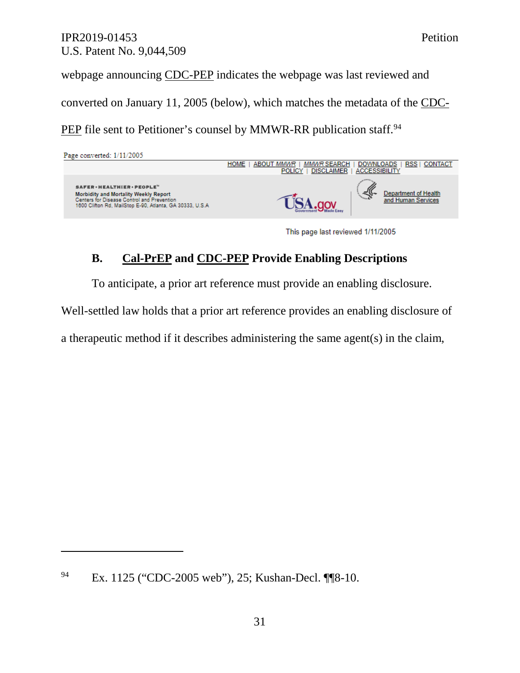webpage announcing CDC-PEP indicates the webpage was last reviewed and converted on January 11, 2005 (below), which matches the metadata of the CDC-PEP file sent to Petitioner's counsel by MMWR-RR publication staff.<sup>94</sup>

| Page converted: 1/11/2005                                                                                                                                                      |                                                                                                                                                                          |
|--------------------------------------------------------------------------------------------------------------------------------------------------------------------------------|--------------------------------------------------------------------------------------------------------------------------------------------------------------------------|
|                                                                                                                                                                                | <b>RSS</b><br><b>CONTACT</b><br><b>HOME</b><br><b>MMWR SEARCH</b><br><b>DOWNLOADS</b><br><b>ABOUT MMWR</b><br><b>ACCESSIBILITY</b><br><b>DISCLAIMER</b><br><b>POLICY</b> |
| SAFER · HEALTHIER · PEOPLE"<br>Morbidity and Mortality Weekly Report<br>Centers for Disease Control and Prevention<br>1600 Clifton Rd, MailStop E-90, Atlanta, GA 30333, U.S.A | Department of Health<br>and Human Services                                                                                                                               |
|                                                                                                                                                                                |                                                                                                                                                                          |

This page last reviewed 1/11/2005

# **B. Cal-PrEP and CDC-PEP Provide Enabling Descriptions**

To anticipate, a prior art reference must provide an enabling disclosure.

Well-settled law holds that a prior art reference provides an enabling disclosure of

a therapeutic method if it describes administering the same agent(s) in the claim,

<sup>94</sup> Ex. 1125 ("CDC-2005 web"), 25; Kushan-Decl. ¶¶8-10.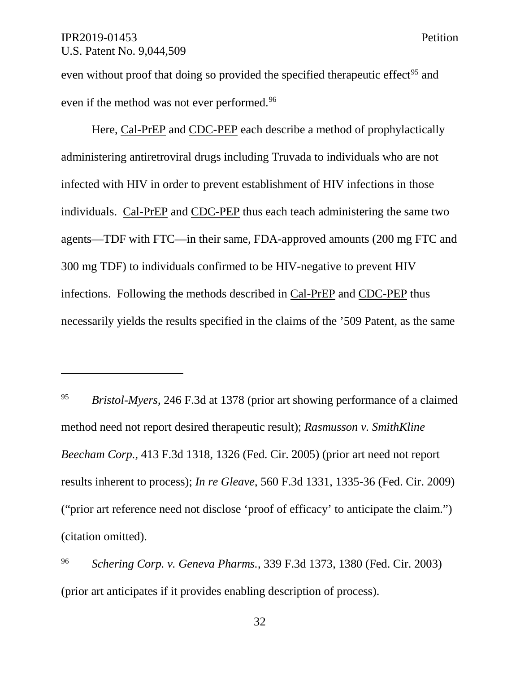$\overline{a}$ 

even without proof that doing so provided the specified therapeutic effect<sup>95</sup> and even if the method was not ever performed. 96

Here, Cal-PrEP and CDC-PEP each describe a method of prophylactically administering antiretroviral drugs including Truvada to individuals who are not infected with HIV in order to prevent establishment of HIV infections in those individuals. Cal-PrEP and CDC-PEP thus each teach administering the same two agents—TDF with FTC—in their same, FDA-approved amounts (200 mg FTC and 300 mg TDF) to individuals confirmed to be HIV-negative to prevent HIV infections. Following the methods described in Cal-PrEP and CDC-PEP thus necessarily yields the results specified in the claims of the '509 Patent, as the same

<sup>95</sup> *Bristol-Myers*, 246 F.3d at 1378 (prior art showing performance of a claimed method need not report desired therapeutic result); *Rasmusson v. SmithKline Beecham Corp.*, 413 F.3d 1318, 1326 (Fed. Cir. 2005) (prior art need not report results inherent to process); *In re Gleave*, 560 F.3d 1331, 1335-36 (Fed. Cir. 2009) ("prior art reference need not disclose 'proof of efficacy' to anticipate the claim.") (citation omitted).

<sup>96</sup> *Schering Corp. v. Geneva Pharms.*, 339 F.3d 1373, 1380 (Fed. Cir. 2003) (prior art anticipates if it provides enabling description of process).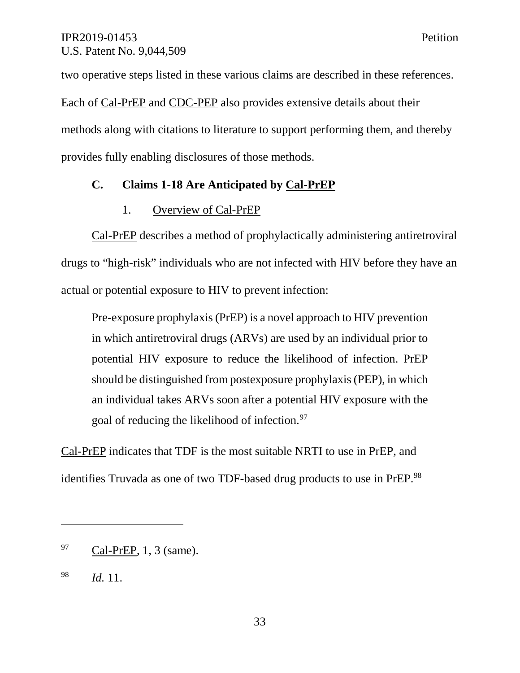two operative steps listed in these various claims are described in these references. Each of Cal-PrEP and CDC-PEP also provides extensive details about their methods along with citations to literature to support performing them, and thereby provides fully enabling disclosures of those methods.

## **C. Claims 1-18 Are Anticipated by Cal-PrEP**

## 1. Overview of Cal-PrEP

Cal-PrEP describes a method of prophylactically administering antiretroviral drugs to "high-risk" individuals who are not infected with HIV before they have an actual or potential exposure to HIV to prevent infection:

Pre-exposure prophylaxis (PrEP) is a novel approach to HIV prevention in which antiretroviral drugs (ARVs) are used by an individual prior to potential HIV exposure to reduce the likelihood of infection. PrEP should be distinguished from postexposure prophylaxis (PEP), in which an individual takes ARVs soon after a potential HIV exposure with the goal of reducing the likelihood of infection.<sup>97</sup>

Cal-PrEP indicates that TDF is the most suitable NRTI to use in PrEP, and identifies Truvada as one of two TDF-based drug products to use in PrEP.<sup>98</sup>

 $^{97}$  Cal-PrEP, 1, 3 (same).

<sup>98</sup> *Id.* 11.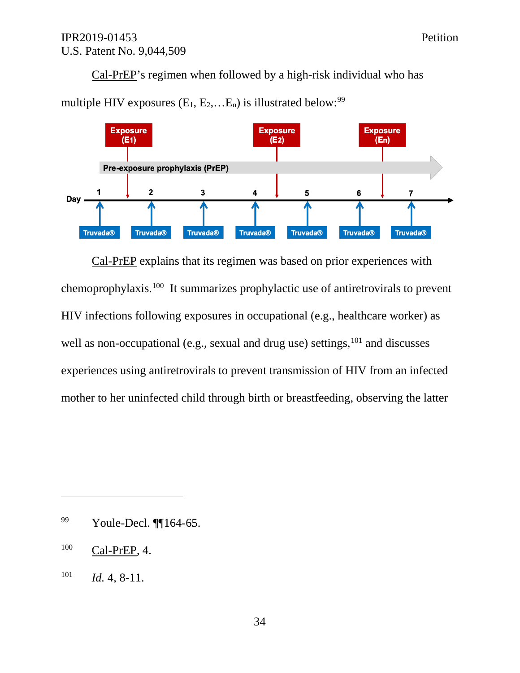Cal-PrEP's regimen when followed by a high-risk individual who has



multiple HIV exposures  $(E_1, E_2,...E_n)$  is illustrated below: <sup>99</sup>

Cal-PrEP explains that its regimen was based on prior experiences with chemoprophylaxis. <sup>100</sup> It summarizes prophylactic use of antiretrovirals to prevent HIV infections following exposures in occupational (e.g., healthcare worker) as well as non-occupational (e.g., sexual and drug use) settings, <sup>101</sup> and discusses experiences using antiretrovirals to prevent transmission of HIV from an infected mother to her uninfected child through birth or breastfeeding, observing the latter

<sup>99</sup> Youle-Decl. ¶¶164-65.

 $^{100}$  Cal-PrEP, 4.

 $101$  *Id.* 4, 8-11.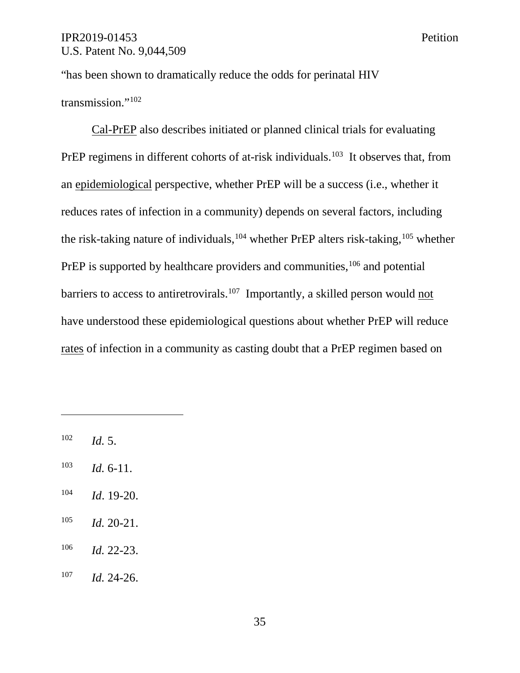"has been shown to dramatically reduce the odds for perinatal HIV transmission."102

Cal-PrEP also describes initiated or planned clinical trials for evaluating PrEP regimens in different cohorts of at-risk individuals.<sup>103</sup> It observes that, from an epidemiological perspective, whether PrEP will be a success (i.e., whether it reduces rates of infection in a community) depends on several factors, including the risk-taking nature of individuals,<sup>104</sup> whether PrEP alters risk-taking,<sup>105</sup> whether PrEP is supported by healthcare providers and communities,  $106$  and potential barriers to access to antiretrovirals.<sup>107</sup> Importantly, a skilled person would not have understood these epidemiological questions about whether PrEP will reduce rates of infection in a community as casting doubt that a PrEP regimen based on

<sup>102</sup> *Id.* 5.

- <sup>103</sup> *Id.* 6-11.
- <sup>104</sup> *Id*. 19-20.
- <sup>105</sup> *Id.* 20-21.
- <sup>106</sup> *Id.* 22-23.
- <sup>107</sup> *Id.* 24-26.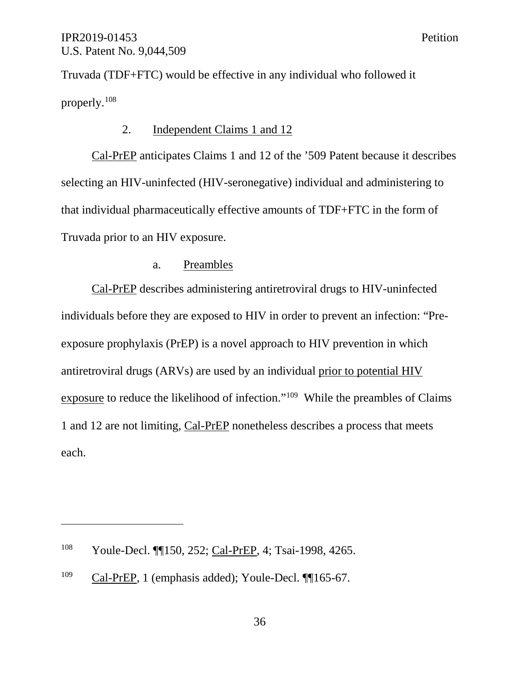Truvada (TDF+FTC) would be effective in any individual who followed it properly. 108

## 2. Independent Claims 1 and 12

Cal-PrEP anticipates Claims 1 and 12 of the '509 Patent because it describes selecting an HIV-uninfected (HIV-seronegative) individual and administering to that individual pharmaceutically effective amounts of TDF+FTC in the form of Truvada prior to an HIV exposure.

### a. Preambles

Cal-PrEP describes administering antiretroviral drugs to HIV-uninfected individuals before they are exposed to HIV in order to prevent an infection: "Preexposure prophylaxis (PrEP) is a novel approach to HIV prevention in which antiretroviral drugs (ARVs) are used by an individual prior to potential HIV exposure to reduce the likelihood of infection."109 While the preambles of Claims 1 and 12 are not limiting, Cal-PrEP nonetheless describes a process that meets each.

<sup>&</sup>lt;sup>108</sup> Youle-Decl. ¶[150, 252; Cal-PrEP, 4; Tsai-1998, 4265.

 $^{109}$  Cal-PrEP, 1 (emphasis added); Youle-Decl.  $\P$ [165-67.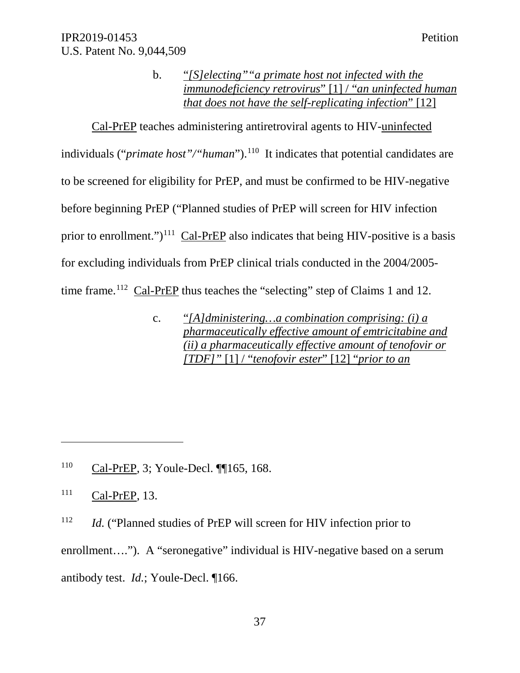b. "*[S]electing""a primate host not infected with the immunodeficiency retrovirus*" [1] / "*an uninfected human that does not have the self-replicating infection*" [12]

Cal-PrEP teaches administering antiretroviral agents to HIV-uninfected individuals ("*primate host"/"human*"). 110 It indicates that potential candidates are to be screened for eligibility for PrEP, and must be confirmed to be HIV-negative before beginning PrEP ("Planned studies of PrEP will screen for HIV infection prior to enrollment.")<sup>111</sup> Cal-PrEP also indicates that being HIV-positive is a basis for excluding individuals from PrEP clinical trials conducted in the 2004/2005 time frame.<sup>112</sup> Cal-PrEP thus teaches the "selecting" step of Claims 1 and 12.

> c. "*[A]dministering…a combination comprising: (i) a pharmaceutically effective amount of emtricitabine and (ii) a pharmaceutically effective amount of tenofovir or [TDF]"* [1] / "*tenofovir ester*" [12] "*prior to an*

<sup>110</sup> Cal-PrEP, 3; Youle-Decl. ¶¶165, 168.

 $\overline{a}$ 

<sup>112</sup> *Id.* ("Planned studies of PrEP will screen for HIV infection prior to

enrollment...."). A "seronegative" individual is HIV-negative based on a serum

antibody test. *Id.*; Youle-Decl. ¶166.

<sup>111</sup> Cal-PrEP, 13.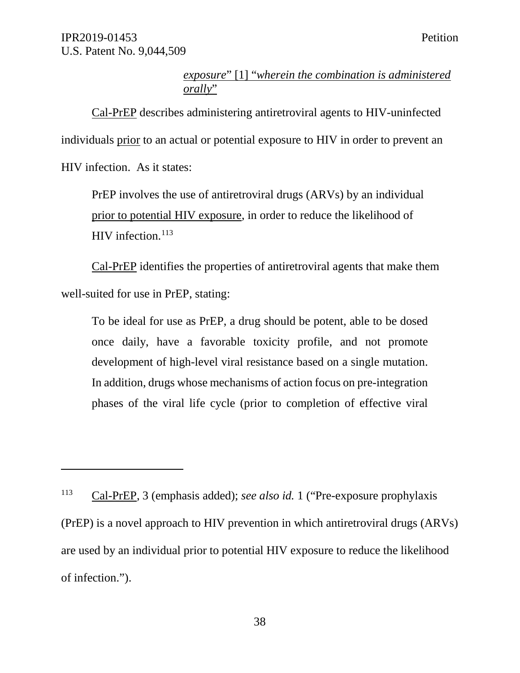$\overline{a}$ 

## *exposure*" [1] "*wherein the combination is administered orally*"

Cal-PrEP describes administering antiretroviral agents to HIV-uninfected individuals prior to an actual or potential exposure to HIV in order to prevent an HIV infection. As it states:

PrEP involves the use of antiretroviral drugs (ARVs) by an individual prior to potential HIV exposure, in order to reduce the likelihood of HIV infection. $113$ 

Cal-PrEP identifies the properties of antiretroviral agents that make them well-suited for use in PrEP, stating:

To be ideal for use as PrEP, a drug should be potent, able to be dosed once daily, have a favorable toxicity profile, and not promote development of high-level viral resistance based on a single mutation. In addition, drugs whose mechanisms of action focus on pre-integration phases of the viral life cycle (prior to completion of effective viral

<sup>113</sup> Cal-PrEP, 3 (emphasis added); *see also id.* 1 ("Pre-exposure prophylaxis (PrEP) is a novel approach to HIV prevention in which antiretroviral drugs (ARVs) are used by an individual prior to potential HIV exposure to reduce the likelihood of infection.").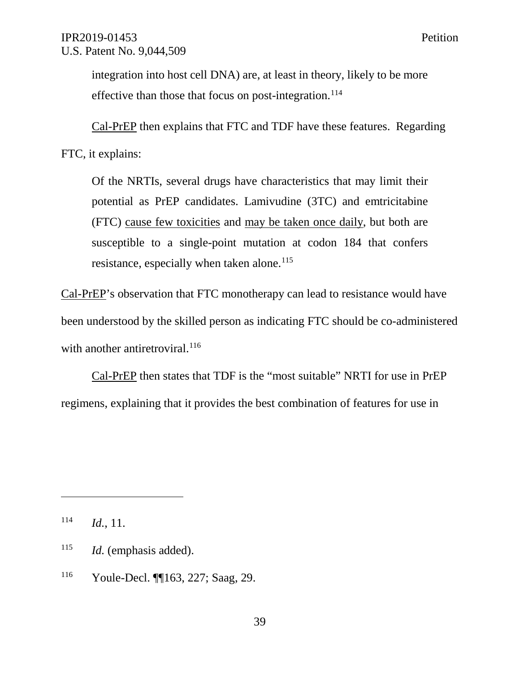integration into host cell DNA) are, at least in theory, likely to be more effective than those that focus on post-integration.<sup>114</sup>

Cal-PrEP then explains that FTC and TDF have these features. Regarding

FTC, it explains:

Of the NRTIs, several drugs have characteristics that may limit their potential as PrEP candidates. Lamivudine (3TC) and emtricitabine (FTC) cause few toxicities and may be taken once daily, but both are susceptible to a single-point mutation at codon 184 that confers resistance, especially when taken alone. $115$ 

Cal-PrEP's observation that FTC monotherapy can lead to resistance would have been understood by the skilled person as indicating FTC should be co-administered with another antiretroviral.<sup>116</sup>

Cal-PrEP then states that TDF is the "most suitable" NRTI for use in PrEP regimens, explaining that it provides the best combination of features for use in

<sup>114</sup> *Id.*, 11.

<sup>115</sup> *Id.* (emphasis added).

<sup>116</sup> Youle-Decl. ¶¶163, 227; Saag, 29.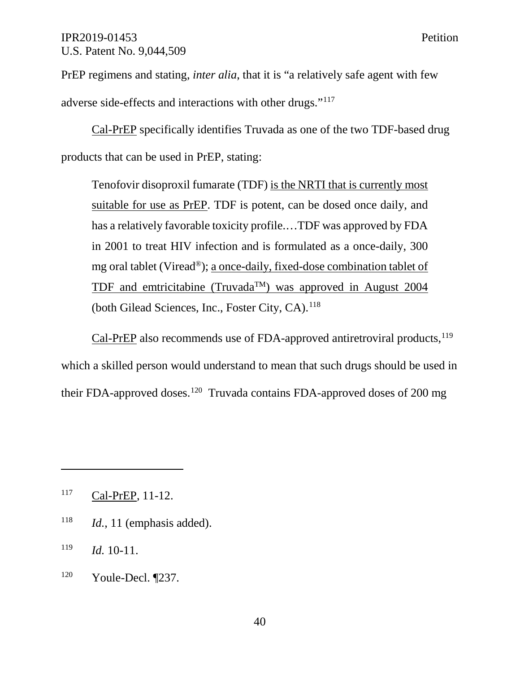PrEP regimens and stating, *inter alia*, that it is "a relatively safe agent with few adverse side-effects and interactions with other drugs."117

Cal-PrEP specifically identifies Truvada as one of the two TDF-based drug products that can be used in PrEP, stating:

Tenofovir disoproxil fumarate (TDF) is the NRTI that is currently most suitable for use as PrEP. TDF is potent, can be dosed once daily, and has a relatively favorable toxicity profile.…TDF was approved by FDA in 2001 to treat HIV infection and is formulated as a once-daily, 300 mg oral tablet (Viread®); a once-daily, fixed-dose combination tablet of TDF and emtricitabine (Truvada<sup>TM</sup>) was approved in August 2004 (both Gilead Sciences, Inc., Foster City, CA).<sup>118</sup>

Cal-PrEP also recommends use of FDA-approved antiretroviral products, <sup>119</sup> which a skilled person would understand to mean that such drugs should be used in their FDA-approved doses.<sup>120</sup> Truvada contains FDA-approved doses of 200 mg

<sup>118</sup> *Id.*, 11 (emphasis added).

<sup>117</sup> Cal-PrEP, 11-12.

<sup>119</sup> *Id.* 10-11.

<sup>120</sup> Youle-Decl. ¶237.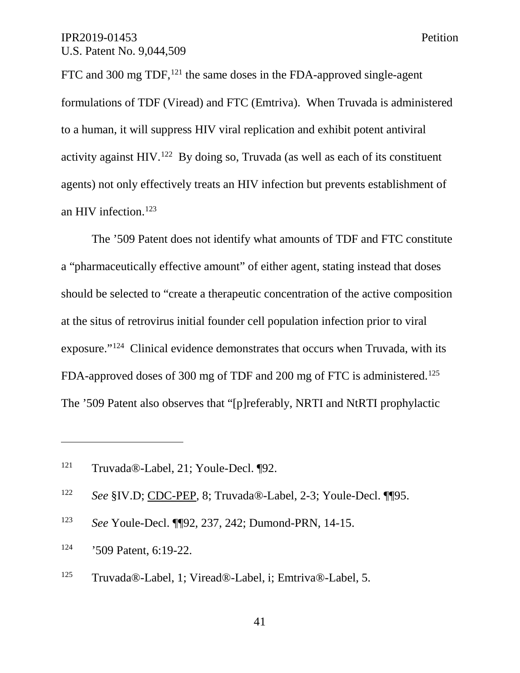FTC and 300 mg TDF,<sup>121</sup> the same doses in the FDA-approved single-agent formulations of TDF (Viread) and FTC (Emtriva). When Truvada is administered to a human, it will suppress HIV viral replication and exhibit potent antiviral activity against HIV.<sup>122</sup> By doing so, Truvada (as well as each of its constituent agents) not only effectively treats an HIV infection but prevents establishment of an HIV infection. 123

The '509 Patent does not identify what amounts of TDF and FTC constitute a "pharmaceutically effective amount" of either agent, stating instead that doses should be selected to "create a therapeutic concentration of the active composition at the situs of retrovirus initial founder cell population infection prior to viral exposure."124 Clinical evidence demonstrates that occurs when Truvada, with its FDA-approved doses of 300 mg of TDF and 200 mg of FTC is administered.<sup>125</sup> The '509 Patent also observes that "[p]referably, NRTI and NtRTI prophylactic

<sup>123</sup> *See* Youle-Decl. ¶¶92, 237, 242; Dumond-PRN, 14-15.

<sup>121</sup> Truvada®-Label, 21; Youle-Decl. ¶92.

<sup>122</sup> *See* §IV.D; CDC-PEP, 8; Truvada®-Label, 2-3; Youle-Decl. ¶¶95.

<sup>124</sup> '509 Patent, 6:19-22.

<sup>125</sup> Truvada®-Label, 1; Viread®-Label, i; Emtriva®-Label, 5.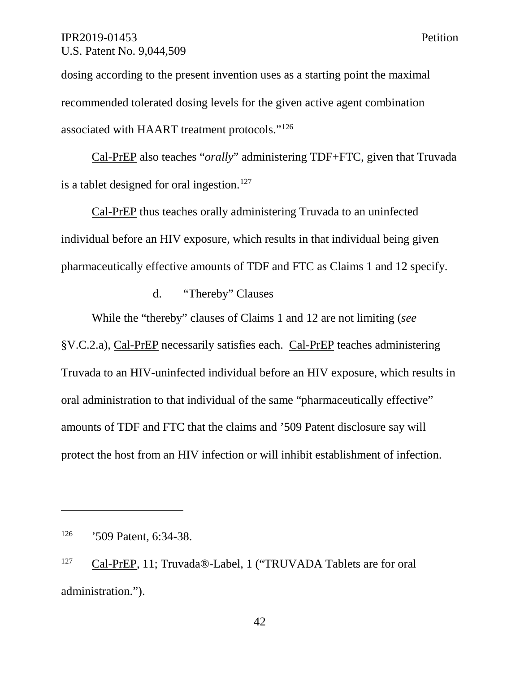dosing according to the present invention uses as a starting point the maximal recommended tolerated dosing levels for the given active agent combination associated with HAART treatment protocols."126

Cal-PrEP also teaches "*orally*" administering TDF+FTC, given that Truvada is a tablet designed for oral ingestion.<sup>127</sup>

Cal-PrEP thus teaches orally administering Truvada to an uninfected individual before an HIV exposure, which results in that individual being given pharmaceutically effective amounts of TDF and FTC as Claims 1 and 12 specify.

#### d. "Thereby" Clauses

While the "thereby" clauses of Claims 1 and 12 are not limiting (*see* §V.C.2.a), Cal-PrEP necessarily satisfies each. Cal-PrEP teaches administering Truvada to an HIV-uninfected individual before an HIV exposure, which results in oral administration to that individual of the same "pharmaceutically effective" amounts of TDF and FTC that the claims and '509 Patent disclosure say will protect the host from an HIV infection or will inhibit establishment of infection.

<sup>126</sup> '509 Patent, 6:34-38.

<sup>127</sup> Cal-PrEP, 11; Truvada®-Label, 1 ("TRUVADA Tablets are for oral administration.").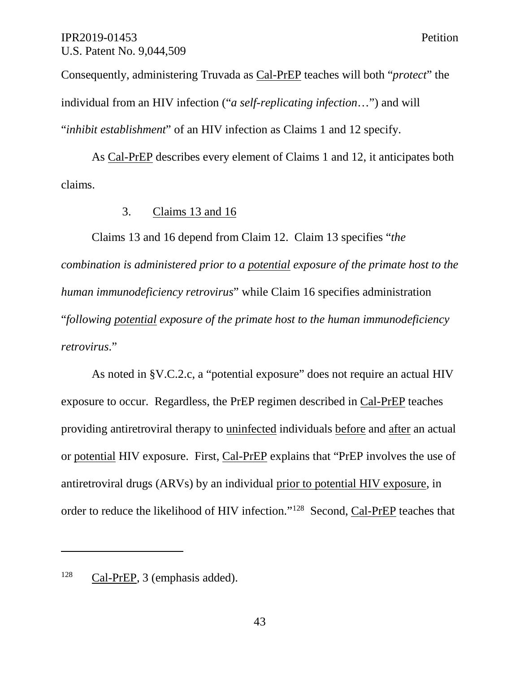Consequently, administering Truvada as Cal-PrEP teaches will both "*protect*" the individual from an HIV infection ("*a self-replicating infection*…") and will "*inhibit establishment*" of an HIV infection as Claims 1 and 12 specify.

As Cal-PrEP describes every element of Claims 1 and 12, it anticipates both claims.

### 3. Claims 13 and 16

Claims 13 and 16 depend from Claim 12. Claim 13 specifies "*the combination is administered prior to a potential exposure of the primate host to the human immunodeficiency retrovirus*" while Claim 16 specifies administration "*following potential exposure of the primate host to the human immunodeficiency retrovirus*."

As noted in §V.C.2.c, a "potential exposure" does not require an actual HIV exposure to occur. Regardless, the PrEP regimen described in Cal-PrEP teaches providing antiretroviral therapy to uninfected individuals before and after an actual or potential HIV exposure. First, Cal-PrEP explains that "PrEP involves the use of antiretroviral drugs (ARVs) by an individual prior to potential HIV exposure, in order to reduce the likelihood of HIV infection."128 Second, Cal-PrEP teaches that

<sup>128</sup> Cal-PrEP, 3 (emphasis added).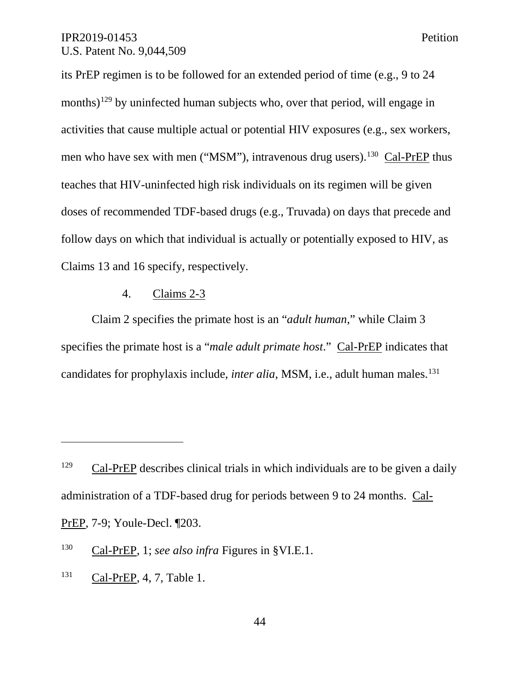its PrEP regimen is to be followed for an extended period of time (e.g., 9 to 24 months)<sup>129</sup> by uninfected human subjects who, over that period, will engage in activities that cause multiple actual or potential HIV exposures (e.g., sex workers, men who have sex with men ("MSM"), intravenous drug users).<sup>130</sup> Cal-PrEP thus teaches that HIV-uninfected high risk individuals on its regimen will be given doses of recommended TDF-based drugs (e.g., Truvada) on days that precede and follow days on which that individual is actually or potentially exposed to HIV, as Claims 13 and 16 specify, respectively.

### 4. Claims 2-3

Claim 2 specifies the primate host is an "*adult human*," while Claim 3 specifies the primate host is a "*male adult primate host*." Cal-PrEP indicates that candidates for prophylaxis include, *inter alia*, MSM, i.e., adult human males. 131

<sup>131</sup> Cal-PrEP, 4, 7, Table 1.

 $129$  Cal-PrEP describes clinical trials in which individuals are to be given a daily administration of a TDF-based drug for periods between 9 to 24 months. Cal-PrEP, 7-9; Youle-Decl. ¶203.

<sup>130</sup> Cal-PrEP, 1; *see also infra* Figures in §VI.E.1.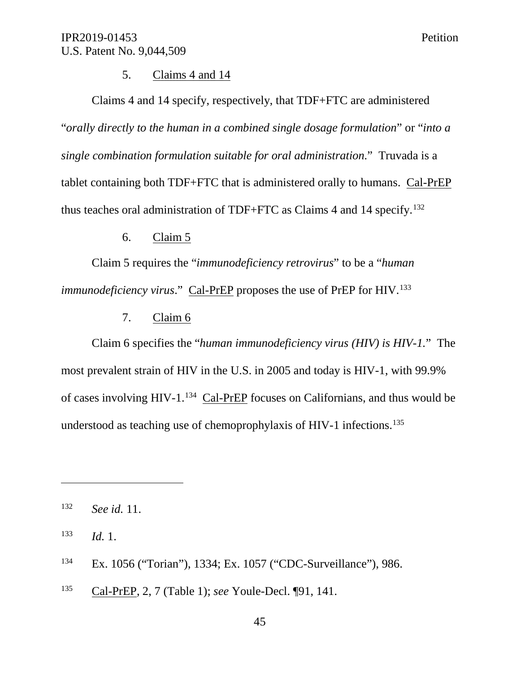### 5. Claims 4 and 14

Claims 4 and 14 specify, respectively, that TDF+FTC are administered "*orally directly to the human in a combined single dosage formulation*" or "*into a single combination formulation suitable for oral administration*." Truvada is a tablet containing both TDF+FTC that is administered orally to humans. Cal-PrEP thus teaches oral administration of TDF+FTC as Claims 4 and 14 specify. 132

### 6. Claim 5

Claim 5 requires the "*immunodeficiency retrovirus*" to be a "*human immunodeficiency virus.*" Cal-PrEP proposes the use of PrEP for HIV.<sup>133</sup>

7. Claim 6

Claim 6 specifies the "*human immunodeficiency virus (HIV) is HIV-1.*" The most prevalent strain of HIV in the U.S. in 2005 and today is HIV-1, with 99.9% of cases involving HIV-1.<sup>134</sup> Cal-PrEP focuses on Californians, and thus would be understood as teaching use of chemoprophylaxis of HIV-1 infections. 135

- <sup>134</sup> Ex. 1056 ("Torian"), 1334; Ex. 1057 ("CDC-Surveillance"), 986.
- <sup>135</sup> Cal-PrEP, 2, 7 (Table 1); *see* Youle-Decl. ¶91, 141.

<sup>132</sup> *See id.* 11.

<sup>133</sup> *Id.* 1.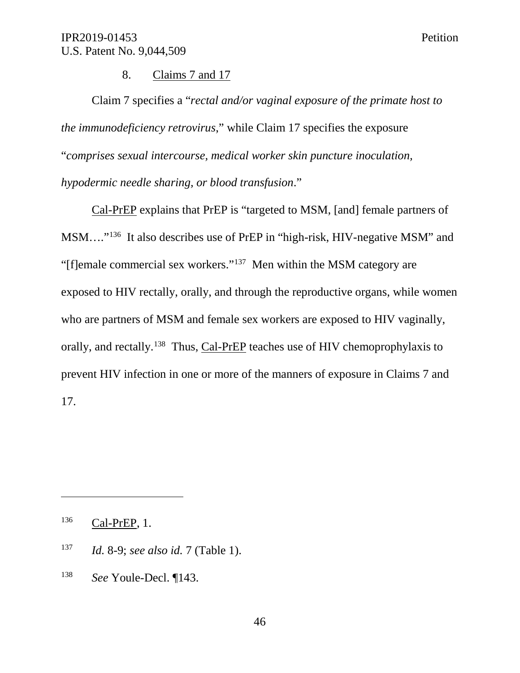8. Claims 7 and 17

Claim 7 specifies a "*rectal and/or vaginal exposure of the primate host to the immunodeficiency retrovirus*," while Claim 17 specifies the exposure "*comprises sexual intercourse, medical worker skin puncture inoculation, hypodermic needle sharing, or blood transfusion*."

Cal-PrEP explains that PrEP is "targeted to MSM, [and] female partners of MSM…."136 It also describes use of PrEP in "high-risk, HIV-negative MSM" and "[f]emale commercial sex workers."137 Men within the MSM category are exposed to HIV rectally, orally, and through the reproductive organs, while women who are partners of MSM and female sex workers are exposed to HIV vaginally, orally, and rectally.138 Thus, Cal-PrEP teaches use of HIV chemoprophylaxis to prevent HIV infection in one or more of the manners of exposure in Claims 7 and 17.

<sup>136</sup> Cal-PrEP, 1.

- <sup>137</sup> *Id.* 8-9; *see also id.* 7 (Table 1).
- <sup>138</sup> *See* Youle-Decl. ¶143.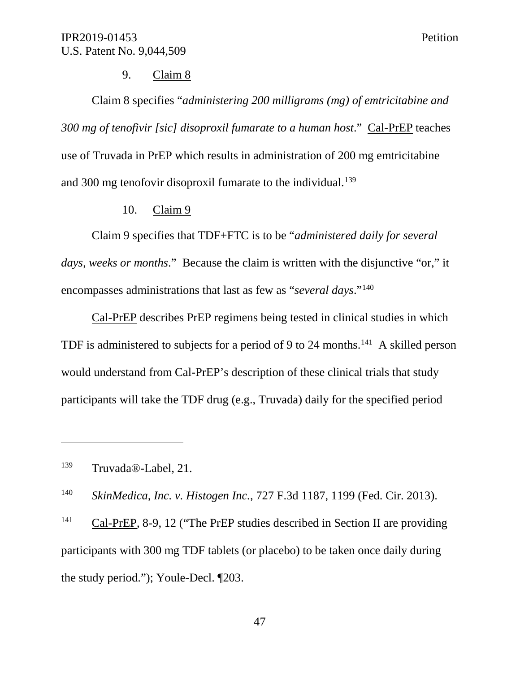### 9. Claim 8

Claim 8 specifies "*administering 200 milligrams (mg) of emtricitabine and 300 mg of tenofivir [sic] disoproxil fumarate to a human host*." Cal-PrEP teaches use of Truvada in PrEP which results in administration of 200 mg emtricitabine and 300 mg tenofovir disoproxil fumarate to the individual.<sup>139</sup>

#### 10. Claim 9

Claim 9 specifies that TDF+FTC is to be "*administered daily for several days, weeks or months*." Because the claim is written with the disjunctive "or," it encompasses administrations that last as few as "*several days*."140

Cal-PrEP describes PrEP regimens being tested in clinical studies in which TDF is administered to subjects for a period of 9 to 24 months.<sup>141</sup> A skilled person would understand from Cal-PrEP's description of these clinical trials that study participants will take the TDF drug (e.g., Truvada) daily for the specified period

 $\overline{a}$ 

<sup>140</sup> *SkinMedica, Inc. v. Histogen Inc.*, 727 F.3d 1187, 1199 (Fed. Cir. 2013).

<sup>141</sup> Cal-PrEP, 8-9, 12 ("The PrEP studies described in Section II are providing participants with 300 mg TDF tablets (or placebo) to be taken once daily during the study period."); Youle-Decl. ¶203.

<sup>139</sup> Truvada®-Label, 21.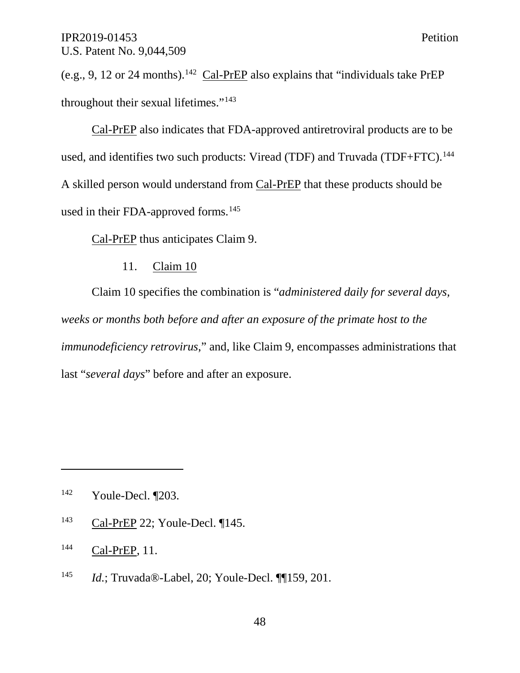(e.g., 9, 12 or 24 months).<sup>142</sup> Cal-PrEP also explains that "individuals take PrEP throughout their sexual lifetimes."<sup>143</sup>

Cal-PrEP also indicates that FDA-approved antiretroviral products are to be used, and identifies two such products: Viread (TDF) and Truvada (TDF+FTC).<sup>144</sup> A skilled person would understand from Cal-PrEP that these products should be used in their FDA-approved forms. 145

Cal-PrEP thus anticipates Claim 9.

### 11. Claim 10

Claim 10 specifies the combination is "*administered daily for several days, weeks or months both before and after an exposure of the primate host to the immunodeficiency retrovirus*," and, like Claim 9, encompasses administrations that last "*several days*" before and after an exposure.

<sup>143</sup> Cal-PrEP 22; Youle-Decl. ¶145.

 $\overline{a}$ 

<sup>145</sup> *Id.*; Truvada®-Label, 20; Youle-Decl. ¶¶159, 201.

<sup>142</sup> Youle-Decl. ¶203.

<sup>&</sup>lt;sup>144</sup> Cal-PrEP, 11.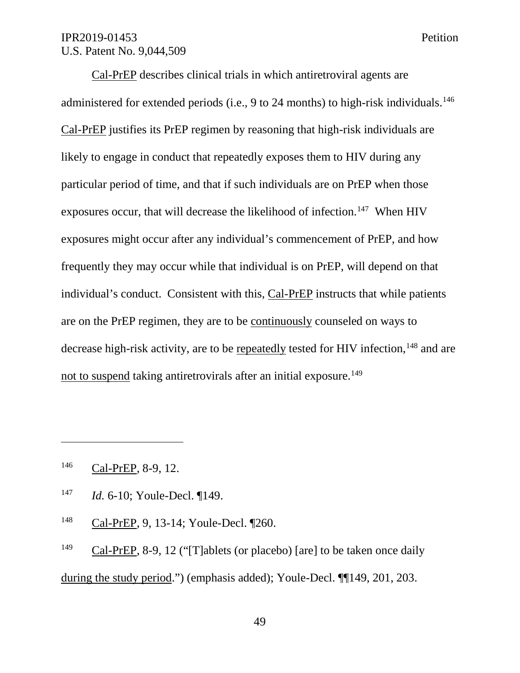Cal-PrEP describes clinical trials in which antiretroviral agents are administered for extended periods (i.e., 9 to 24 months) to high-risk individuals.<sup>146</sup> Cal-PrEP justifies its PrEP regimen by reasoning that high-risk individuals are likely to engage in conduct that repeatedly exposes them to HIV during any particular period of time, and that if such individuals are on PrEP when those exposures occur, that will decrease the likelihood of infection.<sup>147</sup> When HIV exposures might occur after any individual's commencement of PrEP, and how frequently they may occur while that individual is on PrEP, will depend on that individual's conduct. Consistent with this, Cal-PrEP instructs that while patients are on the PrEP regimen, they are to be continuously counseled on ways to decrease high-risk activity, are to be repeatedly tested for HIV infection, <sup>148</sup> and are not to suspend taking antiretrovirals after an initial exposure.<sup>149</sup>

<sup>146</sup> Cal-PrEP, 8-9, 12.

 $\overline{a}$ 

- <sup>147</sup> *Id.* 6-10; Youle-Decl. ¶149.
- <sup>148</sup> Cal-PrEP, 9, 13-14; Youle-Decl. ¶260.

<sup>149</sup> Cal-PrEP, 8-9, 12 ("[T]ablets (or placebo) [are] to be taken once daily during the study period.") (emphasis added); Youle-Decl. ¶¶149, 201, 203.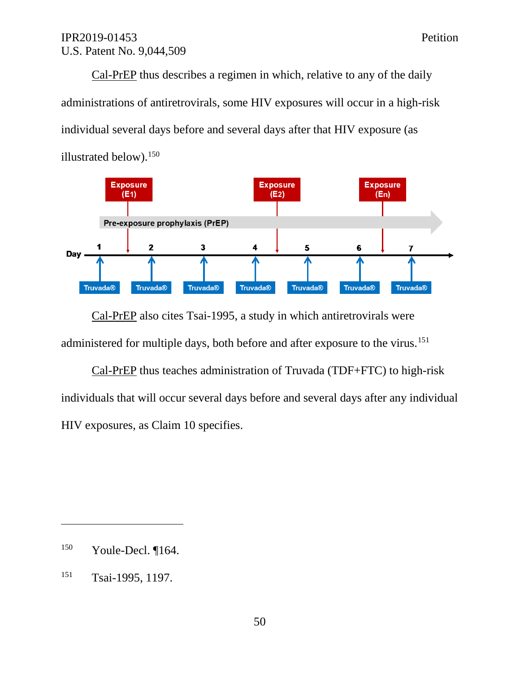Cal-PrEP thus describes a regimen in which, relative to any of the daily administrations of antiretrovirals, some HIV exposures will occur in a high-risk individual several days before and several days after that HIV exposure (as illustrated below). 150



Cal-PrEP also cites Tsai-1995, a study in which antiretrovirals were administered for multiple days, both before and after exposure to the virus.<sup>151</sup>

Cal-PrEP thus teaches administration of Truvada (TDF+FTC) to high-risk individuals that will occur several days before and several days after any individual HIV exposures, as Claim 10 specifies.

<sup>150</sup> Youle-Decl. ¶164.

<sup>151</sup> Tsai-1995, 1197.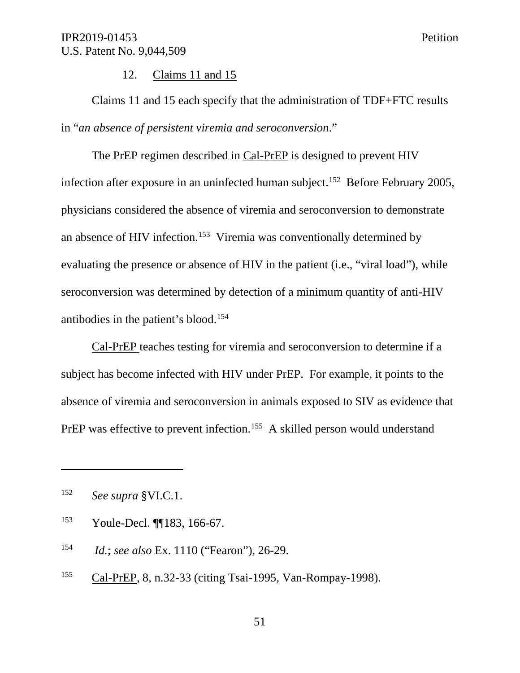12. Claims 11 and 15

Claims 11 and 15 each specify that the administration of TDF+FTC results in "*an absence of persistent viremia and seroconversion*."

The PrEP regimen described in Cal-PrEP is designed to prevent HIV infection after exposure in an uninfected human subject. 152 Before February 2005, physicians considered the absence of viremia and seroconversion to demonstrate an absence of HIV infection. <sup>153</sup> Viremia was conventionally determined by evaluating the presence or absence of HIV in the patient (i.e., "viral load"), while seroconversion was determined by detection of a minimum quantity of anti-HIV antibodies in the patient's blood. 154

Cal-PrEP teaches testing for viremia and seroconversion to determine if a subject has become infected with HIV under PrEP. For example, it points to the absence of viremia and seroconversion in animals exposed to SIV as evidence that PrEP was effective to prevent infection.<sup>155</sup> A skilled person would understand

<sup>152</sup> *See supra* §VI.C.1.

<sup>153</sup> Youle-Decl. ¶¶183, 166-67.

<sup>154</sup> *Id.*; *see also* Ex. 1110 ("Fearon"), 26-29.

<sup>155</sup> Cal-PrEP, 8, n.32-33 (citing Tsai-1995, Van-Rompay-1998).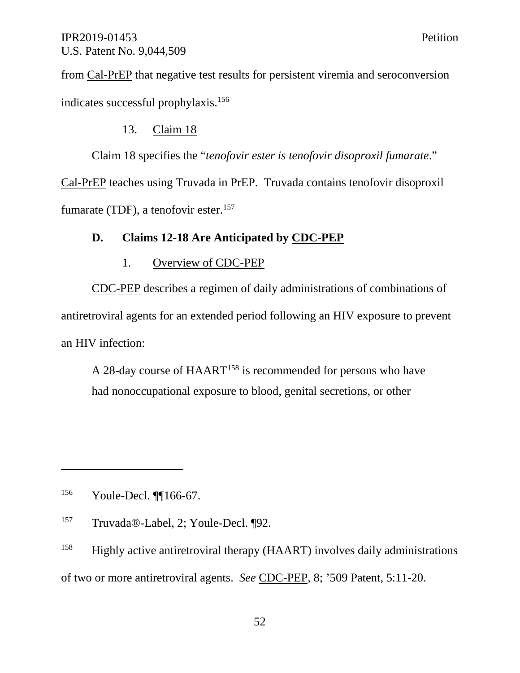from Cal-PrEP that negative test results for persistent viremia and seroconversion indicates successful prophylaxis.156

## 13. Claim 18

Claim 18 specifies the "*tenofovir ester is tenofovir disoproxil fumarate*."

Cal-PrEP teaches using Truvada in PrEP. Truvada contains tenofovir disoproxil fumarate (TDF), a tenofovir ester.<sup>157</sup>

## **D. Claims 12-18 Are Anticipated by CDC-PEP**

## 1. Overview of CDC-PEP

CDC-PEP describes a regimen of daily administrations of combinations of antiretroviral agents for an extended period following an HIV exposure to prevent an HIV infection:

A 28-day course of HAART<sup>158</sup> is recommended for persons who have had nonoccupational exposure to blood, genital secretions, or other

<sup>156</sup> Youle-Decl. ¶¶166-67.

<sup>157</sup> Truvada®-Label, 2; Youle-Decl. ¶92.

<sup>158</sup> Highly active antiretroviral therapy (HAART) involves daily administrations of two or more antiretroviral agents. *See* CDC-PEP, 8; '509 Patent, 5:11-20.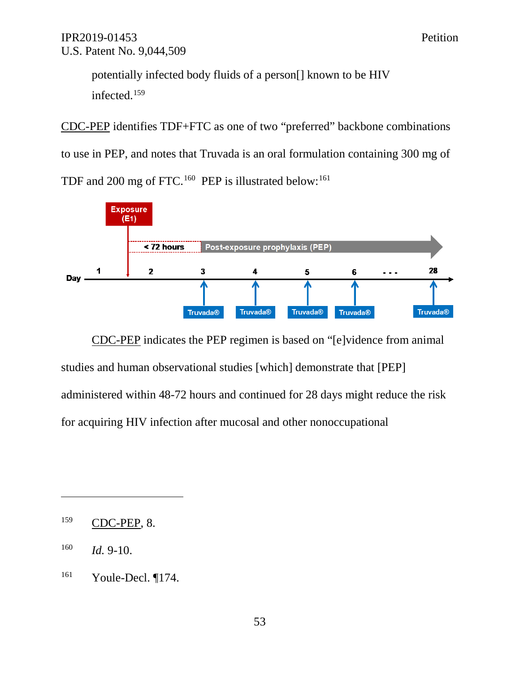potentially infected body fluids of a person[] known to be HIV infected. 159

CDC-PEP identifies TDF+FTC as one of two "preferred" backbone combinations to use in PEP, and notes that Truvada is an oral formulation containing 300 mg of TDF and 200 mg of FTC.<sup>160</sup> PEP is illustrated below:<sup>161</sup>



CDC-PEP indicates the PEP regimen is based on "[e]vidence from animal studies and human observational studies [which] demonstrate that [PEP] administered within 48-72 hours and continued for 28 days might reduce the risk for acquiring HIV infection after mucosal and other nonoccupational

<sup>159</sup> CDC-PEP, 8.

<sup>160</sup> *Id.* 9-10.

<sup>161</sup> Youle-Decl. ¶174.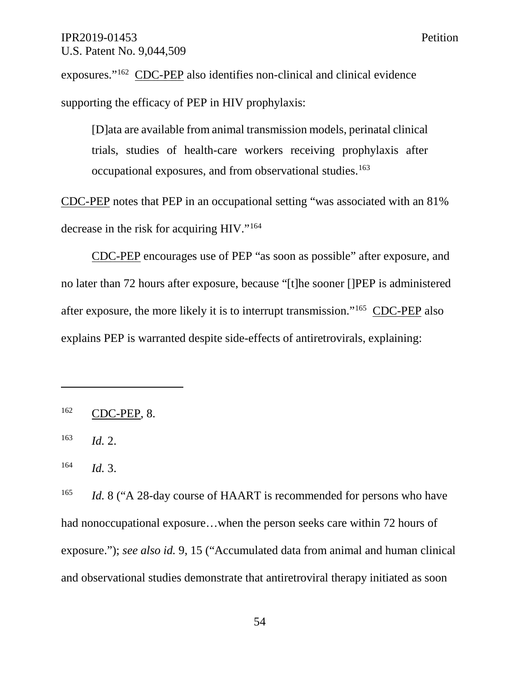exposures."162 CDC-PEP also identifies non-clinical and clinical evidence supporting the efficacy of PEP in HIV prophylaxis:

[D]ata are available from animal transmission models, perinatal clinical trials, studies of health-care workers receiving prophylaxis after occupational exposures, and from observational studies.163

CDC-PEP notes that PEP in an occupational setting "was associated with an 81% decrease in the risk for acquiring HIV."164

CDC-PEP encourages use of PEP "as soon as possible" after exposure, and no later than 72 hours after exposure, because "[t]he sooner []PEP is administered after exposure, the more likely it is to interrupt transmission."165 CDC-PEP also explains PEP is warranted despite side-effects of antiretrovirals, explaining:

 $163$  *Id.* 2.

 $\overline{a}$ 

<sup>164</sup> *Id.* 3.

<sup>165</sup> *Id.* 8 ("A 28-day course of HAART is recommended for persons who have had nonoccupational exposure...when the person seeks care within 72 hours of exposure."); *see also id.* 9, 15 ("Accumulated data from animal and human clinical and observational studies demonstrate that antiretroviral therapy initiated as soon

<sup>162</sup> CDC-PEP, 8.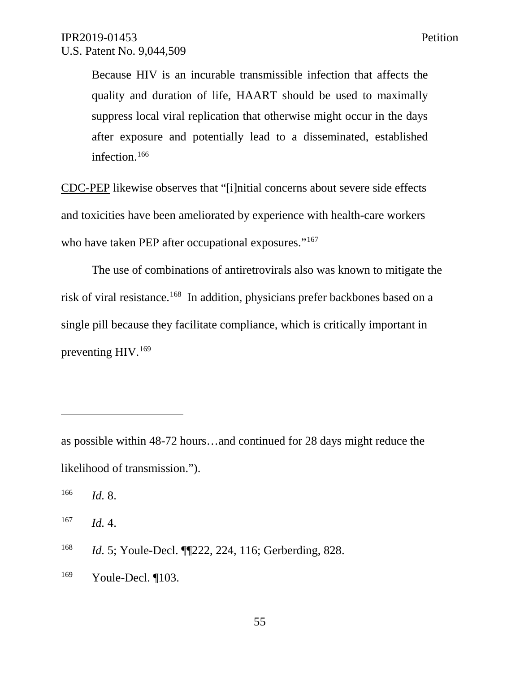Because HIV is an incurable transmissible infection that affects the quality and duration of life, HAART should be used to maximally suppress local viral replication that otherwise might occur in the days after exposure and potentially lead to a disseminated, established infection.<sup>166</sup>

CDC-PEP likewise observes that "[i]nitial concerns about severe side effects and toxicities have been ameliorated by experience with health-care workers who have taken PEP after occupational exposures."<sup>167</sup>

The use of combinations of antiretrovirals also was known to mitigate the risk of viral resistance.<sup>168</sup> In addition, physicians prefer backbones based on a single pill because they facilitate compliance, which is critically important in preventing HIV.<sup>169</sup>

as possible within 48-72 hours…and continued for 28 days might reduce the likelihood of transmission.").

<sup>166</sup> *Id.* 8.

 $\overline{a}$ 

<sup>167</sup> *Id.* 4.

<sup>168</sup> *Id.* 5; Youle-Decl. ¶¶222, 224, 116; Gerberding, 828.

<sup>169</sup> Youle-Decl. ¶103.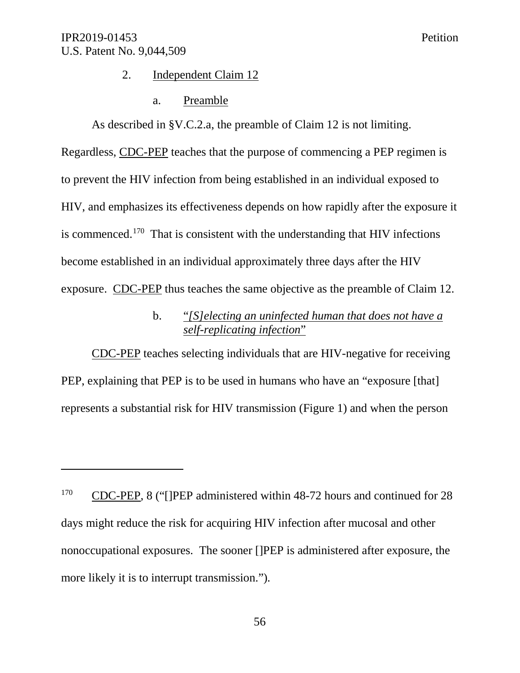$\overline{a}$ 

#### 2. Independent Claim 12

#### a. Preamble

As described in §V.C.2.a, the preamble of Claim 12 is not limiting. Regardless, CDC-PEP teaches that the purpose of commencing a PEP regimen is to prevent the HIV infection from being established in an individual exposed to HIV, and emphasizes its effectiveness depends on how rapidly after the exposure it is commenced.<sup>170</sup> That is consistent with the understanding that HIV infections become established in an individual approximately three days after the HIV exposure. CDC-PEP thus teaches the same objective as the preamble of Claim 12.

## b. "*[S]electing an uninfected human that does not have a self-replicating infection*"

CDC-PEP teaches selecting individuals that are HIV-negative for receiving PEP, explaining that PEP is to be used in humans who have an "exposure [that] represents a substantial risk for HIV transmission (Figure 1) and when the person

<sup>&</sup>lt;sup>170</sup> CDC-PEP, 8 ("[]PEP administered within 48-72 hours and continued for 28 days might reduce the risk for acquiring HIV infection after mucosal and other nonoccupational exposures. The sooner []PEP is administered after exposure, the more likely it is to interrupt transmission.").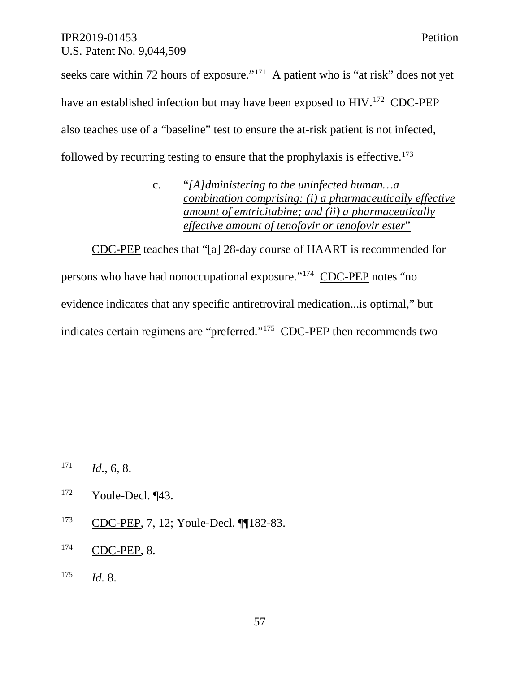seeks care within 72 hours of exposure."<sup>171</sup> A patient who is "at risk" does not yet have an established infection but may have been exposed to HIV.<sup>172</sup> CDC-PEP also teaches use of a "baseline" test to ensure the at-risk patient is not infected, followed by recurring testing to ensure that the prophylaxis is effective.173

> c. "*[A]dministering to the uninfected human…a combination comprising: (i) a pharmaceutically effective amount of emtricitabine; and (ii) a pharmaceutically effective amount of tenofovir or tenofovir ester*"

CDC-PEP teaches that "[a] 28-day course of HAART is recommended for persons who have had nonoccupational exposure."174 CDC-PEP notes "no evidence indicates that any specific antiretroviral medication...is optimal," but indicates certain regimens are "preferred."175 CDC-PEP then recommends two

 $\overline{a}$ 

<sup>173</sup> CDC-PEP, 7, 12; Youle-Decl. ¶¶182-83.

## <sup>175</sup> *Id.* 8.

 $171$  *Id.*, 6, 8.

 $172$  Youle-Decl.  $\P$ 43.

<sup>174</sup> CDC-PEP, 8.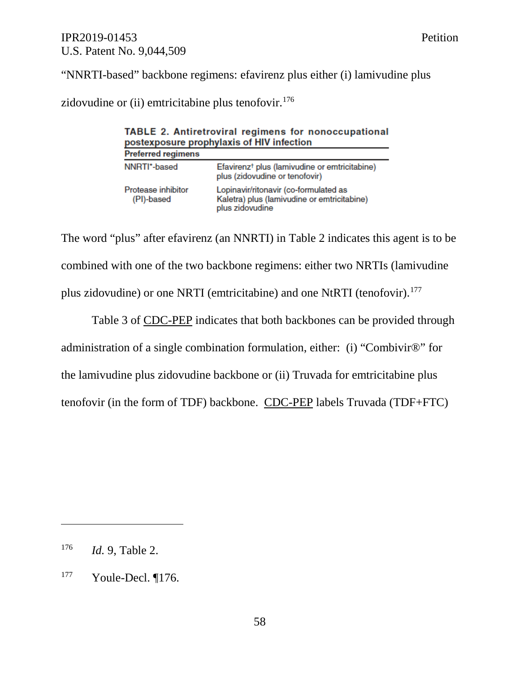"NNRTI-based" backbone regimens: efavirenz plus either (i) lamivudine plus

zidovudine or (ii) emtricitabine plus tenofovir.<sup>176</sup>

| <b>TABLE 2. Antiretroviral regimens for nonoccupational</b><br>postexposure prophylaxis of HIV infection |                                                                                                         |  |  |
|----------------------------------------------------------------------------------------------------------|---------------------------------------------------------------------------------------------------------|--|--|
| <b>Preferred regimens</b>                                                                                |                                                                                                         |  |  |
| NNRTI*-based                                                                                             | Efavirenz <sup>†</sup> plus (lamivudine or emtricitabine)<br>plus (zidovudine or tenofovir)             |  |  |
| Protease inhibitor<br>(PI)-based                                                                         | Lopinavir/ritonavir (co-formulated as<br>Kaletra) plus (lamivudine or emtricitabine)<br>plus zidovudine |  |  |

The word "plus" after efavirenz (an NNRTI) in Table 2 indicates this agent is to be combined with one of the two backbone regimens: either two NRTIs (lamivudine plus zidovudine) or one NRTI (emtricitabine) and one NtRTI (tenofovir).<sup>177</sup>

Table 3 of CDC-PEP indicates that both backbones can be provided through administration of a single combination formulation, either: (i) "Combivir®" for the lamivudine plus zidovudine backbone or (ii) Truvada for emtricitabine plus tenofovir (in the form of TDF) backbone. CDC-PEP labels Truvada (TDF+FTC)

<sup>176</sup> *Id.* 9, Table 2.

<sup>177</sup> Youle-Decl. ¶176.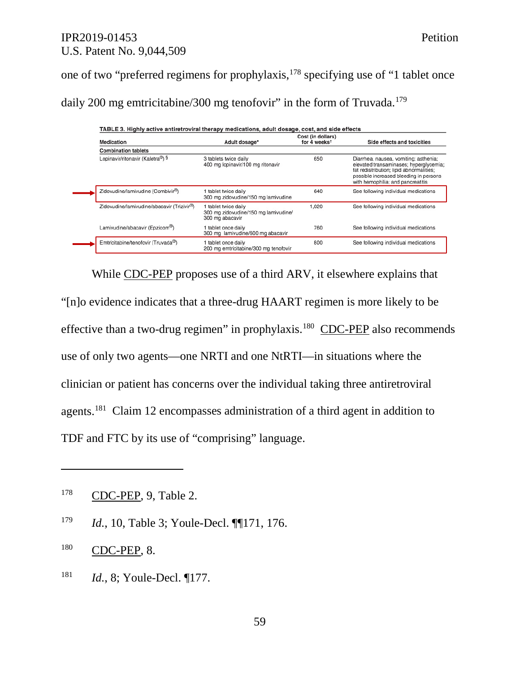one of two "preferred regimens for prophylaxis,178 specifying use of "1 tablet once daily 200 mg emtricitabine/300 mg tenofovir" in the form of Truvada.<sup>179</sup>

| Medication                                 | Adult dosage*                                                                 | Cost (in dollars)<br>for 4 weeks <sup>t</sup> | Side effects and toxicities                                                                                                                                                                                |
|--------------------------------------------|-------------------------------------------------------------------------------|-----------------------------------------------|------------------------------------------------------------------------------------------------------------------------------------------------------------------------------------------------------------|
| <b>Combination tablets</b>                 |                                                                               |                                               |                                                                                                                                                                                                            |
| Lopinavir/ritonavir (Kaletra®) §           | 3 tablets twice daily<br>400 mg lopinavir/100 mg ritonavir                    | 650                                           | Diarrhea, nausea, vomiting; asthenia;<br>elevated transaminases; hyperglycemia;<br>fat redistribution; lipid abnormalities;<br>possible increased bleeding in persons<br>with hemophilia; and pancreatitis |
| Zidovudine/lamivudine (Combivir®)          | tablet twice daily<br>300 mg zidovudine/150 mg lamivudine                     | 640                                           | See following individual medications                                                                                                                                                                       |
| Zidovudine/lamivudine/abacavir (Trizivir®) | tablet twice daily<br>300 mg zidovudine/150 mg lamivudine/<br>300 mg abacavir | 1,020                                         | See following individual medications                                                                                                                                                                       |
| Lamivudine/abacavir (Epzicom®)             | tablet once daily<br>300 mg lamivudine/600 mg abacavir                        | 760                                           | See following individual medications                                                                                                                                                                       |
| Emtricitabine/tenofovir (Truvada®)         | tablet once daily<br>200 mg emtricitabine/300 mg tenofovir                    | 800                                           | See following individual medications                                                                                                                                                                       |

While CDC-PEP proposes use of a third ARV, it elsewhere explains that "[n]o evidence indicates that a three-drug HAART regimen is more likely to be effective than a two-drug regimen" in prophylaxis.<sup>180</sup> CDC-PEP also recommends use of only two agents—one NRTI and one NtRTI—in situations where the clinician or patient has concerns over the individual taking three antiretroviral agents.181 Claim 12 encompasses administration of a third agent in addition to TDF and FTC by its use of "comprising" language.

<sup>179</sup> *Id.*, 10, Table 3; Youle-Decl. ¶¶171, 176.

 $\overline{a}$ 

<sup>181</sup> *Id.*, 8; Youle-Decl. ¶177.

<sup>178</sup> CDC-PEP, 9, Table 2.

<sup>180</sup> CDC-PEP, 8.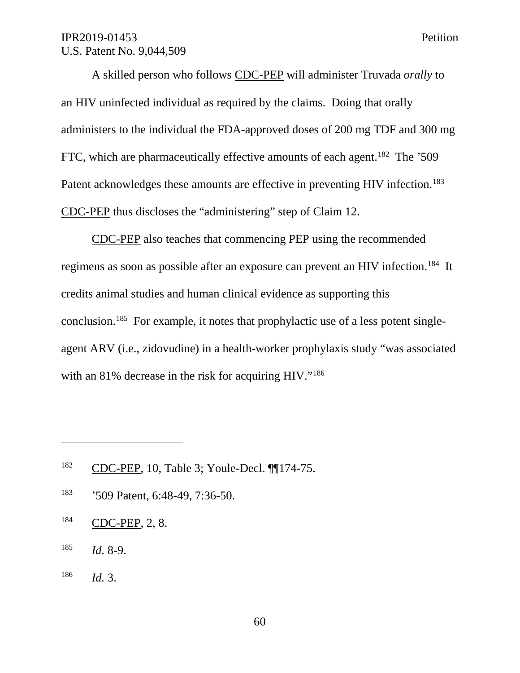A skilled person who follows CDC-PEP will administer Truvada *orally* to an HIV uninfected individual as required by the claims. Doing that orally administers to the individual the FDA-approved doses of 200 mg TDF and 300 mg FTC, which are pharmaceutically effective amounts of each agent.<sup>182</sup> The '509 Patent acknowledges these amounts are effective in preventing HIV infection.<sup>183</sup> CDC-PEP thus discloses the "administering" step of Claim 12.

CDC-PEP also teaches that commencing PEP using the recommended regimens as soon as possible after an exposure can prevent an HIV infection.<sup>184</sup> It credits animal studies and human clinical evidence as supporting this conclusion.185 For example, it notes that prophylactic use of a less potent singleagent ARV (i.e., zidovudine) in a health-worker prophylaxis study "was associated with an 81% decrease in the risk for acquiring HIV."<sup>186</sup>

- <sup>183</sup> '509 Patent, 6:48-49, 7:36-50.
- <sup>184</sup> CDC-PEP, 2, 8.
- <sup>185</sup> *Id.* 8-9.

 $\overline{a}$ 

<sup>186</sup> *Id.* 3.

<sup>182</sup> CDC-PEP, 10, Table 3; Youle-Decl. ¶¶174-75.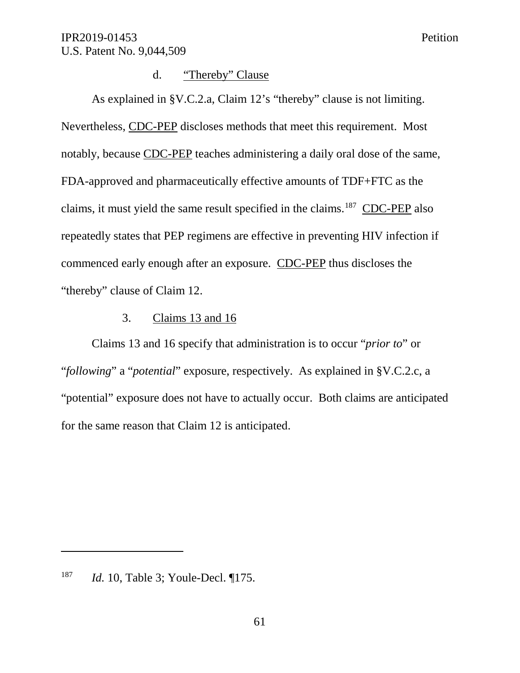## d. "Thereby" Clause

As explained in §V.C.2.a, Claim 12's "thereby" clause is not limiting. Nevertheless, CDC-PEP discloses methods that meet this requirement. Most notably, because CDC-PEP teaches administering a daily oral dose of the same, FDA-approved and pharmaceutically effective amounts of TDF+FTC as the claims, it must yield the same result specified in the claims.<sup>187</sup> CDC-PEP also repeatedly states that PEP regimens are effective in preventing HIV infection if commenced early enough after an exposure. CDC-PEP thus discloses the "thereby" clause of Claim 12.

### 3. Claims 13 and 16

Claims 13 and 16 specify that administration is to occur "*prior to*" or "*following*" a "*potential*" exposure, respectively. As explained in §V.C.2.c, a "potential" exposure does not have to actually occur. Both claims are anticipated for the same reason that Claim 12 is anticipated.

<sup>187</sup> *Id.* 10, Table 3; Youle-Decl. ¶175.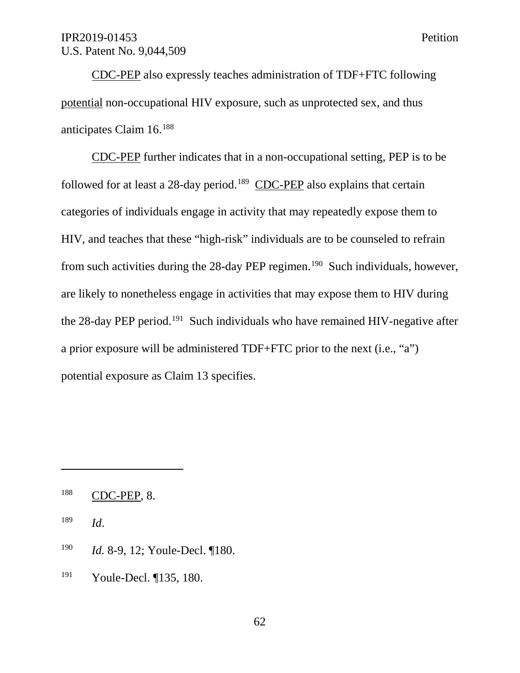CDC-PEP also expressly teaches administration of TDF+FTC following potential non-occupational HIV exposure, such as unprotected sex, and thus anticipates Claim 16.188

CDC-PEP further indicates that in a non-occupational setting, PEP is to be followed for at least a 28-day period.<sup>189</sup> CDC-PEP also explains that certain categories of individuals engage in activity that may repeatedly expose them to HIV, and teaches that these "high-risk" individuals are to be counseled to refrain from such activities during the 28-day PEP regimen.<sup>190</sup> Such individuals, however, are likely to nonetheless engage in activities that may expose them to HIV during the  $28$ -day PEP period.<sup>191</sup> Such individuals who have remained HIV-negative after a prior exposure will be administered TDF+FTC prior to the next (i.e., "a") potential exposure as Claim 13 specifies.

<sup>189</sup> *Id*.

- <sup>190</sup> *Id.* 8-9, 12; Youle-Decl. ¶180.
- <sup>191</sup> Youle-Decl. ¶135, 180.

<sup>188</sup> CDC-PEP, 8.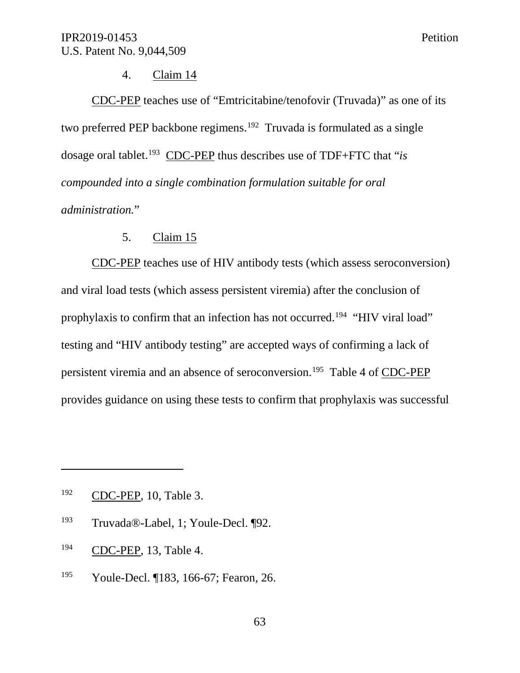### 4. Claim 14

CDC-PEP teaches use of "Emtricitabine/tenofovir (Truvada)" as one of its two preferred PEP backbone regimens.<sup>192</sup> Truvada is formulated as a single dosage oral tablet.193 CDC-PEP thus describes use of TDF+FTC that "*is compounded into a single combination formulation suitable for oral administration.*"

## 5. Claim 15

CDC-PEP teaches use of HIV antibody tests (which assess seroconversion) and viral load tests (which assess persistent viremia) after the conclusion of prophylaxis to confirm that an infection has not occurred.194 "HIV viral load" testing and "HIV antibody testing" are accepted ways of confirming a lack of persistent viremia and an absence of seroconversion.195 Table 4 of CDC-PEP provides guidance on using these tests to confirm that prophylaxis was successful

- <sup>193</sup> Truvada®-Label, 1; Youle-Decl. ¶92.
- <sup>194</sup> CDC-PEP, 13, Table 4.
- <sup>195</sup> Youle-Decl. ¶183, 166-67; Fearon, 26.

<sup>192</sup> CDC-PEP, 10, Table 3.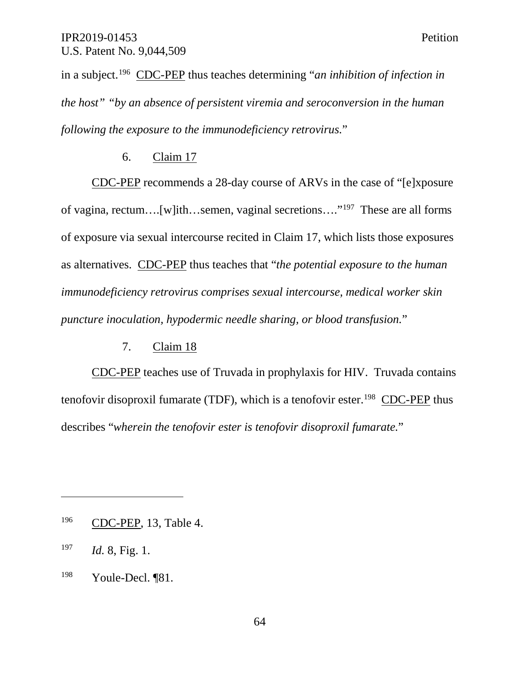in a subject. <sup>196</sup> CDC-PEP thus teaches determining "*an inhibition of infection in the host" "by an absence of persistent viremia and seroconversion in the human following the exposure to the immunodeficiency retrovirus.*"

### 6. Claim 17

CDC-PEP recommends a 28-day course of ARVs in the case of "[e]xposure of vagina, rectum….[w]ith…semen, vaginal secretions…."197 These are all forms of exposure via sexual intercourse recited in Claim 17, which lists those exposures as alternatives. CDC-PEP thus teaches that "*the potential exposure to the human immunodeficiency retrovirus comprises sexual intercourse, medical worker skin puncture inoculation, hypodermic needle sharing, or blood transfusion.*"

### 7. Claim 18

CDC-PEP teaches use of Truvada in prophylaxis for HIV. Truvada contains tenofovir disoproxil fumarate (TDF), which is a tenofovir ester.<sup>198</sup> CDC-PEP thus describes "*wherein the tenofovir ester is tenofovir disoproxil fumarate.*"

<sup>196</sup> CDC-PEP, 13, Table 4.

<sup>197</sup> *Id.* 8, Fig. 1.

<sup>198</sup> Youle-Decl. ¶81.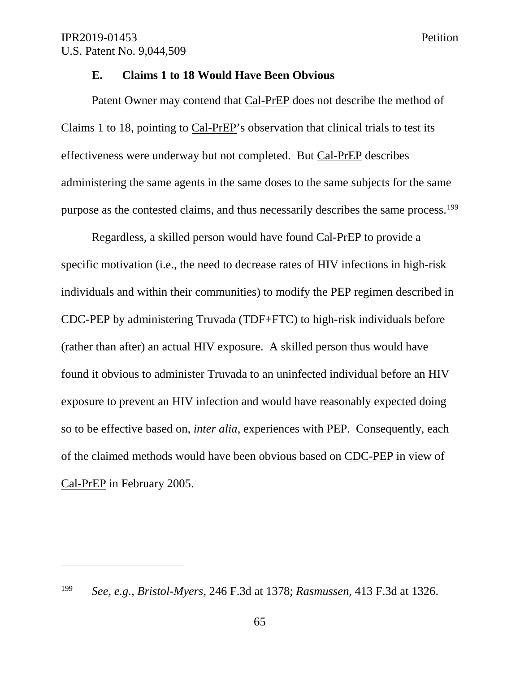$\overline{a}$ 

#### **E. Claims 1 to 18 Would Have Been Obvious**

Patent Owner may contend that Cal-PrEP does not describe the method of Claims 1 to 18, pointing to Cal-PrEP's observation that clinical trials to test its effectiveness were underway but not completed. But Cal-PrEP describes administering the same agents in the same doses to the same subjects for the same purpose as the contested claims, and thus necessarily describes the same process.<sup>199</sup>

Regardless, a skilled person would have found Cal-PrEP to provide a specific motivation (i.e., the need to decrease rates of HIV infections in high-risk individuals and within their communities) to modify the PEP regimen described in CDC-PEP by administering Truvada (TDF+FTC) to high-risk individuals before (rather than after) an actual HIV exposure. A skilled person thus would have found it obvious to administer Truvada to an uninfected individual before an HIV exposure to prevent an HIV infection and would have reasonably expected doing so to be effective based on, *inter alia*, experiences with PEP. Consequently, each of the claimed methods would have been obvious based on CDC-PEP in view of Cal-PrEP in February 2005.

<sup>199</sup> *See, e.g.*, *Bristol-Myers*, 246 F.3d at 1378; *Rasmussen*, 413 F.3d at 1326.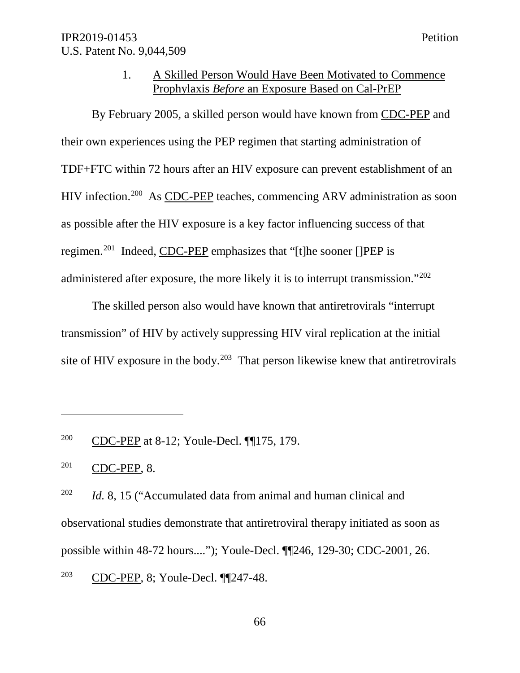#### 1. A Skilled Person Would Have Been Motivated to Commence Prophylaxis *Before* an Exposure Based on Cal-PrEP

By February 2005, a skilled person would have known from CDC-PEP and their own experiences using the PEP regimen that starting administration of TDF+FTC within 72 hours after an HIV exposure can prevent establishment of an HIV infection.<sup>200</sup> As CDC-PEP teaches, commencing ARV administration as soon as possible after the HIV exposure is a key factor influencing success of that regimen.201 Indeed, CDC-PEP emphasizes that "[t]he sooner []PEP is administered after exposure, the more likely it is to interrupt transmission."202

The skilled person also would have known that antiretrovirals "interrupt transmission" of HIV by actively suppressing HIV viral replication at the initial site of HIV exposure in the body.<sup>203</sup> That person likewise knew that antiretrovirals

<sup>200</sup> CDC-PEP at 8-12; Youle-Decl. ¶¶175, 179.

<sup>201</sup> CDC-PEP, 8.

<sup>&</sup>lt;sup>202</sup> *Id.* 8, 15 ("Accumulated data from animal and human clinical and observational studies demonstrate that antiretroviral therapy initiated as soon as possible within 48-72 hours...."); Youle-Decl. ¶¶246, 129-30; CDC-2001, 26. <sup>203</sup> CDC-PEP, 8; Youle-Decl. ¶¶247-48.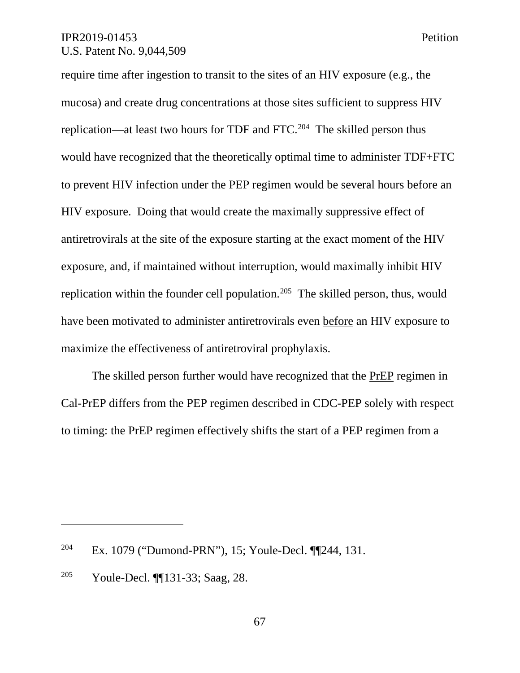require time after ingestion to transit to the sites of an HIV exposure (e.g., the mucosa) and create drug concentrations at those sites sufficient to suppress HIV replication—at least two hours for TDF and FTC.204 The skilled person thus would have recognized that the theoretically optimal time to administer TDF+FTC to prevent HIV infection under the PEP regimen would be several hours before an HIV exposure. Doing that would create the maximally suppressive effect of antiretrovirals at the site of the exposure starting at the exact moment of the HIV exposure, and, if maintained without interruption, would maximally inhibit HIV replication within the founder cell population.<sup>205</sup> The skilled person, thus, would have been motivated to administer antiretrovirals even before an HIV exposure to maximize the effectiveness of antiretroviral prophylaxis.

The skilled person further would have recognized that the PrEP regimen in Cal-PrEP differs from the PEP regimen described in CDC-PEP solely with respect to timing: the PrEP regimen effectively shifts the start of a PEP regimen from a

<sup>204</sup> Ex. 1079 ("Dumond-PRN"), 15; Youle-Decl. ¶¶244, 131.

<sup>205</sup> Youle-Decl. ¶¶131-33; Saag, 28.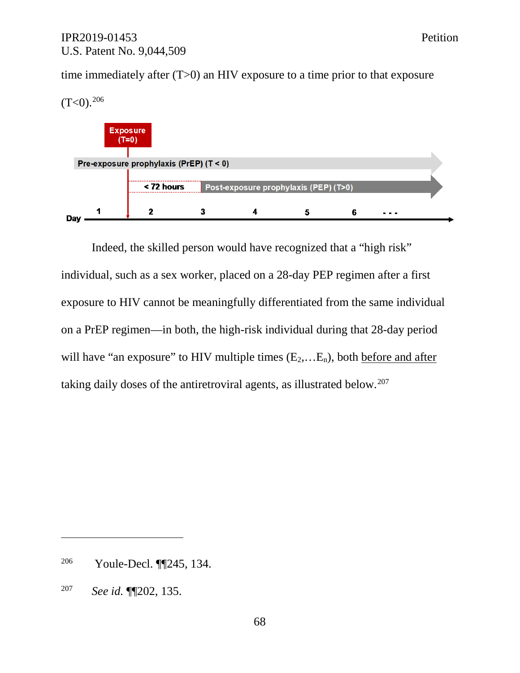time immediately after (T>0) an HIV exposure to a time prior to that exposure



Indeed, the skilled person would have recognized that a "high risk" individual, such as a sex worker, placed on a 28-day PEP regimen after a first exposure to HIV cannot be meaningfully differentiated from the same individual on a PrEP regimen—in both, the high-risk individual during that 28-day period will have "an exposure" to HIV multiple times  $(E_2,...E_n)$ , both before and after taking daily doses of the antiretroviral agents, as illustrated below.<sup>207</sup>

<sup>206</sup> Youle-Decl. ¶¶245, 134.

<sup>207</sup> *See id.* ¶¶202, 135.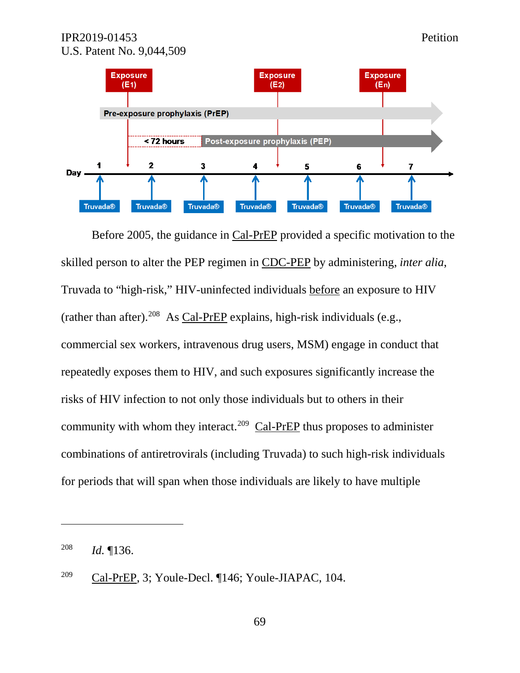

Before 2005, the guidance in Cal-PrEP provided a specific motivation to the skilled person to alter the PEP regimen in CDC-PEP by administering, *inter alia*, Truvada to "high-risk," HIV-uninfected individuals before an exposure to HIV (rather than after).<sup>208</sup> As Cal-PrEP explains, high-risk individuals (e.g., commercial sex workers, intravenous drug users, MSM) engage in conduct that repeatedly exposes them to HIV, and such exposures significantly increase the risks of HIV infection to not only those individuals but to others in their community with whom they interact.<sup>209</sup>  $\text{Cal-PreP}$  thus proposes to administer combinations of antiretrovirals (including Truvada) to such high-risk individuals for periods that will span when those individuals are likely to have multiple

<sup>208</sup> *Id.* ¶136.

<sup>209</sup> Cal-PrEP, 3; Youle-Decl. ¶146; Youle-JIAPAC, 104.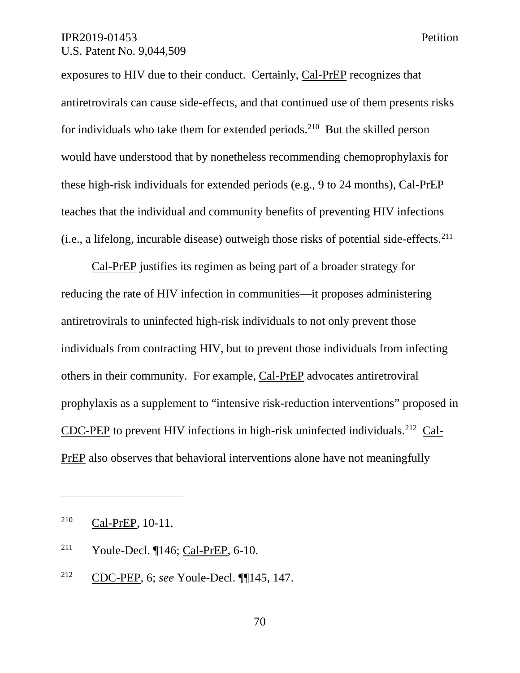exposures to HIV due to their conduct. Certainly, Cal-PrEP recognizes that antiretrovirals can cause side-effects, and that continued use of them presents risks for individuals who take them for extended periods.<sup>210</sup> But the skilled person would have understood that by nonetheless recommending chemoprophylaxis for these high-risk individuals for extended periods (e.g., 9 to 24 months), Cal-PrEP teaches that the individual and community benefits of preventing HIV infections (i.e., a lifelong, incurable disease) outweigh those risks of potential side-effects.  $^{211}$ 

Cal-PrEP justifies its regimen as being part of a broader strategy for reducing the rate of HIV infection in communities—it proposes administering antiretrovirals to uninfected high-risk individuals to not only prevent those individuals from contracting HIV, but to prevent those individuals from infecting others in their community. For example, Cal-PrEP advocates antiretroviral prophylaxis as a supplement to "intensive risk-reduction interventions" proposed in CDC-PEP to prevent HIV infections in high-risk uninfected individuals.212 Cal-PrEP also observes that behavioral interventions alone have not meaningfully

<sup>210</sup> Cal-PrEP, 10-11.

<sup>211</sup> Youle-Decl. ¶146; Cal-PrEP, 6-10.

<sup>212</sup> CDC-PEP, 6; *see* Youle-Decl. ¶¶145, 147.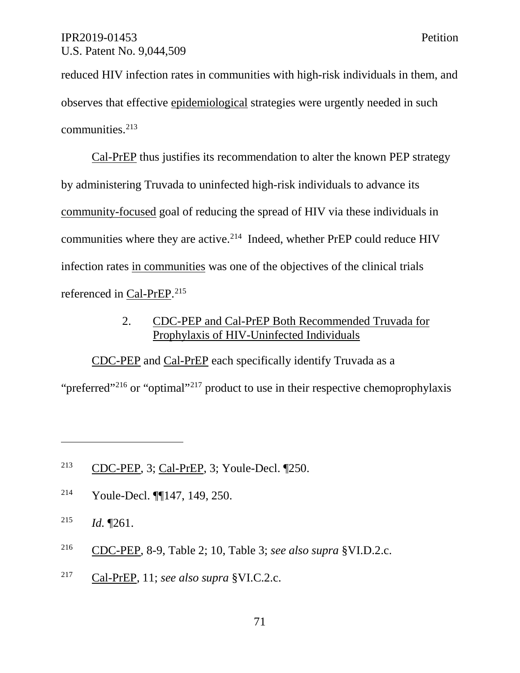reduced HIV infection rates in communities with high-risk individuals in them, and observes that effective epidemiological strategies were urgently needed in such communities.<sup>213</sup>

Cal-PrEP thus justifies its recommendation to alter the known PEP strategy by administering Truvada to uninfected high-risk individuals to advance its community-focused goal of reducing the spread of HIV via these individuals in communities where they are active. $2^{14}$  Indeed, whether PrEP could reduce HIV infection rates in communities was one of the objectives of the clinical trials referenced in Cal-PrEP.<sup>215</sup>

# 2. CDC-PEP and Cal-PrEP Both Recommended Truvada for Prophylaxis of HIV-Uninfected Individuals

CDC-PEP and Cal-PrEP each specifically identify Truvada as a

"preferred"<sup>216</sup> or "optimal"<sup>217</sup> product to use in their respective chemoprophylaxis

<sup>214</sup> Youle-Decl. ¶¶147, 149, 250.

<sup>215</sup> *Id.* ¶261.

- <sup>216</sup> CDC-PEP, 8-9, Table 2; 10, Table 3; *see also supra* §VI.D.2.c.
- <sup>217</sup> Cal-PrEP, 11; *see also supra* §VI.C.2.c.

<sup>213</sup> CDC-PEP, 3; Cal-PrEP, 3; Youle-Decl. ¶250.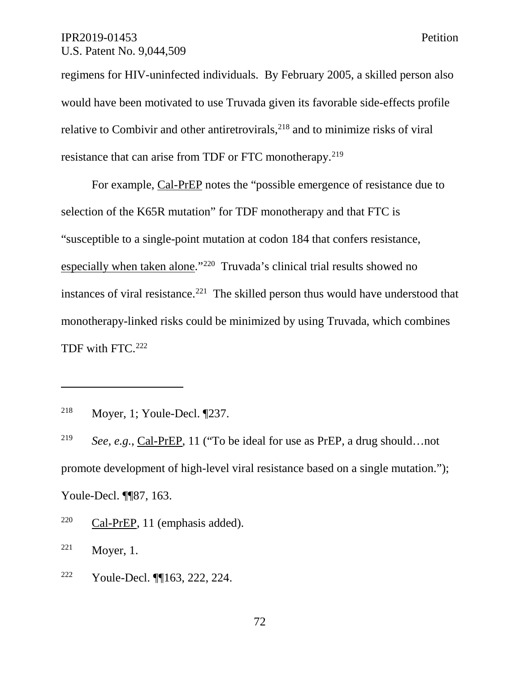regimens for HIV-uninfected individuals. By February 2005, a skilled person also would have been motivated to use Truvada given its favorable side-effects profile relative to Combivir and other antiretrovirals, $^{218}$  and to minimize risks of viral resistance that can arise from TDF or FTC monotherapy.<sup>219</sup>

For example, Cal-PrEP notes the "possible emergence of resistance due to selection of the K65R mutation" for TDF monotherapy and that FTC is "susceptible to a single-point mutation at codon 184 that confers resistance, especially when taken alone."220 Truvada's clinical trial results showed no instances of viral resistance.<sup>221</sup> The skilled person thus would have understood that monotherapy-linked risks could be minimized by using Truvada, which combines TDF with FTC.<sup>222</sup>

 $\overline{a}$ 

<sup>222</sup> Youle-Decl. ¶¶163, 222, 224.

<sup>218</sup> Moyer, 1; Youle-Decl. ¶237.

<sup>219</sup> *See, e.g.*, Cal-PrEP, 11 ("To be ideal for use as PrEP, a drug should…not promote development of high-level viral resistance based on a single mutation."); Youle-Decl. ¶¶87, 163.

<sup>220</sup> Cal-PrEP, 11 (emphasis added).

<sup>221</sup> Moyer, 1.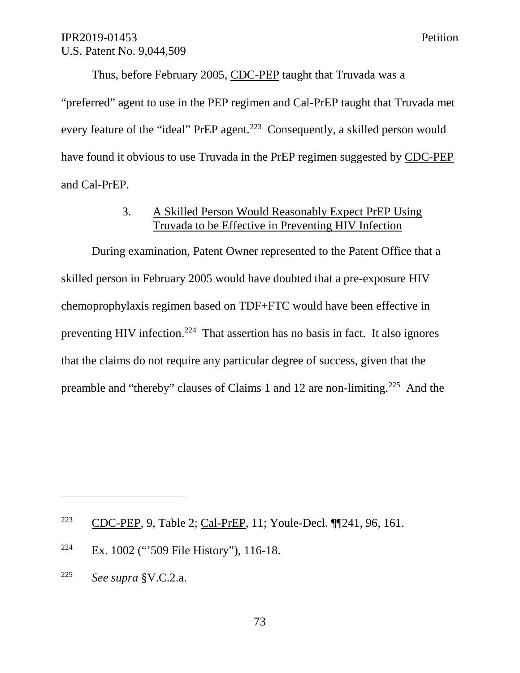Thus, before February 2005, CDC-PEP taught that Truvada was a "preferred" agent to use in the PEP regimen and Cal-PrEP taught that Truvada met every feature of the "ideal" PrEP agent.<sup>223</sup> Consequently, a skilled person would have found it obvious to use Truvada in the PrEP regimen suggested by CDC-PEP and Cal-PrEP.

# 3. A Skilled Person Would Reasonably Expect PrEP Using Truvada to be Effective in Preventing HIV Infection

During examination, Patent Owner represented to the Patent Office that a skilled person in February 2005 would have doubted that a pre-exposure HIV chemoprophylaxis regimen based on TDF+FTC would have been effective in preventing HIV infection.<sup>224</sup> That assertion has no basis in fact. It also ignores that the claims do not require any particular degree of success, given that the preamble and "thereby" clauses of Claims 1 and 12 are non-limiting.225 And the

<sup>223</sup> CDC-PEP, 9, Table 2; Cal-PrEP, 11; Youle-Decl. ¶¶241, 96, 161.

<sup>&</sup>lt;sup>224</sup> Ex. 1002 ("509 File History"), 116-18.

<sup>225</sup> *See supra* §V.C.2.a.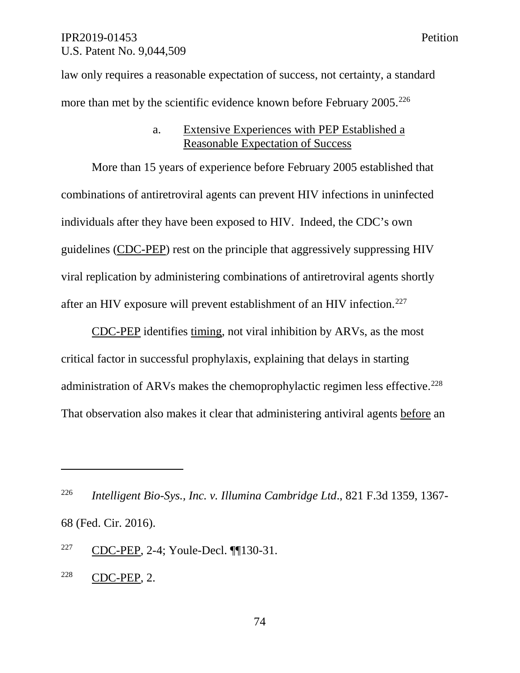law only requires a reasonable expectation of success, not certainty, a standard more than met by the scientific evidence known before February 2005.<sup>226</sup>

#### a. Extensive Experiences with PEP Established a Reasonable Expectation of Success

More than 15 years of experience before February 2005 established that combinations of antiretroviral agents can prevent HIV infections in uninfected individuals after they have been exposed to HIV. Indeed, the CDC's own guidelines (CDC-PEP) rest on the principle that aggressively suppressing HIV viral replication by administering combinations of antiretroviral agents shortly after an HIV exposure will prevent establishment of an HIV infection.<sup>227</sup>

CDC-PEP identifies timing, not viral inhibition by ARVs, as the most critical factor in successful prophylaxis, explaining that delays in starting administration of ARVs makes the chemoprophylactic regimen less effective.<sup>228</sup> That observation also makes it clear that administering antiviral agents before an

<sup>226</sup> *Intelligent Bio-Sys., Inc. v. Illumina Cambridge Ltd*., 821 F.3d 1359, 1367- 68 (Fed. Cir. 2016).

<sup>227</sup> CDC-PEP, 2-4; Youle-Decl. ¶¶130-31.

<sup>228</sup> CDC-PEP, 2.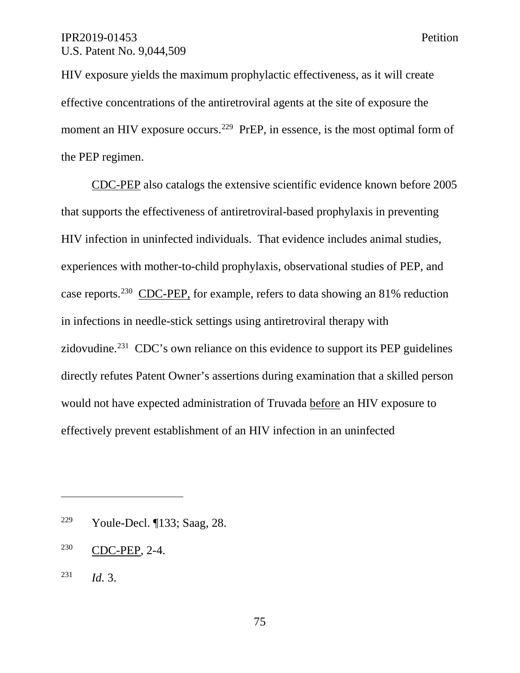HIV exposure yields the maximum prophylactic effectiveness, as it will create effective concentrations of the antiretroviral agents at the site of exposure the moment an HIV exposure occurs.<sup>229</sup> PrEP, in essence, is the most optimal form of the PEP regimen.

CDC-PEP also catalogs the extensive scientific evidence known before 2005 that supports the effectiveness of antiretroviral-based prophylaxis in preventing HIV infection in uninfected individuals. That evidence includes animal studies, experiences with mother-to-child prophylaxis, observational studies of PEP, and case reports.230 CDC-PEP, for example, refers to data showing an 81% reduction in infections in needle-stick settings using antiretroviral therapy with zidovudine.<sup>231</sup> CDC's own reliance on this evidence to support its PEP guidelines directly refutes Patent Owner's assertions during examination that a skilled person would not have expected administration of Truvada before an HIV exposure to effectively prevent establishment of an HIV infection in an uninfected

<sup>229</sup> Youle-Decl. ¶133; Saag, 28.

<sup>230</sup> CDC-PEP, 2-4.

<sup>231</sup> *Id.* 3.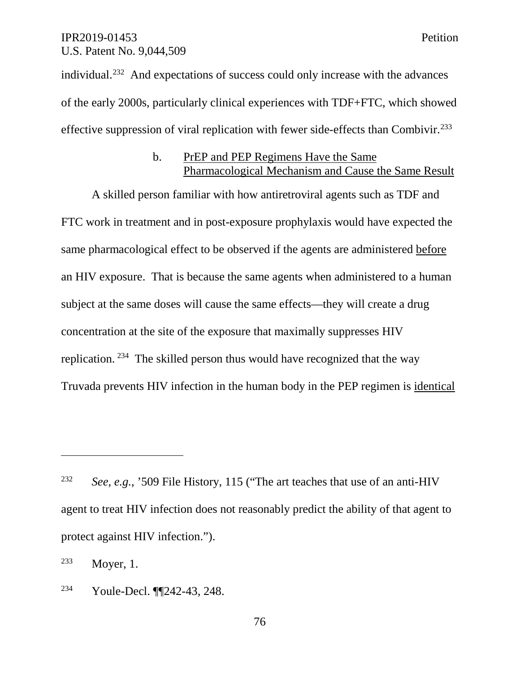individual.232 And expectations of success could only increase with the advances of the early 2000s, particularly clinical experiences with TDF+FTC, which showed effective suppression of viral replication with fewer side-effects than Combivir.<sup>233</sup>

#### b. PrEP and PEP Regimens Have the Same Pharmacological Mechanism and Cause the Same Result

A skilled person familiar with how antiretroviral agents such as TDF and FTC work in treatment and in post-exposure prophylaxis would have expected the same pharmacological effect to be observed if the agents are administered before an HIV exposure. That is because the same agents when administered to a human subject at the same doses will cause the same effects—they will create a drug concentration at the site of the exposure that maximally suppresses HIV replication. 234 The skilled person thus would have recognized that the way Truvada prevents HIV infection in the human body in the PEP regimen is identical

<sup>232</sup> *See, e.g.*, '509 File History, 115 ("The art teaches that use of an anti-HIV agent to treat HIV infection does not reasonably predict the ability of that agent to protect against HIV infection.").

<sup>233</sup> Moyer, 1.

<sup>234</sup> Youle-Decl. ¶¶242-43, 248.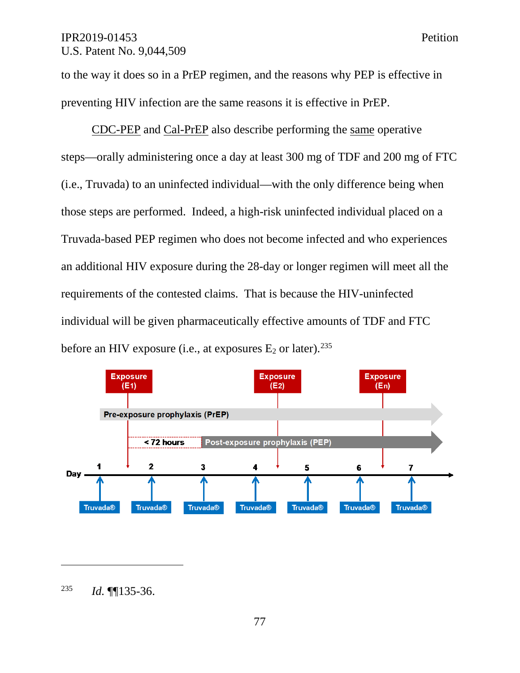to the way it does so in a PrEP regimen, and the reasons why PEP is effective in preventing HIV infection are the same reasons it is effective in PrEP.

CDC-PEP and Cal-PrEP also describe performing the same operative steps—orally administering once a day at least 300 mg of TDF and 200 mg of FTC (i.e., Truvada) to an uninfected individual—with the only difference being when those steps are performed. Indeed, a high-risk uninfected individual placed on a Truvada-based PEP regimen who does not become infected and who experiences an additional HIV exposure during the 28-day or longer regimen will meet all the requirements of the contested claims. That is because the HIV-uninfected individual will be given pharmaceutically effective amounts of TDF and FTC before an HIV exposure (i.e., at exposures  $E_2$  or later).<sup>235</sup>



77

<sup>235</sup> *Id.* ¶¶135-36.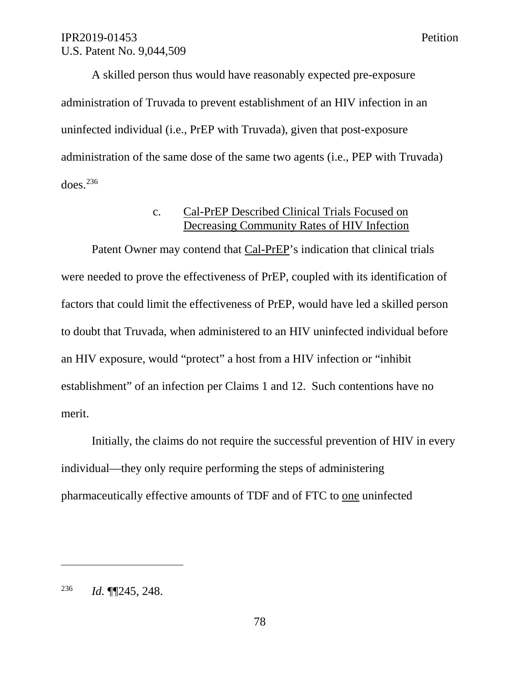A skilled person thus would have reasonably expected pre-exposure administration of Truvada to prevent establishment of an HIV infection in an uninfected individual (i.e., PrEP with Truvada), given that post-exposure administration of the same dose of the same two agents (i.e., PEP with Truvada) does. 236

#### c. Cal-PrEP Described Clinical Trials Focused on Decreasing Community Rates of HIV Infection

Patent Owner may contend that Cal-PrEP's indication that clinical trials were needed to prove the effectiveness of PrEP, coupled with its identification of factors that could limit the effectiveness of PrEP, would have led a skilled person to doubt that Truvada, when administered to an HIV uninfected individual before an HIV exposure, would "protect" a host from a HIV infection or "inhibit establishment" of an infection per Claims 1 and 12. Such contentions have no merit.

Initially, the claims do not require the successful prevention of HIV in every individual—they only require performing the steps of administering pharmaceutically effective amounts of TDF and of FTC to one uninfected

 $\overline{a}$ 

78

<sup>236</sup> *Id.* ¶¶245, 248.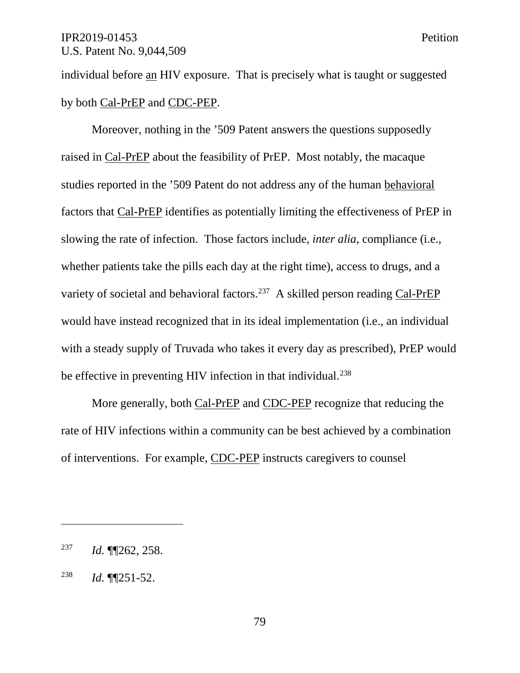individual before an HIV exposure. That is precisely what is taught or suggested by both Cal-PrEP and CDC-PEP.

Moreover, nothing in the '509 Patent answers the questions supposedly raised in Cal-PrEP about the feasibility of PrEP. Most notably, the macaque studies reported in the '509 Patent do not address any of the human behavioral factors that Cal-PrEP identifies as potentially limiting the effectiveness of PrEP in slowing the rate of infection. Those factors include, *inter alia*, compliance (i.e., whether patients take the pills each day at the right time), access to drugs, and a variety of societal and behavioral factors.<sup>237</sup> A skilled person reading Cal-PrEP would have instead recognized that in its ideal implementation (i.e., an individual with a steady supply of Truvada who takes it every day as prescribed), PrEP would be effective in preventing HIV infection in that individual.<sup>238</sup>

More generally, both Cal-PrEP and CDC-PEP recognize that reducing the rate of HIV infections within a community can be best achieved by a combination of interventions. For example, CDC-PEP instructs caregivers to counsel

<sup>237</sup> *Id.* ¶¶262, 258.

<sup>238</sup> *Id.* ¶¶251-52.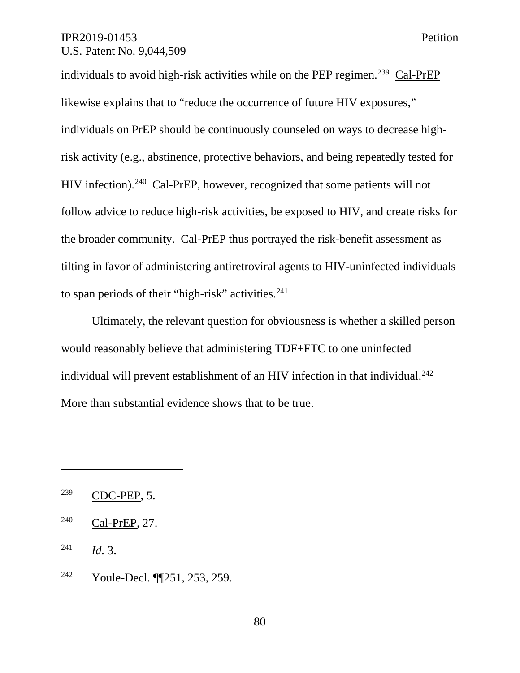individuals to avoid high-risk activities while on the PEP regimen.<sup>239</sup> Cal-PrEP likewise explains that to "reduce the occurrence of future HIV exposures," individuals on PrEP should be continuously counseled on ways to decrease highrisk activity (e.g., abstinence, protective behaviors, and being repeatedly tested for HIV infection).240 Cal-PrEP, however, recognized that some patients will not follow advice to reduce high-risk activities, be exposed to HIV, and create risks for the broader community. Cal-PrEP thus portrayed the risk-benefit assessment as tilting in favor of administering antiretroviral agents to HIV-uninfected individuals to span periods of their "high-risk" activities.<sup>241</sup>

Ultimately, the relevant question for obviousness is whether a skilled person would reasonably believe that administering TDF+FTC to one uninfected individual will prevent establishment of an HIV infection in that individual. 242 More than substantial evidence shows that to be true.

 $\overline{a}$ 

<sup>242</sup> Youle-Decl. ¶¶251, 253, 259.

80

 $239$  CDC-PEP, 5.

<sup>240</sup> Cal-PrEP, 27.

<sup>241</sup> *Id.* 3.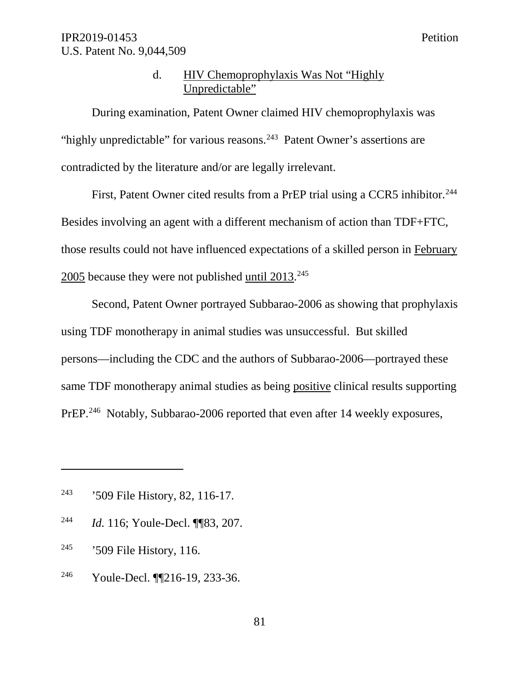# d. HIV Chemoprophylaxis Was Not "Highly Unpredictable"

During examination, Patent Owner claimed HIV chemoprophylaxis was "highly unpredictable" for various reasons.<sup>243</sup> Patent Owner's assertions are contradicted by the literature and/or are legally irrelevant.

First, Patent Owner cited results from a PrEP trial using a CCR5 inhibitor.<sup>244</sup> Besides involving an agent with a different mechanism of action than TDF+FTC, those results could not have influenced expectations of a skilled person in February  $2005$  because they were not published  $until 2013.<sup>245</sup>$ </u>

Second, Patent Owner portrayed Subbarao-2006 as showing that prophylaxis using TDF monotherapy in animal studies was unsuccessful. But skilled persons—including the CDC and the authors of Subbarao-2006—portrayed these same TDF monotherapy animal studies as being positive clinical results supporting PrEP.<sup>246</sup> Notably, Subbarao-2006 reported that even after 14 weekly exposures,

- <sup>244</sup> *Id.* 116; Youle-Decl. ¶¶83, 207.
- <sup>245</sup> '509 File History, 116.

 $\overline{a}$ 

<sup>246</sup> Youle-Decl. ¶¶216-19, 233-36.

<sup>&</sup>lt;sup>243</sup> '509 File History, 82, 116-17.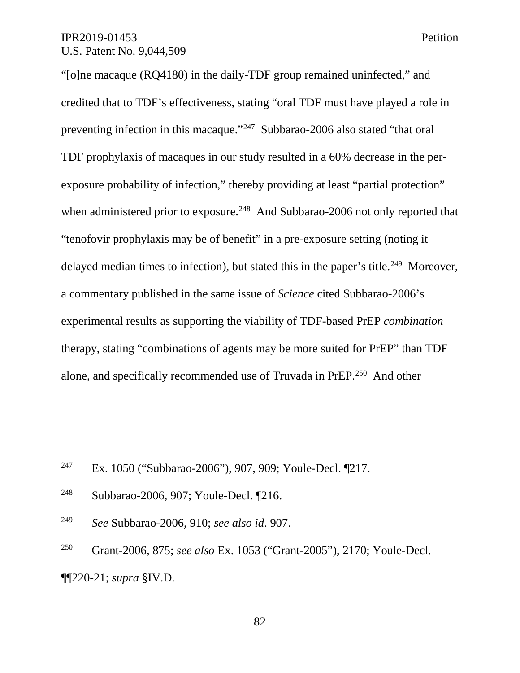"[o]ne macaque (RQ4180) in the daily-TDF group remained uninfected," and credited that to TDF's effectiveness, stating "oral TDF must have played a role in preventing infection in this macaque."247 Subbarao-2006 also stated "that oral TDF prophylaxis of macaques in our study resulted in a 60% decrease in the perexposure probability of infection," thereby providing at least "partial protection" when administered prior to exposure.<sup>248</sup> And Subbarao-2006 not only reported that "tenofovir prophylaxis may be of benefit" in a pre-exposure setting (noting it delayed median times to infection), but stated this in the paper's title.<sup>249</sup> Moreover, a commentary published in the same issue of *Science* cited Subbarao-2006's experimental results as supporting the viability of TDF-based PrEP *combination* therapy, stating "combinations of agents may be more suited for PrEP" than TDF alone, and specifically recommended use of Truvada in PrEP.250 And other

<sup>247</sup> Ex. 1050 ("Subbarao-2006"), 907, 909; Youle-Decl. ¶217.

 $\overline{a}$ 

<sup>249</sup> *See* Subbarao-2006, 910; *see also id*. 907.

<sup>250</sup> Grant-2006, 875; *see also* Ex. 1053 ("Grant-2005"), 2170; Youle-Decl. ¶¶220-21; *supra* §IV.D.

82

<sup>248</sup> Subbarao-2006, 907; Youle-Decl. ¶216.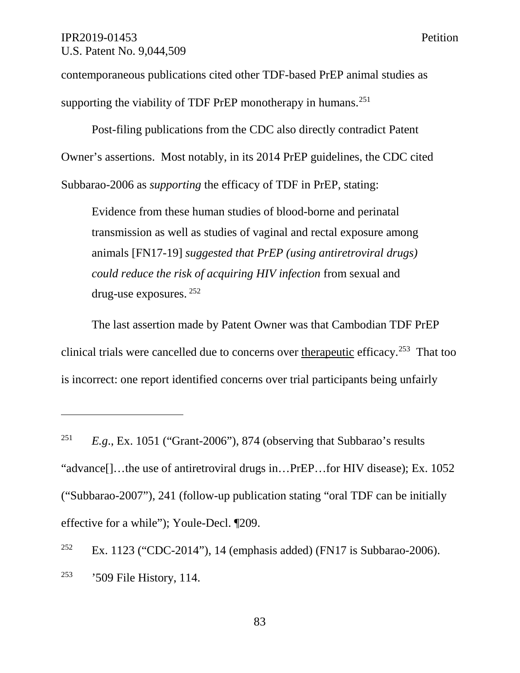$\overline{a}$ 

contemporaneous publications cited other TDF-based PrEP animal studies as supporting the viability of TDF PrEP monotherapy in humans.<sup>251</sup>

Post-filing publications from the CDC also directly contradict Patent Owner's assertions. Most notably, in its 2014 PrEP guidelines, the CDC cited Subbarao-2006 as *supporting* the efficacy of TDF in PrEP, stating:

Evidence from these human studies of blood-borne and perinatal transmission as well as studies of vaginal and rectal exposure among animals [FN17-19] *suggested that PrEP (using antiretroviral drugs) could reduce the risk of acquiring HIV infection* from sexual and drug-use exposures. <sup>252</sup>

The last assertion made by Patent Owner was that Cambodian TDF PrEP clinical trials were cancelled due to concerns over therapeutic efficacy.253 That too is incorrect: one report identified concerns over trial participants being unfairly

<sup>&</sup>lt;sup>251</sup> *E.g.*, Ex. 1051 ("Grant-2006"), 874 (observing that Subbarao's results "advance[]…the use of antiretroviral drugs in…PrEP…for HIV disease); Ex. 1052 ("Subbarao-2007"), 241 (follow-up publication stating "oral TDF can be initially effective for a while"); Youle-Decl. ¶209.

<sup>&</sup>lt;sup>252</sup> Ex. 1123 ("CDC-2014"), 14 (emphasis added) (FN17 is Subbarao-2006). <sup>253</sup> '509 File History, 114.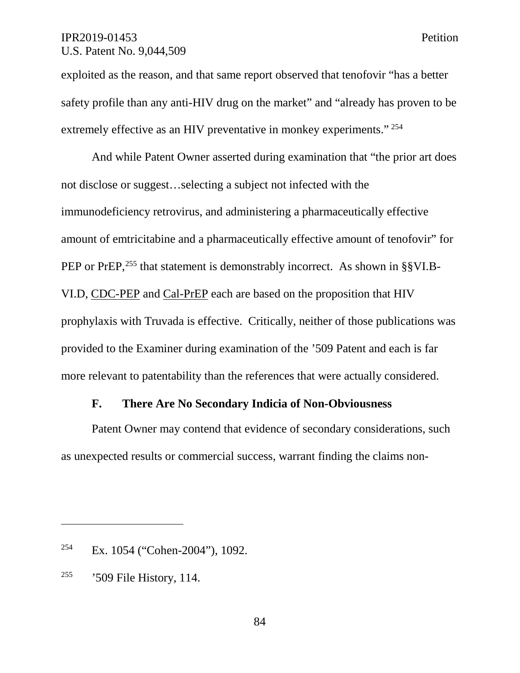exploited as the reason, and that same report observed that tenofovir "has a better safety profile than any anti-HIV drug on the market" and "already has proven to be extremely effective as an HIV preventative in monkey experiments." <sup>254</sup>

And while Patent Owner asserted during examination that "the prior art does not disclose or suggest…selecting a subject not infected with the immunodeficiency retrovirus, and administering a pharmaceutically effective amount of emtricitabine and a pharmaceutically effective amount of tenofovir" for PEP or PrEP,<sup>255</sup> that statement is demonstrably incorrect. As shown in §§VI.B-VI.D, CDC-PEP and Cal-PrEP each are based on the proposition that HIV prophylaxis with Truvada is effective. Critically, neither of those publications was provided to the Examiner during examination of the '509 Patent and each is far more relevant to patentability than the references that were actually considered.

# **F. There Are No Secondary Indicia of Non-Obviousness**

Patent Owner may contend that evidence of secondary considerations, such as unexpected results or commercial success, warrant finding the claims non-

 $\overline{a}$ 

84

<sup>254</sup> Ex. 1054 ("Cohen-2004"), 1092.

<sup>255</sup> '509 File History, 114.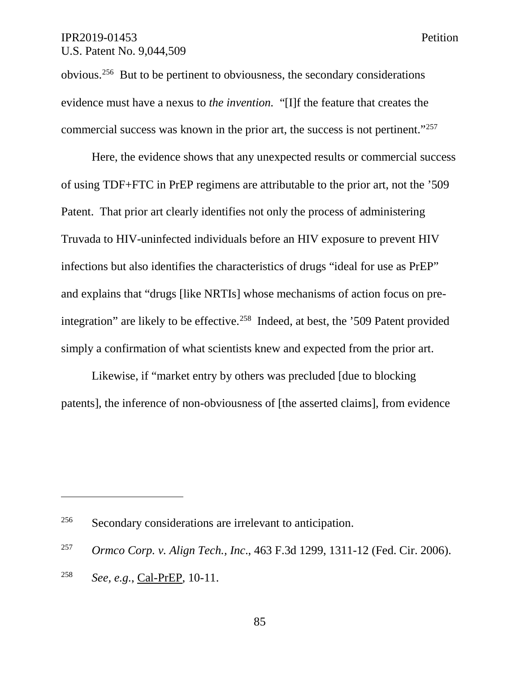obvious.256 But to be pertinent to obviousness, the secondary considerations evidence must have a nexus to *the invention.* "[I]f the feature that creates the commercial success was known in the prior art, the success is not pertinent."257

Here, the evidence shows that any unexpected results or commercial success of using TDF+FTC in PrEP regimens are attributable to the prior art, not the '509 Patent. That prior art clearly identifies not only the process of administering Truvada to HIV-uninfected individuals before an HIV exposure to prevent HIV infections but also identifies the characteristics of drugs "ideal for use as PrEP" and explains that "drugs [like NRTIs] whose mechanisms of action focus on preintegration" are likely to be effective.<sup>258</sup> Indeed, at best, the '509 Patent provided simply a confirmation of what scientists knew and expected from the prior art.

Likewise, if "market entry by others was precluded [due to blocking patents], the inference of non-obviousness of [the asserted claims], from evidence

<sup>256</sup> Secondary considerations are irrelevant to anticipation.

<sup>257</sup> *Ormco Corp. v. Align Tech., Inc*., 463 F.3d 1299, 1311-12 (Fed. Cir. 2006).

<sup>258</sup> *See, e.g.*, Cal-PrEP, 10-11.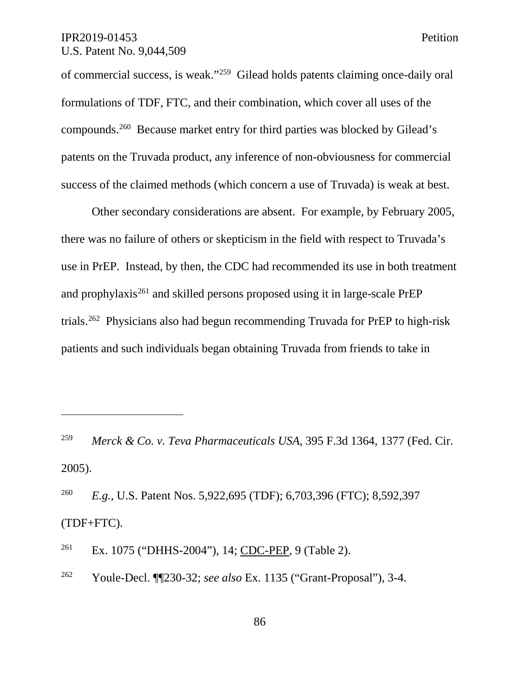$\overline{a}$ 

of commercial success, is weak."259 Gilead holds patents claiming once-daily oral formulations of TDF, FTC, and their combination, which cover all uses of the compounds. 260 Because market entry for third parties was blocked by Gilead's patents on the Truvada product, any inference of non-obviousness for commercial success of the claimed methods (which concern a use of Truvada) is weak at best.

Other secondary considerations are absent. For example, by February 2005, there was no failure of others or skepticism in the field with respect to Truvada's use in PrEP. Instead, by then, the CDC had recommended its use in both treatment and prophylaxis<sup>261</sup> and skilled persons proposed using it in large-scale PrEP trials.262 Physicians also had begun recommending Truvada for PrEP to high-risk patients and such individuals began obtaining Truvada from friends to take in

<sup>261</sup> Ex. 1075 ("DHHS-2004"), 14; CDC-PEP, 9 (Table 2).

<sup>262</sup> Youle-Decl. ¶¶230-32; *see also* Ex. 1135 ("Grant-Proposal"), 3-4.

<sup>259</sup> *Merck & Co. v. Teva Pharmaceuticals USA*, 395 F.3d 1364, 1377 (Fed. Cir. 2005).

<sup>260</sup> *E.g.*, U.S. Patent Nos. 5,922,695 (TDF); 6,703,396 (FTC); 8,592,397 (TDF+FTC).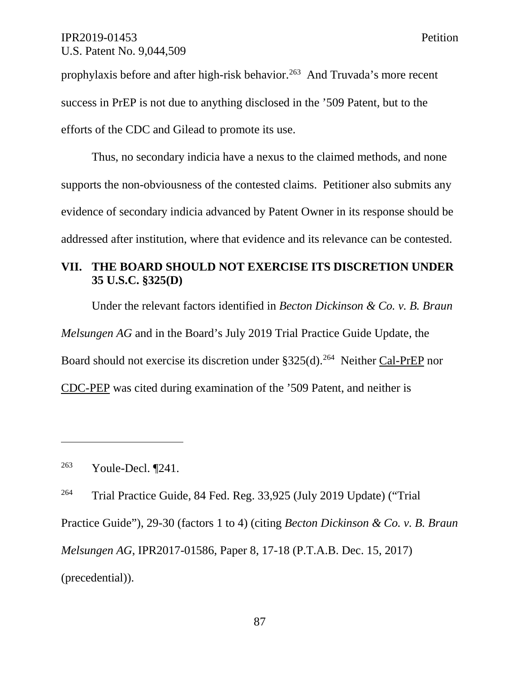prophylaxis before and after high-risk behavior.<sup>263</sup> And Truvada's more recent success in PrEP is not due to anything disclosed in the '509 Patent, but to the efforts of the CDC and Gilead to promote its use.

Thus, no secondary indicia have a nexus to the claimed methods, and none supports the non-obviousness of the contested claims. Petitioner also submits any evidence of secondary indicia advanced by Patent Owner in its response should be addressed after institution, where that evidence and its relevance can be contested.

# **VII. THE BOARD SHOULD NOT EXERCISE ITS DISCRETION UNDER 35 U.S.C. §325(D)**

Under the relevant factors identified in *Becton Dickinson & Co. v. B. Braun Melsungen AG* and in the Board's July 2019 Trial Practice Guide Update, the Board should not exercise its discretion under  $$325(d).^{264}$  Neither Cal-PrEP nor CDC-PEP was cited during examination of the '509 Patent, and neither is

<sup>263</sup> Youle-Decl. ¶241.

 $\overline{a}$ 

<sup>264</sup> Trial Practice Guide, 84 Fed. Reg. 33,925 (July 2019 Update) ("Trial Practice Guide"), 29-30 (factors 1 to 4) (citing *Becton Dickinson & Co. v. B. Braun Melsungen AG*, IPR2017-01586, Paper 8, 17-18 (P.T.A.B. Dec. 15, 2017) (precedential)).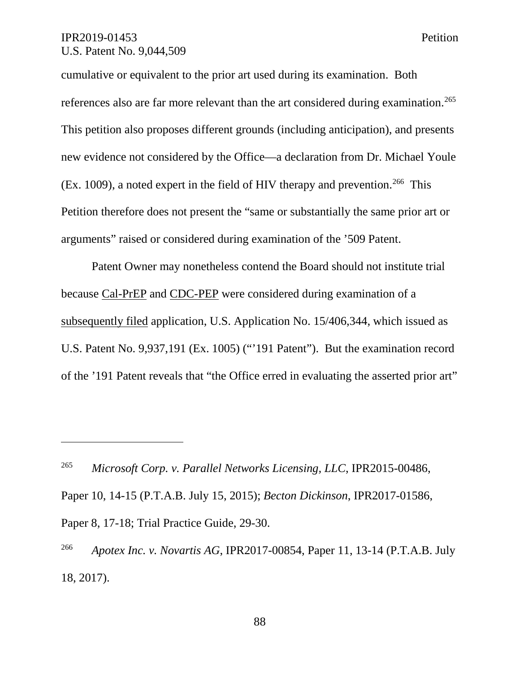$\overline{a}$ 

cumulative or equivalent to the prior art used during its examination. Both references also are far more relevant than the art considered during examination.<sup>265</sup> This petition also proposes different grounds (including anticipation), and presents new evidence not considered by the Office—a declaration from Dr. Michael Youle (Ex. 1009), a noted expert in the field of HIV therapy and prevention.<sup>266</sup> This Petition therefore does not present the "same or substantially the same prior art or arguments" raised or considered during examination of the '509 Patent.

Patent Owner may nonetheless contend the Board should not institute trial because Cal-PrEP and CDC-PEP were considered during examination of a subsequently filed application, U.S. Application No. 15/406,344, which issued as U.S. Patent No. 9,937,191 (Ex. 1005) ("'191 Patent"). But the examination record of the '191 Patent reveals that "the Office erred in evaluating the asserted prior art"

<sup>265</sup> *Microsoft Corp. v. Parallel Networks Licensing, LLC*, IPR2015-00486, Paper 10, 14-15 (P.T.A.B. July 15, 2015); *Becton Dickinson*, IPR2017-01586, Paper 8, 17-18; Trial Practice Guide, 29-30.

<sup>266</sup> *Apotex Inc. v. Novartis AG*, IPR2017-00854, Paper 11, 13-14 (P.T.A.B. July 18, 2017).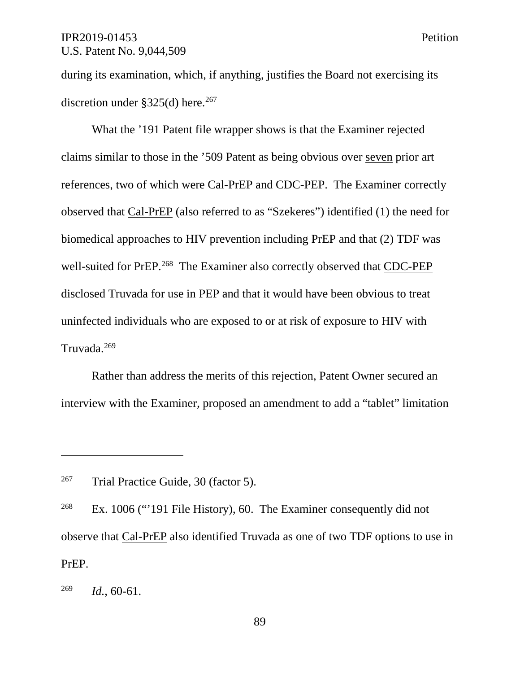during its examination, which, if anything, justifies the Board not exercising its discretion under  $$325(d)$  here.<sup>267</sup>

What the '191 Patent file wrapper shows is that the Examiner rejected claims similar to those in the '509 Patent as being obvious over seven prior art references, two of which were Cal-PrEP and CDC-PEP. The Examiner correctly observed that Cal-PrEP (also referred to as "Szekeres") identified (1) the need for biomedical approaches to HIV prevention including PrEP and that (2) TDF was well-suited for PrEP.<sup>268</sup> The Examiner also correctly observed that CDC-PEP disclosed Truvada for use in PEP and that it would have been obvious to treat uninfected individuals who are exposed to or at risk of exposure to HIV with Truvada. 269

Rather than address the merits of this rejection, Patent Owner secured an interview with the Examiner, proposed an amendment to add a "tablet" limitation

 $267$  Trial Practice Guide, 30 (factor 5).

<sup>&</sup>lt;sup>268</sup> Ex. 1006 ("191 File History), 60. The Examiner consequently did not observe that Cal-PrEP also identified Truvada as one of two TDF options to use in PrEP.

<sup>269</sup> *Id.*, 60-61.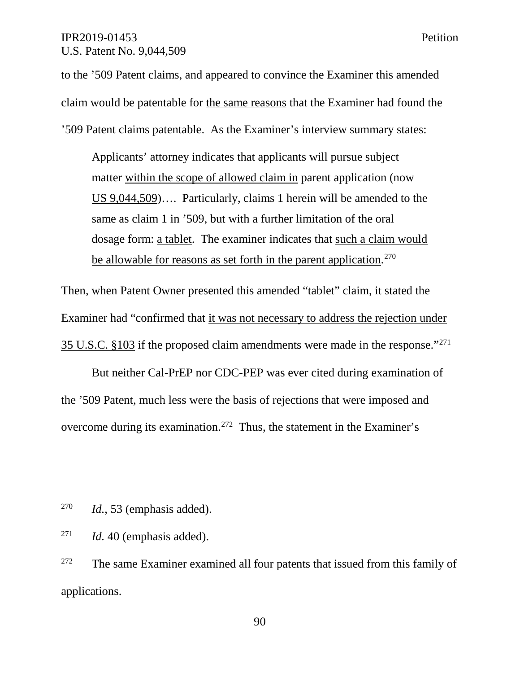to the '509 Patent claims, and appeared to convince the Examiner this amended claim would be patentable for the same reasons that the Examiner had found the '509 Patent claims patentable. As the Examiner's interview summary states:

Applicants' attorney indicates that applicants will pursue subject matter within the scope of allowed claim in parent application (now US 9,044,509)…. Particularly, claims 1 herein will be amended to the same as claim 1 in '509, but with a further limitation of the oral dosage form: a tablet. The examiner indicates that such a claim would be allowable for reasons as set forth in the parent application.<sup>270</sup>

Then, when Patent Owner presented this amended "tablet" claim, it stated the Examiner had "confirmed that it was not necessary to address the rejection under 35 U.S.C. §103 if the proposed claim amendments were made in the response."271

But neither Cal-PrEP nor CDC-PEP was ever cited during examination of the '509 Patent, much less were the basis of rejections that were imposed and overcome during its examination.272 Thus, the statement in the Examiner's

<sup>270</sup> *Id.*, 53 (emphasis added).

<sup>271</sup> *Id.* 40 (emphasis added).

 $272$  The same Examiner examined all four patents that issued from this family of applications.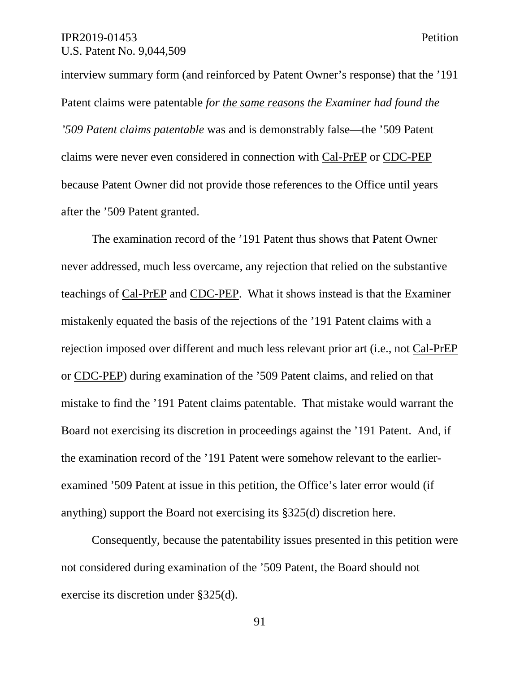interview summary form (and reinforced by Patent Owner's response) that the '191 Patent claims were patentable *for the same reasons the Examiner had found the '509 Patent claims patentable* was and is demonstrably false—the '509 Patent claims were never even considered in connection with Cal-PrEP or CDC-PEP because Patent Owner did not provide those references to the Office until years after the '509 Patent granted.

The examination record of the '191 Patent thus shows that Patent Owner never addressed, much less overcame, any rejection that relied on the substantive teachings of Cal-PrEP and CDC-PEP. What it shows instead is that the Examiner mistakenly equated the basis of the rejections of the '191 Patent claims with a rejection imposed over different and much less relevant prior art (i.e., not Cal-PrEP or CDC-PEP) during examination of the '509 Patent claims, and relied on that mistake to find the '191 Patent claims patentable. That mistake would warrant the Board not exercising its discretion in proceedings against the '191 Patent. And, if the examination record of the '191 Patent were somehow relevant to the earlierexamined '509 Patent at issue in this petition, the Office's later error would (if anything) support the Board not exercising its §325(d) discretion here.

Consequently, because the patentability issues presented in this petition were not considered during examination of the '509 Patent, the Board should not exercise its discretion under §325(d).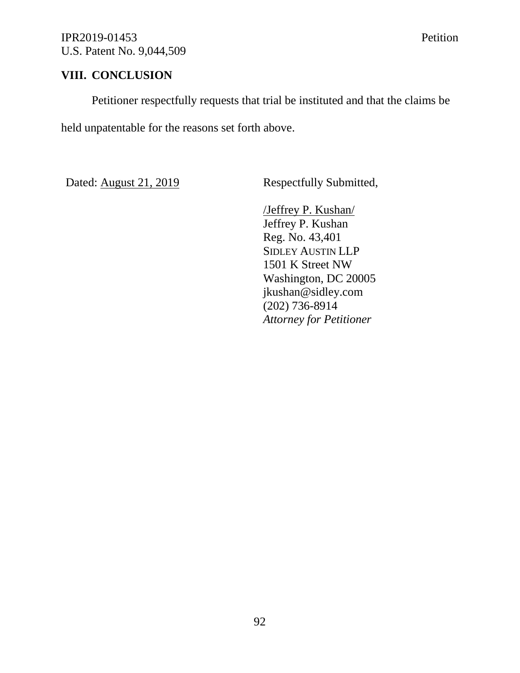# **VIII. CONCLUSION**

Petitioner respectfully requests that trial be instituted and that the claims be

held unpatentable for the reasons set forth above.

Dated: August 21, 2019 Respectfully Submitted,

/Jeffrey P. Kushan/ Jeffrey P. Kushan Reg. No. 43,401 SIDLEY AUSTIN LLP 1501 K Street NW Washington, DC 20005 jkushan@sidley.com (202) 736-8914 *Attorney for Petitioner*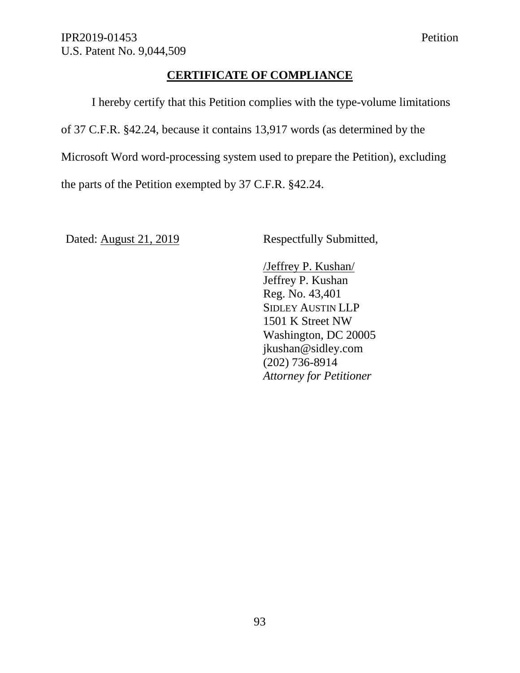# **CERTIFICATE OF COMPLIANCE**

I hereby certify that this Petition complies with the type-volume limitations of 37 C.F.R. §42.24, because it contains 13,917 words (as determined by the Microsoft Word word-processing system used to prepare the Petition), excluding the parts of the Petition exempted by 37 C.F.R. §42.24.

Dated: August 21, 2019 Respectfully Submitted,

/Jeffrey P. Kushan/ Jeffrey P. Kushan Reg. No. 43,401 SIDLEY AUSTIN LLP 1501 K Street NW Washington, DC 20005 jkushan@sidley.com (202) 736-8914 *Attorney for Petitioner*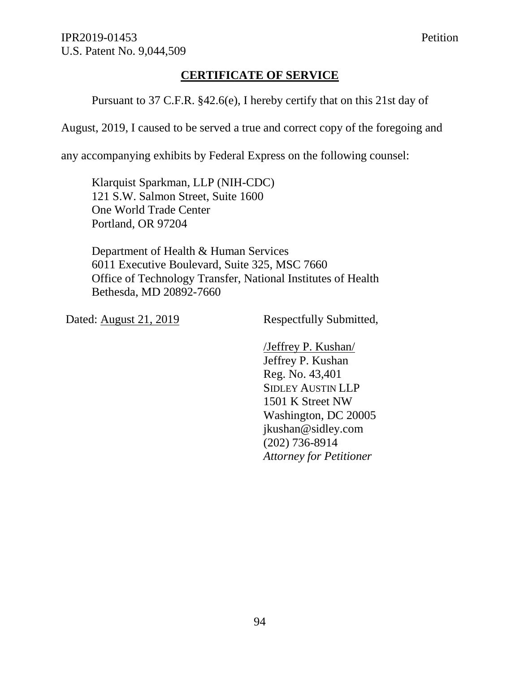# **CERTIFICATE OF SERVICE**

Pursuant to 37 C.F.R. §42.6(e), I hereby certify that on this 21st day of

August, 2019, I caused to be served a true and correct copy of the foregoing and

any accompanying exhibits by Federal Express on the following counsel:

Klarquist Sparkman, LLP (NIH-CDC) 121 S.W. Salmon Street, Suite 1600 One World Trade Center Portland, OR 97204

Department of Health & Human Services 6011 Executive Boulevard, Suite 325, MSC 7660 Office of Technology Transfer, National Institutes of Health Bethesda, MD 20892-7660

Dated: August 21, 2019 Respectfully Submitted,

/Jeffrey P. Kushan/ Jeffrey P. Kushan Reg. No. 43,401 SIDLEY AUSTIN LLP 1501 K Street NW Washington, DC 20005 jkushan@sidley.com (202) 736-8914 *Attorney for Petitioner*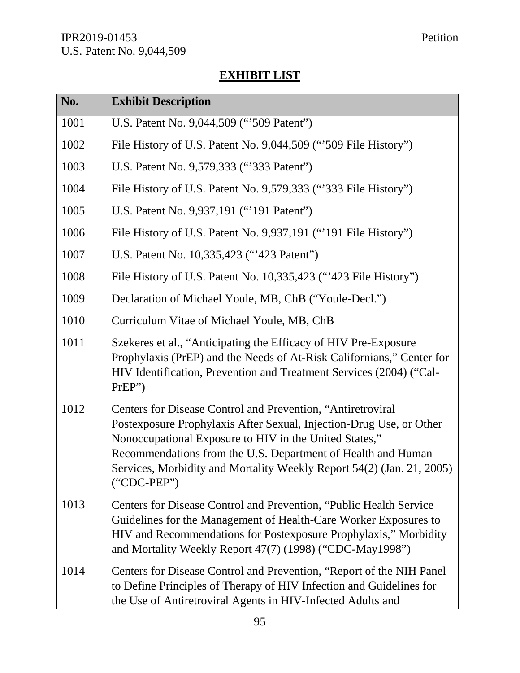# **EXHIBIT LIST**

| No.  | <b>Exhibit Description</b>                                                                                                                                                                                                                                                                                                                             |
|------|--------------------------------------------------------------------------------------------------------------------------------------------------------------------------------------------------------------------------------------------------------------------------------------------------------------------------------------------------------|
| 1001 | U.S. Patent No. 9,044,509 ("509 Patent")                                                                                                                                                                                                                                                                                                               |
| 1002 | File History of U.S. Patent No. 9,044,509 ("509 File History")                                                                                                                                                                                                                                                                                         |
| 1003 | U.S. Patent No. 9,579,333 ("333 Patent")                                                                                                                                                                                                                                                                                                               |
| 1004 | File History of U.S. Patent No. 9,579,333 ("333 File History")                                                                                                                                                                                                                                                                                         |
| 1005 | U.S. Patent No. 9,937,191 ("'191 Patent")                                                                                                                                                                                                                                                                                                              |
| 1006 | File History of U.S. Patent No. 9,937,191 ("191 File History")                                                                                                                                                                                                                                                                                         |
| 1007 | U.S. Patent No. 10,335,423 ("423 Patent")                                                                                                                                                                                                                                                                                                              |
| 1008 | File History of U.S. Patent No. 10,335,423 ("423 File History")                                                                                                                                                                                                                                                                                        |
| 1009 | Declaration of Michael Youle, MB, ChB ("Youle-Decl.")                                                                                                                                                                                                                                                                                                  |
| 1010 | Curriculum Vitae of Michael Youle, MB, ChB                                                                                                                                                                                                                                                                                                             |
| 1011 | Szekeres et al., "Anticipating the Efficacy of HIV Pre-Exposure<br>Prophylaxis (PrEP) and the Needs of At-Risk Californians," Center for<br>HIV Identification, Prevention and Treatment Services (2004) ("Cal-<br>PrEP"                                                                                                                               |
| 1012 | Centers for Disease Control and Prevention, "Antiretroviral<br>Postexposure Prophylaxis After Sexual, Injection-Drug Use, or Other<br>Nonoccupational Exposure to HIV in the United States,"<br>Recommendations from the U.S. Department of Health and Human<br>Services, Morbidity and Mortality Weekly Report 54(2) (Jan. 21, 2005)<br>$("CDC-PEP")$ |
| 1013 | Centers for Disease Control and Prevention, "Public Health Service"<br>Guidelines for the Management of Health-Care Worker Exposures to<br>HIV and Recommendations for Postexposure Prophylaxis," Morbidity<br>and Mortality Weekly Report 47(7) (1998) ("CDC-May1998")                                                                                |
| 1014 | Centers for Disease Control and Prevention, "Report of the NIH Panel"<br>to Define Principles of Therapy of HIV Infection and Guidelines for<br>the Use of Antiretroviral Agents in HIV-Infected Adults and                                                                                                                                            |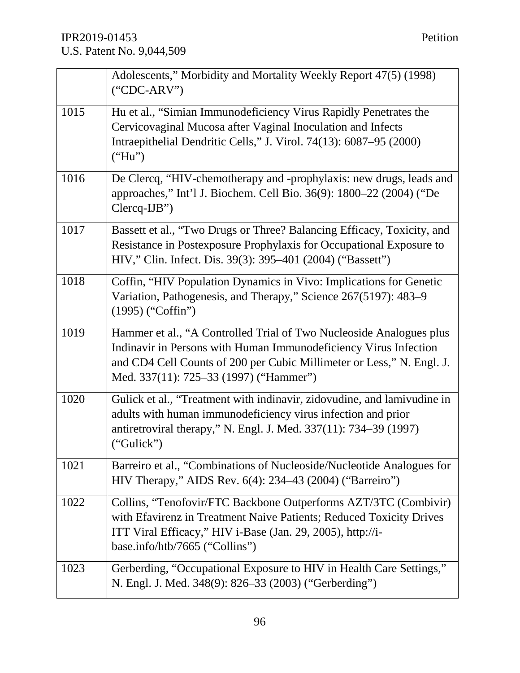|      | Adolescents," Morbidity and Mortality Weekly Report 47(5) (1998)<br>$("CDC-ARY")$                                                                                                                                                                          |
|------|------------------------------------------------------------------------------------------------------------------------------------------------------------------------------------------------------------------------------------------------------------|
| 1015 | Hu et al., "Simian Immunodeficiency Virus Rapidly Penetrates the<br>Cervicovaginal Mucosa after Vaginal Inoculation and Infects<br>Intraepithelial Dendritic Cells," J. Virol. 74(13): 6087–95 (2000)<br>("Hu")                                            |
| 1016 | De Clercq, "HIV-chemotherapy and -prophylaxis: new drugs, leads and<br>approaches," Int'l J. Biochem. Cell Bio. 36(9): 1800-22 (2004) ("De<br>$Clercq-IJB''$                                                                                               |
| 1017 | Bassett et al., "Two Drugs or Three? Balancing Efficacy, Toxicity, and<br>Resistance in Postexposure Prophylaxis for Occupational Exposure to<br>HIV," Clin. Infect. Dis. 39(3): 395–401 (2004) ("Bassett")                                                |
| 1018 | Coffin, "HIV Population Dynamics in Vivo: Implications for Genetic<br>Variation, Pathogenesis, and Therapy," Science 267(5197): 483–9<br>$(1995)$ ("Coffin")                                                                                               |
| 1019 | Hammer et al., "A Controlled Trial of Two Nucleoside Analogues plus<br>Indinavir in Persons with Human Immunodeficiency Virus Infection<br>and CD4 Cell Counts of 200 per Cubic Millimeter or Less," N. Engl. J.<br>Med. 337(11): 725–33 (1997) ("Hammer") |
| 1020 | Gulick et al., "Treatment with indinavir, zidovudine, and lamivudine in<br>adults with human immunodeficiency virus infection and prior<br>antiretroviral therapy," N. Engl. J. Med. 337(11): 734–39 (1997)<br>("Gulick")                                  |
| 1021 | Barreiro et al., "Combinations of Nucleoside/Nucleotide Analogues for<br>HIV Therapy," AIDS Rev. 6(4): 234–43 (2004) ("Barreiro")                                                                                                                          |
| 1022 | Collins, "Tenofovir/FTC Backbone Outperforms AZT/3TC (Combivir)<br>with Efavirenz in Treatment Naive Patients; Reduced Toxicity Drives<br>ITT Viral Efficacy," HIV i-Base (Jan. 29, 2005), http://i-<br>base.info/htb/7665 ("Collins")                     |
| 1023 | Gerberding, "Occupational Exposure to HIV in Health Care Settings,"<br>N. Engl. J. Med. 348(9): 826–33 (2003) ("Gerberding")                                                                                                                               |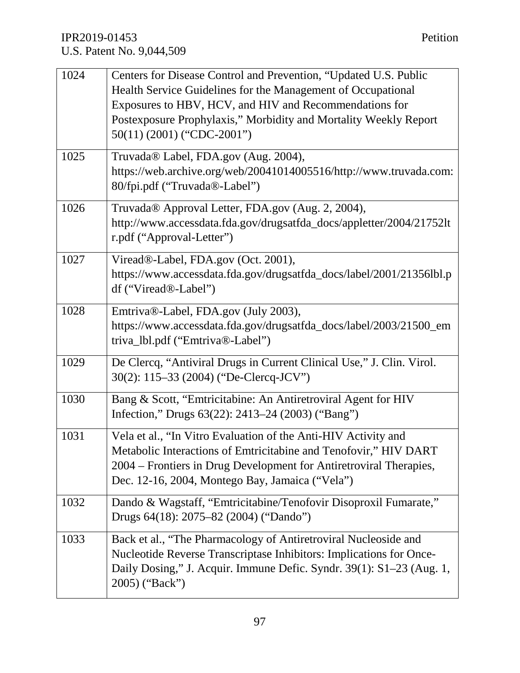| 1024 | Centers for Disease Control and Prevention, "Updated U.S. Public      |
|------|-----------------------------------------------------------------------|
|      | Health Service Guidelines for the Management of Occupational          |
|      | Exposures to HBV, HCV, and HIV and Recommendations for                |
|      | Postexposure Prophylaxis," Morbidity and Mortality Weekly Report      |
|      | $50(11)$ (2001) ("CDC-2001")                                          |
| 1025 | Truvada® Label, FDA.gov (Aug. 2004),                                  |
|      | https://web.archive.org/web/20041014005516/http://www.truvada.com:    |
|      | 80/fpi.pdf ("Truvada®-Label")                                         |
| 1026 | Truvada® Approval Letter, FDA.gov (Aug. 2, 2004),                     |
|      | http://www.accessdata.fda.gov/drugsatfda_docs/appletter/2004/21752lt  |
|      | r.pdf ("Approval-Letter")                                             |
| 1027 | Viread®-Label, FDA.gov (Oct. 2001),                                   |
|      | https://www.accessdata.fda.gov/drugsatfda_docs/label/2001/21356lbl.p  |
|      | df ("Viread®-Label")                                                  |
| 1028 | Emtriva®-Label, FDA.gov (July 2003),                                  |
|      | https://www.accessdata.fda.gov/drugsatfda_docs/label/2003/21500_em    |
|      | triva_lbl.pdf ("Emtriva®-Label")                                      |
| 1029 | De Clercq, "Antiviral Drugs in Current Clinical Use," J. Clin. Virol. |
|      | 30(2): 115–33 (2004) ("De-Clercq-JCV")                                |
| 1030 | Bang & Scott, "Emtricitabine: An Antiretroviral Agent for HIV         |
|      | Infection," Drugs 63(22): 2413–24 (2003) ("Bang")                     |
| 1031 | Vela et al., "In Vitro Evaluation of the Anti-HIV Activity and        |
|      | Metabolic Interactions of Emtricitabine and Tenofovir," HIV DART      |
|      | 2004 – Frontiers in Drug Development for Antiretroviral Therapies,    |
|      | Dec. 12-16, 2004, Montego Bay, Jamaica ("Vela")                       |
| 1032 | Dando & Wagstaff, "Emtricitabine/Tenofovir Disoproxil Fumarate,"      |
|      | Drugs 64(18): 2075-82 (2004) ("Dando")                                |
| 1033 | Back et al., "The Pharmacology of Antiretroviral Nucleoside and       |
|      | Nucleotide Reverse Transcriptase Inhibitors: Implications for Once-   |
|      | Daily Dosing," J. Acquir. Immune Defic. Syndr. 39(1): S1–23 (Aug. 1,  |
|      | 2005) ("Back")                                                        |
|      |                                                                       |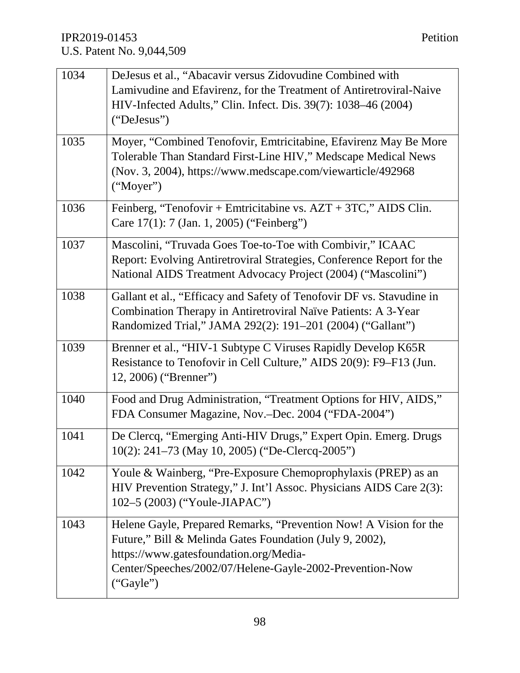| 1034 | DeJesus et al., "Abacavir versus Zidovudine Combined with             |
|------|-----------------------------------------------------------------------|
|      | Lamivudine and Efavirenz, for the Treatment of Antiretroviral-Naive   |
|      | HIV-Infected Adults," Clin. Infect. Dis. 39(7): 1038–46 (2004)        |
|      | ("DeJesus")                                                           |
|      |                                                                       |
| 1035 | Moyer, "Combined Tenofovir, Emtricitabine, Efavirenz May Be More      |
|      | Tolerable Than Standard First-Line HIV," Medscape Medical News        |
|      | (Nov. 3, 2004), https://www.medscape.com/viewarticle/492968           |
|      | ("Moyer")                                                             |
| 1036 | Feinberg, "Tenofovir + Emtricitabine vs. $AZT + 3TC$ ," AIDS Clin.    |
|      | Care 17(1): 7 (Jan. 1, 2005) ("Feinberg")                             |
|      |                                                                       |
| 1037 | Mascolini, "Truvada Goes Toe-to-Toe with Combivir," ICAAC             |
|      | Report: Evolving Antiretroviral Strategies, Conference Report for the |
|      | National AIDS Treatment Advocacy Project (2004) ("Mascolini")         |
| 1038 | Gallant et al., "Efficacy and Safety of Tenofovir DF vs. Stavudine in |
|      | Combination Therapy in Antiretroviral Naïve Patients: A 3-Year        |
|      | Randomized Trial," JAMA 292(2): 191-201 (2004) ("Gallant")            |
|      |                                                                       |
| 1039 | Brenner et al., "HIV-1 Subtype C Viruses Rapidly Develop K65R         |
|      | Resistance to Tenofovir in Cell Culture," AIDS 20(9): F9–F13 (Jun.    |
|      | 12, 2006) ("Brenner")                                                 |
| 1040 | Food and Drug Administration, "Treatment Options for HIV, AIDS,"      |
|      | FDA Consumer Magazine, Nov.-Dec. 2004 ("FDA-2004")                    |
|      |                                                                       |
| 1041 | De Clercq, "Emerging Anti-HIV Drugs," Expert Opin. Emerg. Drugs       |
|      | 10(2): 241–73 (May 10, 2005) ("De-Clercq-2005")                       |
| 1042 | Youle & Wainberg, "Pre-Exposure Chemoprophylaxis (PREP) as an         |
|      | HIV Prevention Strategy," J. Int'l Assoc. Physicians AIDS Care 2(3):  |
|      | 102-5 (2003) ("Youle-JIAPAC")                                         |
|      |                                                                       |
| 1043 | Helene Gayle, Prepared Remarks, "Prevention Now! A Vision for the     |
|      | Future," Bill & Melinda Gates Foundation (July 9, 2002),              |
|      | https://www.gatesfoundation.org/Media-                                |
|      | Center/Speeches/2002/07/Helene-Gayle-2002-Prevention-Now              |
|      | ("Gayle")                                                             |
|      |                                                                       |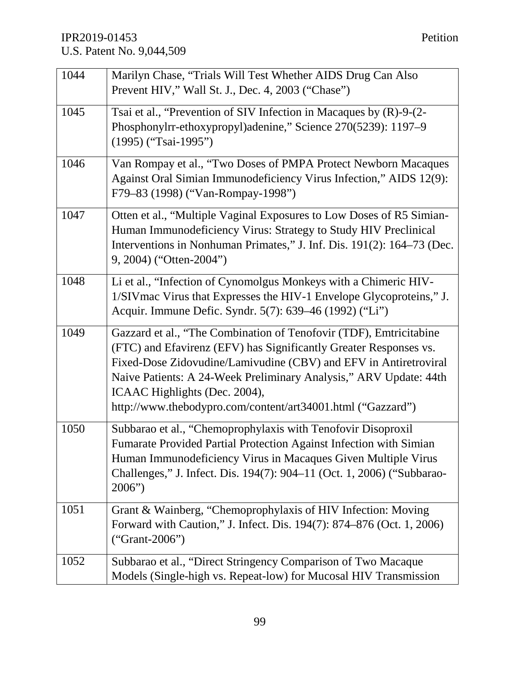| 1044 | Marilyn Chase, "Trials Will Test Whether AIDS Drug Can Also                     |
|------|---------------------------------------------------------------------------------|
|      | Prevent HIV," Wall St. J., Dec. 4, 2003 ("Chase")                               |
| 1045 | Tsai et al., "Prevention of SIV Infection in Macaques by (R)-9-(2-              |
|      | Phosphonylrr-ethoxypropyl)adenine," Science 270(5239): 1197–9                   |
|      | $(1995)$ ("Tsai-1995")                                                          |
| 1046 | Van Rompay et al., "Two Doses of PMPA Protect Newborn Macaques                  |
|      | Against Oral Simian Immunodeficiency Virus Infection," AIDS 12(9):              |
|      | F79-83 (1998) ("Van-Rompay-1998")                                               |
| 1047 | Otten et al., "Multiple Vaginal Exposures to Low Doses of R5 Simian-            |
|      | Human Immunodeficiency Virus: Strategy to Study HIV Preclinical                 |
|      | Interventions in Nonhuman Primates," J. Inf. Dis. 191(2): 164–73 (Dec.          |
|      | 9, 2004) ("Otten-2004")                                                         |
| 1048 | Li et al., "Infection of Cynomolgus Monkeys with a Chimeric HIV-                |
|      | 1/SIV mac Virus that Expresses the HIV-1 Envelope Glycoproteins," J.            |
|      | Acquir. Immune Defic. Syndr. 5(7): 639–46 (1992) ("Li")                         |
| 1049 | Gazzard et al., "The Combination of Tenofovir (TDF), Emtricitabine              |
|      | (FTC) and Efavirenz (EFV) has Significantly Greater Responses vs.               |
|      | Fixed-Dose Zidovudine/Lamivudine (CBV) and EFV in Antiretroviral                |
|      | Naive Patients: A 24-Week Preliminary Analysis," ARV Update: 44th               |
|      | ICAAC Highlights (Dec. 2004),                                                   |
|      | http://www.thebodypro.com/content/art34001.html ("Gazzard")                     |
| 1050 | Subbarao et al., "Chemoprophylaxis with Tenofovir Disoproxil                    |
|      | Fumarate Provided Partial Protection Against Infection with Simian              |
|      | Human Immunodeficiency Virus in Macaques Given Multiple Virus                   |
|      | Challenges," J. Infect. Dis. 194(7): 904–11 (Oct. 1, 2006) ("Subbarao-<br>2006" |
|      |                                                                                 |
| 1051 | Grant & Wainberg, "Chemoprophylaxis of HIV Infection: Moving                    |
|      | Forward with Caution," J. Infect. Dis. 194(7): 874–876 (Oct. 1, 2006)           |
|      | $("Grant-2006")$                                                                |
| 1052 | Subbarao et al., "Direct Stringency Comparison of Two Macaque                   |
|      | Models (Single-high vs. Repeat-low) for Mucosal HIV Transmission                |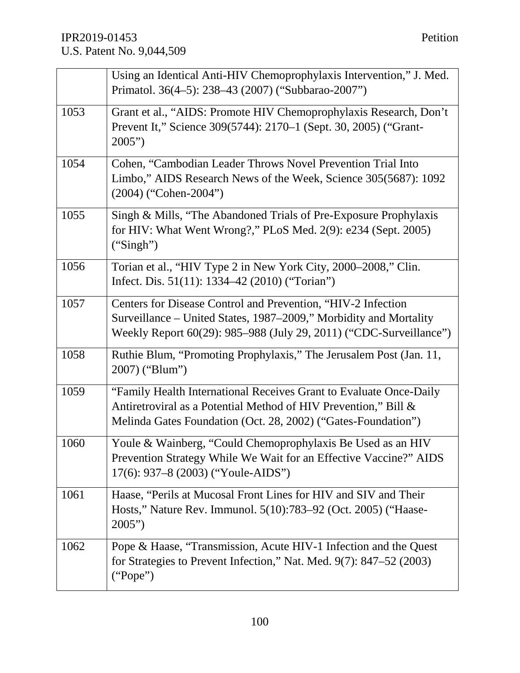|      | Using an Identical Anti-HIV Chemoprophylaxis Intervention," J. Med.<br>Primatol. 36(4–5): 238–43 (2007) ("Subbarao-2007")                                                                               |
|------|---------------------------------------------------------------------------------------------------------------------------------------------------------------------------------------------------------|
| 1053 | Grant et al., "AIDS: Promote HIV Chemoprophylaxis Research, Don't<br>Prevent It," Science 309(5744): 2170–1 (Sept. 30, 2005) ("Grant-<br>2005"                                                          |
| 1054 | Cohen, "Cambodian Leader Throws Novel Prevention Trial Into<br>Limbo," AIDS Research News of the Week, Science 305(5687): 1092<br>$(2004)$ ("Cohen-2004")                                               |
| 1055 | Singh & Mills, "The Abandoned Trials of Pre-Exposure Prophylaxis"<br>for HIV: What Went Wrong?," PLoS Med. 2(9): e234 (Sept. 2005)<br>("Singh")                                                         |
| 1056 | Torian et al., "HIV Type 2 in New York City, 2000-2008," Clin.<br>Infect. Dis. 51(11): 1334–42 (2010) ("Torian")                                                                                        |
| 1057 | Centers for Disease Control and Prevention, "HIV-2 Infection<br>Surveillance – United States, 1987–2009," Morbidity and Mortality<br>Weekly Report 60(29): 985–988 (July 29, 2011) ("CDC-Surveillance") |
| 1058 | Ruthie Blum, "Promoting Prophylaxis," The Jerusalem Post (Jan. 11,<br>2007) ("Blum")                                                                                                                    |
| 1059 | "Family Health International Receives Grant to Evaluate Once-Daily<br>Antiretroviral as a Potential Method of HIV Prevention," Bill &<br>Melinda Gates Foundation (Oct. 28, 2002) ("Gates-Foundation")  |
| 1060 | Youle & Wainberg, "Could Chemoprophylaxis Be Used as an HIV<br>Prevention Strategy While We Wait for an Effective Vaccine?" AIDS<br>17(6): 937–8 (2003) ("Youle-AIDS")                                  |
| 1061 | Haase, "Perils at Mucosal Front Lines for HIV and SIV and Their<br>Hosts," Nature Rev. Immunol. 5(10):783–92 (Oct. 2005) ("Haase-<br>2005"                                                              |
| 1062 | Pope & Haase, "Transmission, Acute HIV-1 Infection and the Quest<br>for Strategies to Prevent Infection," Nat. Med. 9(7): 847-52 (2003)<br>("Pope")                                                     |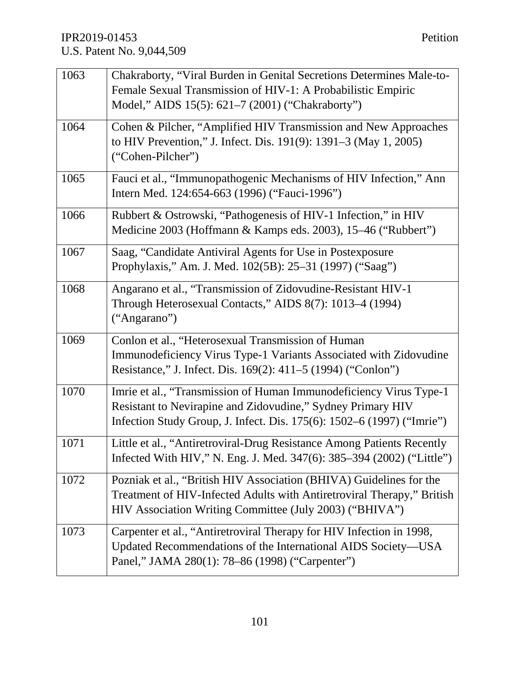| 1063 | Chakraborty, "Viral Burden in Genital Secretions Determines Male-to-<br>Female Sexual Transmission of HIV-1: A Probabilistic Empiric<br>Model," AIDS 15(5): 621–7 (2001) ("Chakraborty")                    |
|------|-------------------------------------------------------------------------------------------------------------------------------------------------------------------------------------------------------------|
| 1064 | Cohen & Pilcher, "Amplified HIV Transmission and New Approaches<br>to HIV Prevention," J. Infect. Dis. 191(9): 1391–3 (May 1, 2005)<br>("Cohen-Pilcher")                                                    |
| 1065 | Fauci et al., "Immunopathogenic Mechanisms of HIV Infection," Ann<br>Intern Med. 124:654-663 (1996) ("Fauci-1996")                                                                                          |
| 1066 | Rubbert & Ostrowski, "Pathogenesis of HIV-1 Infection," in HIV<br>Medicine 2003 (Hoffmann & Kamps eds. 2003), 15-46 ("Rubbert")                                                                             |
| 1067 | Saag, "Candidate Antiviral Agents for Use in Postexposure<br>Prophylaxis," Am. J. Med. 102(5B): 25–31 (1997) ("Saag")                                                                                       |
| 1068 | Angarano et al., "Transmission of Zidovudine-Resistant HIV-1<br>Through Heterosexual Contacts," AIDS 8(7): 1013–4 (1994)<br>("Angarano")                                                                    |
| 1069 | Conlon et al., "Heterosexual Transmission of Human<br>Immunodeficiency Virus Type-1 Variants Associated with Zidovudine<br>Resistance," J. Infect. Dis. 169(2): 411–5 (1994) ("Conlon")                     |
| 1070 | Imrie et al., "Transmission of Human Immunodeficiency Virus Type-1<br>Resistant to Nevirapine and Zidovudine," Sydney Primary HIV<br>Infection Study Group, J. Infect. Dis. 175(6): 1502–6 (1997) ("Imrie") |
| 1071 | Little et al., "Antiretroviral-Drug Resistance Among Patients Recently<br>Infected With HIV," N. Eng. J. Med. 347(6): 385–394 (2002) ("Little")                                                             |
| 1072 | Pozniak et al., "British HIV Association (BHIVA) Guidelines for the<br>Treatment of HIV-Infected Adults with Antiretroviral Therapy," British<br>HIV Association Writing Committee (July 2003) ("BHIVA")    |
| 1073 | Carpenter et al., "Antiretroviral Therapy for HIV Infection in 1998,<br>Updated Recommendations of the International AIDS Society-USA<br>Panel," JAMA 280(1): 78–86 (1998) ("Carpenter")                    |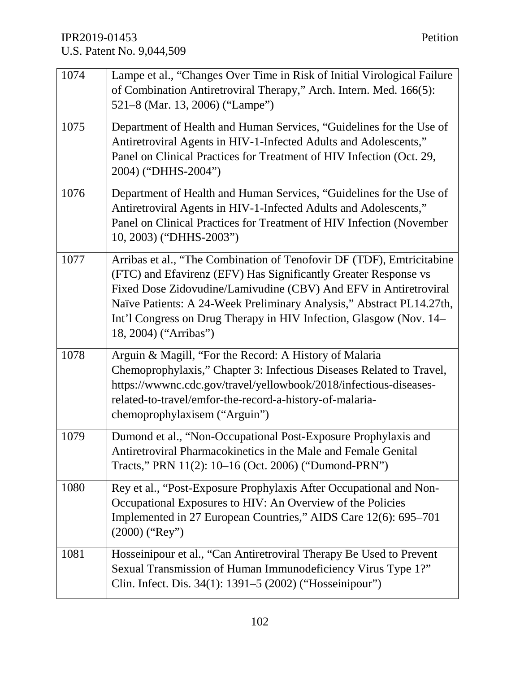| 1074 | Lampe et al., "Changes Over Time in Risk of Initial Virological Failure<br>of Combination Antiretroviral Therapy," Arch. Intern. Med. 166(5):<br>521–8 (Mar. 13, 2006) ("Lampe")                                                                                                                                                                                                    |
|------|-------------------------------------------------------------------------------------------------------------------------------------------------------------------------------------------------------------------------------------------------------------------------------------------------------------------------------------------------------------------------------------|
| 1075 | Department of Health and Human Services, "Guidelines for the Use of<br>Antiretroviral Agents in HIV-1-Infected Adults and Adolescents,"<br>Panel on Clinical Practices for Treatment of HIV Infection (Oct. 29,<br>2004) ("DHHS-2004")                                                                                                                                              |
| 1076 | Department of Health and Human Services, "Guidelines for the Use of<br>Antiretroviral Agents in HIV-1-Infected Adults and Adolescents,"<br>Panel on Clinical Practices for Treatment of HIV Infection (November<br>10, 2003) ("DHHS-2003")                                                                                                                                          |
| 1077 | Arribas et al., "The Combination of Tenofovir DF (TDF), Emtricitabine<br>(FTC) and Efavirenz (EFV) Has Significantly Greater Response vs<br>Fixed Dose Zidovudine/Lamivudine (CBV) And EFV in Antiretroviral<br>Naïve Patients: A 24-Week Preliminary Analysis," Abstract PL14.27th,<br>Int'l Congress on Drug Therapy in HIV Infection, Glasgow (Nov. 14–<br>18, 2004) ("Arribas") |
| 1078 | Arguin & Magill, "For the Record: A History of Malaria<br>Chemoprophylaxis," Chapter 3: Infectious Diseases Related to Travel,<br>https://wwwnc.cdc.gov/travel/yellowbook/2018/infectious-diseases-<br>related-to-travel/emfor-the-record-a-history-of-malaria-<br>chemoprophylaxisem ("Arguin")                                                                                    |
| 1079 | Dumond et al., "Non-Occupational Post-Exposure Prophylaxis and<br>Antiretroviral Pharmacokinetics in the Male and Female Genital<br>Tracts," PRN 11(2): 10–16 (Oct. 2006) ("Dumond-PRN")                                                                                                                                                                                            |
| 1080 | Rey et al., "Post-Exposure Prophylaxis After Occupational and Non-<br>Occupational Exposures to HIV: An Overview of the Policies<br>Implemented in 27 European Countries," AIDS Care 12(6): 695–701<br>$(2000)$ ("Rey")                                                                                                                                                             |
| 1081 | Hosseinipour et al., "Can Antiretroviral Therapy Be Used to Prevent<br>Sexual Transmission of Human Immunodeficiency Virus Type 1?"<br>Clin. Infect. Dis. 34(1): 1391–5 (2002) ("Hosseinipour")                                                                                                                                                                                     |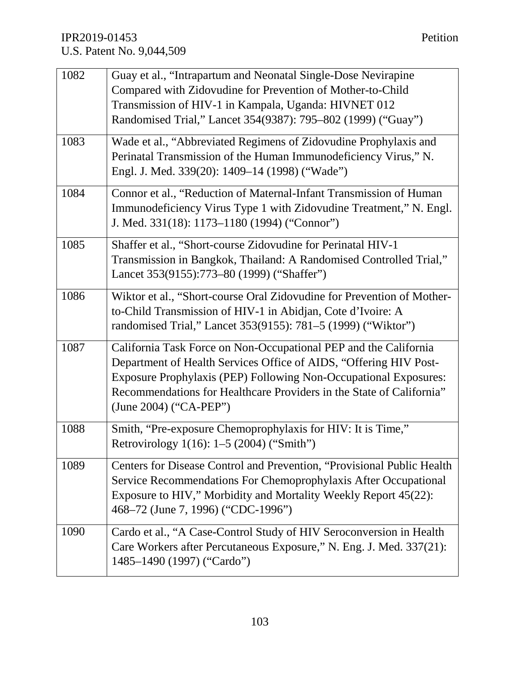| 1082 | Guay et al., "Intrapartum and Neonatal Single-Dose Nevirapine          |
|------|------------------------------------------------------------------------|
|      | Compared with Zidovudine for Prevention of Mother-to-Child             |
|      | Transmission of HIV-1 in Kampala, Uganda: HIVNET 012                   |
|      | Randomised Trial," Lancet 354(9387): 795–802 (1999) ("Guay")           |
| 1083 | Wade et al., "Abbreviated Regimens of Zidovudine Prophylaxis and       |
|      | Perinatal Transmission of the Human Immunodeficiency Virus," N.        |
|      | Engl. J. Med. 339(20): 1409-14 (1998) ("Wade")                         |
| 1084 | Connor et al., "Reduction of Maternal-Infant Transmission of Human     |
|      | Immunodeficiency Virus Type 1 with Zidovudine Treatment," N. Engl.     |
|      | J. Med. 331(18): 1173–1180 (1994) ("Connor")                           |
| 1085 | Shaffer et al., "Short-course Zidovudine for Perinatal HIV-1           |
|      | Transmission in Bangkok, Thailand: A Randomised Controlled Trial,"     |
|      | Lancet 353(9155):773-80 (1999) ("Shaffer")                             |
| 1086 | Wiktor et al., "Short-course Oral Zidovudine for Prevention of Mother- |
|      | to-Child Transmission of HIV-1 in Abidjan, Cote d'Ivoire: A            |
|      | randomised Trial," Lancet 353(9155): 781–5 (1999) ("Wiktor")           |
| 1087 | California Task Force on Non-Occupational PEP and the California       |
|      | Department of Health Services Office of AIDS, "Offering HIV Post-      |
|      | Exposure Prophylaxis (PEP) Following Non-Occupational Exposures:       |
|      | Recommendations for Healthcare Providers in the State of California"   |
|      | (June 2004) ("CA-PEP")                                                 |
| 1088 | Smith, "Pre-exposure Chemoprophylaxis for HIV: It is Time,"            |
|      | Retrovirology 1(16): 1-5 (2004) ("Smith")                              |
| 1089 | Centers for Disease Control and Prevention, "Provisional Public Health |
|      | Service Recommendations For Chemoprophylaxis After Occupational        |
|      | Exposure to HIV," Morbidity and Mortality Weekly Report 45(22):        |
|      | 468–72 (June 7, 1996) ("CDC-1996")                                     |
| 1090 | Cardo et al., "A Case-Control Study of HIV Seroconversion in Health    |
|      | Care Workers after Percutaneous Exposure," N. Eng. J. Med. 337(21):    |
|      | 1485-1490 (1997) ("Cardo")                                             |
|      |                                                                        |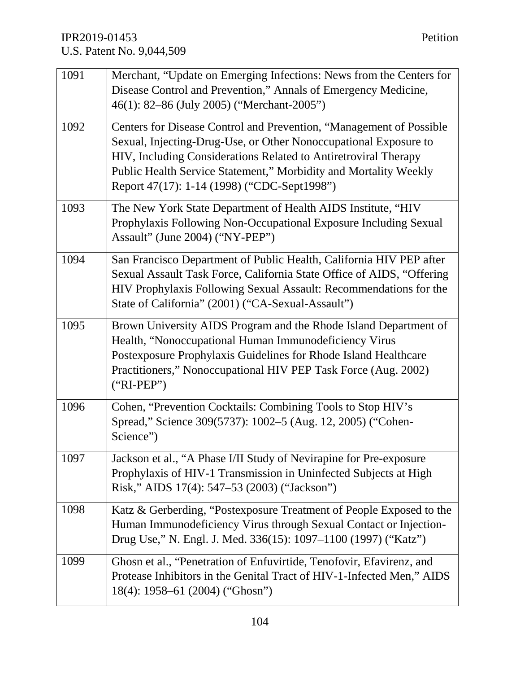| 1091 | Merchant, "Update on Emerging Infections: News from the Centers for<br>Disease Control and Prevention," Annals of Emergency Medicine,<br>46(1): 82–86 (July 2005) ("Merchant-2005")                                                                                                                                           |
|------|-------------------------------------------------------------------------------------------------------------------------------------------------------------------------------------------------------------------------------------------------------------------------------------------------------------------------------|
| 1092 | Centers for Disease Control and Prevention, "Management of Possible<br>Sexual, Injecting-Drug-Use, or Other Nonoccupational Exposure to<br>HIV, Including Considerations Related to Antiretroviral Therapy<br>Public Health Service Statement," Morbidity and Mortality Weekly<br>Report 47(17): 1-14 (1998) ("CDC-Sept1998") |
| 1093 | The New York State Department of Health AIDS Institute, "HIV<br>Prophylaxis Following Non-Occupational Exposure Including Sexual<br>Assault" (June 2004) ("NY-PEP")                                                                                                                                                           |
| 1094 | San Francisco Department of Public Health, California HIV PEP after<br>Sexual Assault Task Force, California State Office of AIDS, "Offering<br>HIV Prophylaxis Following Sexual Assault: Recommendations for the<br>State of California" (2001) ("CA-Sexual-Assault")                                                        |
| 1095 | Brown University AIDS Program and the Rhode Island Department of<br>Health, "Nonoccupational Human Immunodeficiency Virus<br>Postexposure Prophylaxis Guidelines for Rhode Island Healthcare<br>Practitioners," Nonoccupational HIV PEP Task Force (Aug. 2002)<br>$("RI-PEP")$                                                |
| 1096 | Cohen, "Prevention Cocktails: Combining Tools to Stop HIV's<br>Spread," Science 309(5737): 1002–5 (Aug. 12, 2005) ("Cohen-<br>Science")                                                                                                                                                                                       |
| 1097 | Jackson et al., "A Phase I/II Study of Nevirapine for Pre-exposure<br>Prophylaxis of HIV-1 Transmission in Uninfected Subjects at High<br>Risk," AIDS 17(4): 547–53 (2003) ("Jackson")                                                                                                                                        |
| 1098 | Katz & Gerberding, "Postexposure Treatment of People Exposed to the<br>Human Immunodeficiency Virus through Sexual Contact or Injection-<br>Drug Use," N. Engl. J. Med. 336(15): 1097–1100 (1997) ("Katz")                                                                                                                    |
| 1099 | Ghosn et al., "Penetration of Enfuvirtide, Tenofovir, Efavirenz, and<br>Protease Inhibitors in the Genital Tract of HIV-1-Infected Men," AIDS<br>18(4): 1958–61 (2004) ("Ghosn")                                                                                                                                              |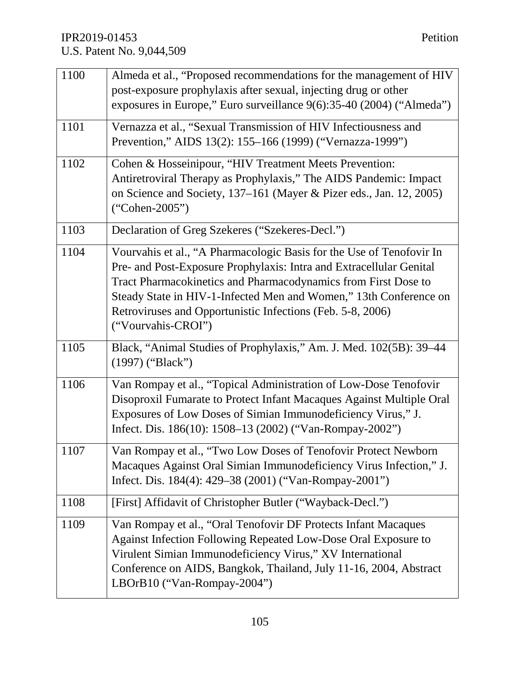| 1100 | Almeda et al., "Proposed recommendations for the management of HIV<br>post-exposure prophylaxis after sexual, injecting drug or other<br>exposures in Europe," Euro surveillance 9(6):35-40 (2004) ("Almeda")                                                                                                                                                          |
|------|------------------------------------------------------------------------------------------------------------------------------------------------------------------------------------------------------------------------------------------------------------------------------------------------------------------------------------------------------------------------|
| 1101 | Vernazza et al., "Sexual Transmission of HIV Infectiousness and<br>Prevention," AIDS 13(2): 155-166 (1999) ("Vernazza-1999")                                                                                                                                                                                                                                           |
| 1102 | Cohen & Hosseinipour, "HIV Treatment Meets Prevention:<br>Antiretroviral Therapy as Prophylaxis," The AIDS Pandemic: Impact<br>on Science and Society, 137–161 (Mayer & Pizer eds., Jan. 12, 2005)<br>$("Cohen-2005")$                                                                                                                                                 |
| 1103 | Declaration of Greg Szekeres ("Szekeres-Decl.")                                                                                                                                                                                                                                                                                                                        |
| 1104 | Vourvahis et al., "A Pharmacologic Basis for the Use of Tenofovir In<br>Pre- and Post-Exposure Prophylaxis: Intra and Extracellular Genital<br>Tract Pharmacokinetics and Pharmacodynamics from First Dose to<br>Steady State in HIV-1-Infected Men and Women," 13th Conference on<br>Retroviruses and Opportunistic Infections (Feb. 5-8, 2006)<br>("Vourvahis-CROI") |
| 1105 | Black, "Animal Studies of Prophylaxis," Am. J. Med. 102(5B): 39–44<br>(1997) ("Black")                                                                                                                                                                                                                                                                                 |
| 1106 | Van Rompay et al., "Topical Administration of Low-Dose Tenofovir<br>Disoproxil Fumarate to Protect Infant Macaques Against Multiple Oral<br>Exposures of Low Doses of Simian Immunodeficiency Virus," J.<br>Infect. Dis. 186(10): 1508-13 (2002) ("Van-Rompay-2002")                                                                                                   |
| 1107 | Van Rompay et al., "Two Low Doses of Tenofovir Protect Newborn<br>Macaques Against Oral Simian Immunodeficiency Virus Infection," J.<br>Infect. Dis. 184(4): 429–38 (2001) ("Van-Rompay-2001")                                                                                                                                                                         |
| 1108 | [First] Affidavit of Christopher Butler ("Wayback-Decl.")                                                                                                                                                                                                                                                                                                              |
| 1109 | Van Rompay et al., "Oral Tenofovir DF Protects Infant Macaques<br>Against Infection Following Repeated Low-Dose Oral Exposure to<br>Virulent Simian Immunodeficiency Virus," XV International<br>Conference on AIDS, Bangkok, Thailand, July 11-16, 2004, Abstract<br>LBOrB10 ("Van-Rompay-2004")                                                                      |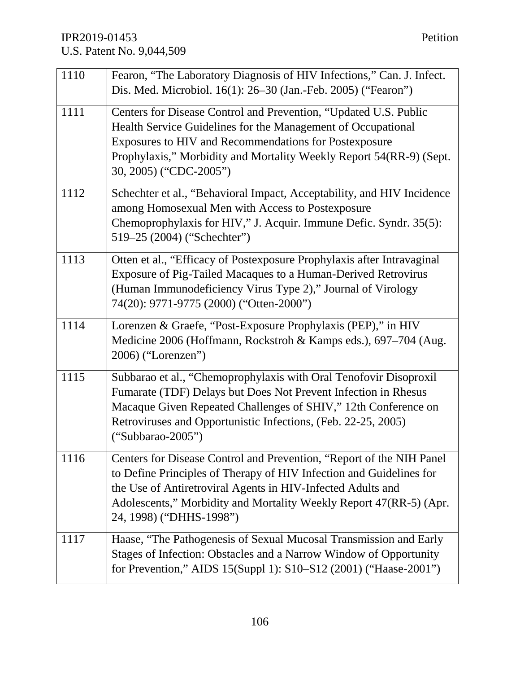| 1110 | Fearon, "The Laboratory Diagnosis of HIV Infections," Can. J. Infect.<br>Dis. Med. Microbiol. 16(1): 26-30 (Jan.-Feb. 2005) ("Fearon")                                                                                                                                                                       |
|------|--------------------------------------------------------------------------------------------------------------------------------------------------------------------------------------------------------------------------------------------------------------------------------------------------------------|
| 1111 | Centers for Disease Control and Prevention, "Updated U.S. Public<br>Health Service Guidelines for the Management of Occupational<br>Exposures to HIV and Recommendations for Postexposure<br>Prophylaxis," Morbidity and Mortality Weekly Report 54(RR-9) (Sept.<br>30, 2005) ("CDC-2005")                   |
| 1112 | Schechter et al., "Behavioral Impact, Acceptability, and HIV Incidence<br>among Homosexual Men with Access to Postexposure<br>Chemoprophylaxis for HIV," J. Acquir. Immune Defic. Syndr. 35(5):<br>519–25 (2004) ("Schechter")                                                                               |
| 1113 | Otten et al., "Efficacy of Postexposure Prophylaxis after Intravaginal<br>Exposure of Pig-Tailed Macaques to a Human-Derived Retrovirus<br>(Human Immunodeficiency Virus Type 2)," Journal of Virology<br>74(20): 9771-9775 (2000) ("Otten-2000")                                                            |
| 1114 | Lorenzen & Graefe, "Post-Exposure Prophylaxis (PEP)," in HIV<br>Medicine 2006 (Hoffmann, Rockstroh & Kamps eds.), 697–704 (Aug.<br>2006) ("Lorenzen")                                                                                                                                                        |
| 1115 | Subbarao et al., "Chemoprophylaxis with Oral Tenofovir Disoproxil<br>Fumarate (TDF) Delays but Does Not Prevent Infection in Rhesus<br>Macaque Given Repeated Challenges of SHIV," 12th Conference on<br>Retroviruses and Opportunistic Infections, (Feb. 22-25, 2005)<br>$("Subbarao-2005")$                |
| 1116 | Centers for Disease Control and Prevention, "Report of the NIH Panel"<br>to Define Principles of Therapy of HIV Infection and Guidelines for<br>the Use of Antiretroviral Agents in HIV-Infected Adults and<br>Adolescents," Morbidity and Mortality Weekly Report 47(RR-5) (Apr.<br>24, 1998) ("DHHS-1998") |
| 1117 | Haase, "The Pathogenesis of Sexual Mucosal Transmission and Early<br>Stages of Infection: Obstacles and a Narrow Window of Opportunity<br>for Prevention," AIDS 15(Suppl 1): S10-S12 (2001) ("Haase-2001")                                                                                                   |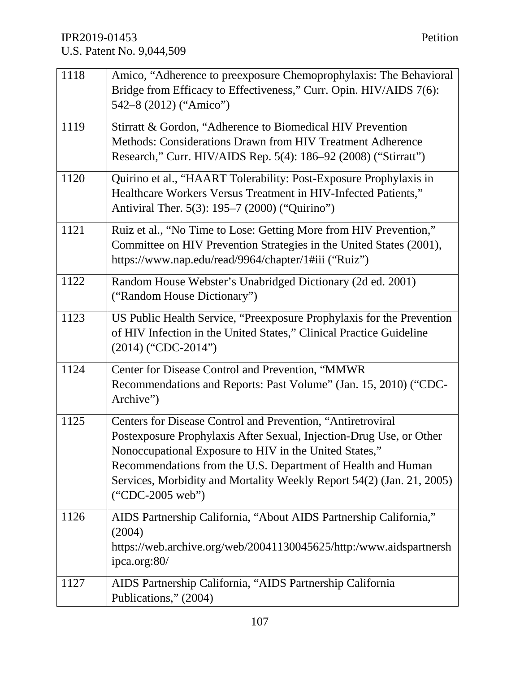| 1118 | Amico, "Adherence to preexposure Chemoprophylaxis: The Behavioral<br>Bridge from Efficacy to Effectiveness," Curr. Opin. HIV/AIDS 7(6):<br>542-8 (2012) ("Amico")                                                                                                                                                                                           |
|------|-------------------------------------------------------------------------------------------------------------------------------------------------------------------------------------------------------------------------------------------------------------------------------------------------------------------------------------------------------------|
| 1119 | Stirratt & Gordon, "Adherence to Biomedical HIV Prevention<br>Methods: Considerations Drawn from HIV Treatment Adherence<br>Research," Curr. HIV/AIDS Rep. 5(4): 186–92 (2008) ("Stirratt")                                                                                                                                                                 |
| 1120 | Quirino et al., "HAART Tolerability: Post-Exposure Prophylaxis in<br>Healthcare Workers Versus Treatment in HIV-Infected Patients,"<br>Antiviral Ther. 5(3): 195–7 (2000) ("Quirino")                                                                                                                                                                       |
| 1121 | Ruiz et al., "No Time to Lose: Getting More from HIV Prevention,"<br>Committee on HIV Prevention Strategies in the United States (2001),<br>https://www.nap.edu/read/9964/chapter/1#iii ("Ruiz")                                                                                                                                                            |
| 1122 | Random House Webster's Unabridged Dictionary (2d ed. 2001)<br>("Random House Dictionary")                                                                                                                                                                                                                                                                   |
| 1123 | US Public Health Service, "Preexposure Prophylaxis for the Prevention<br>of HIV Infection in the United States," Clinical Practice Guideline<br>$(2014)$ ("CDC-2014")                                                                                                                                                                                       |
| 1124 | Center for Disease Control and Prevention, "MMWR<br>Recommendations and Reports: Past Volume" (Jan. 15, 2010) ("CDC-<br>Archive")                                                                                                                                                                                                                           |
| 1125 | Centers for Disease Control and Prevention, "Antiretroviral<br>Postexposure Prophylaxis After Sexual, Injection-Drug Use, or Other<br>Nonoccupational Exposure to HIV in the United States,"<br>Recommendations from the U.S. Department of Health and Human<br>Services, Morbidity and Mortality Weekly Report 54(2) (Jan. 21, 2005)<br>$("CDC-2005 web")$ |
| 1126 | AIDS Partnership California, "About AIDS Partnership California,"<br>(2004)<br>https://web.archive.org/web/20041130045625/http:/www.aidspartnersh<br>ipca.org:80/                                                                                                                                                                                           |
| 1127 | AIDS Partnership California, "AIDS Partnership California<br>Publications," (2004)                                                                                                                                                                                                                                                                          |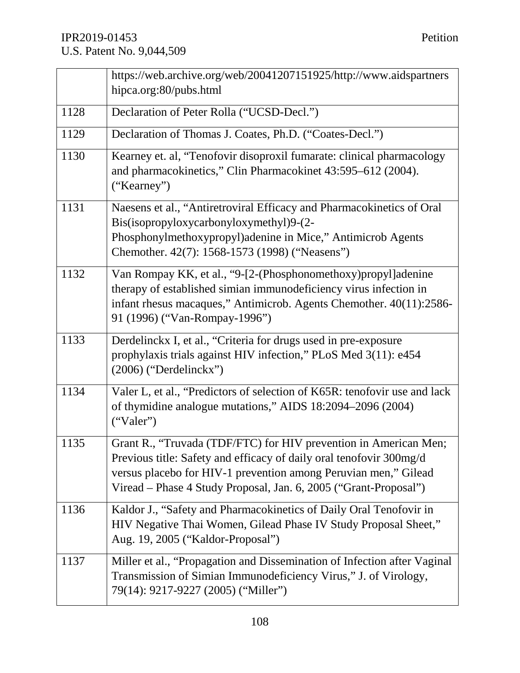|      | https://web.archive.org/web/20041207151925/http://www.aidspartners<br>hipca.org:80/pubs.html                                                                                                                                                                                   |
|------|--------------------------------------------------------------------------------------------------------------------------------------------------------------------------------------------------------------------------------------------------------------------------------|
| 1128 |                                                                                                                                                                                                                                                                                |
|      | Declaration of Peter Rolla ("UCSD-Decl.")                                                                                                                                                                                                                                      |
| 1129 | Declaration of Thomas J. Coates, Ph.D. ("Coates-Decl.")                                                                                                                                                                                                                        |
| 1130 | Kearney et. al, "Tenofovir disoproxil fumarate: clinical pharmacology<br>and pharmacokinetics," Clin Pharmacokinet 43:595-612 (2004).<br>("Kearney")                                                                                                                           |
| 1131 | Naesens et al., "Antiretroviral Efficacy and Pharmacokinetics of Oral<br>Bis(isopropyloxycarbonyloxymethyl)9-(2-<br>Phosphonylmethoxypropyl)adenine in Mice," Antimicrob Agents<br>Chemother. 42(7): 1568-1573 (1998) ("Neasens")                                              |
| 1132 | Van Rompay KK, et al., "9-[2-(Phosphonomethoxy) propyl] adenine<br>therapy of established simian immunodeficiency virus infection in<br>infant rhesus macaques," Antimicrob. Agents Chemother. 40(11):2586-<br>91 (1996) ("Van-Rompay-1996")                                   |
| 1133 | Derdelinckx I, et al., "Criteria for drugs used in pre-exposure<br>prophylaxis trials against HIV infection," PLoS Med 3(11): e454<br>$(2006)$ ("Derdelinckx")                                                                                                                 |
| 1134 | Valer L, et al., "Predictors of selection of K65R: tenofovir use and lack<br>of thymidine analogue mutations," AIDS 18:2094–2096 (2004)<br>("Valer")                                                                                                                           |
| 1135 | Grant R., "Truvada (TDF/FTC) for HIV prevention in American Men;<br>Previous title: Safety and efficacy of daily oral tenofovir 300mg/d<br>versus placebo for HIV-1 prevention among Peruvian men," Gilead<br>Viread - Phase 4 Study Proposal, Jan. 6, 2005 ("Grant-Proposal") |
| 1136 | Kaldor J., "Safety and Pharmacokinetics of Daily Oral Tenofovir in<br>HIV Negative Thai Women, Gilead Phase IV Study Proposal Sheet,"<br>Aug. 19, 2005 ("Kaldor-Proposal")                                                                                                     |
| 1137 | Miller et al., "Propagation and Dissemination of Infection after Vaginal<br>Transmission of Simian Immunodeficiency Virus," J. of Virology,<br>79(14): 9217-9227 (2005) ("Miller")                                                                                             |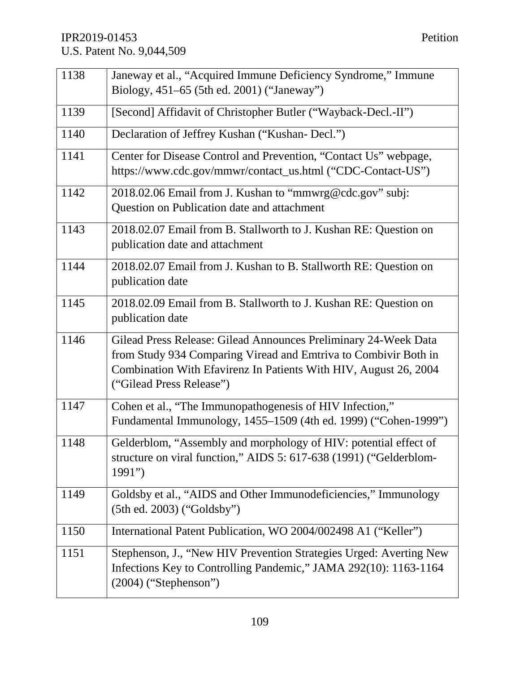| 1138 | Janeway et al., "Acquired Immune Deficiency Syndrome," Immune                                                                                                                                                                      |
|------|------------------------------------------------------------------------------------------------------------------------------------------------------------------------------------------------------------------------------------|
|      | Biology, 451–65 (5th ed. 2001) ("Janeway")                                                                                                                                                                                         |
| 1139 | [Second] Affidavit of Christopher Butler ("Wayback-Decl.-II")                                                                                                                                                                      |
| 1140 | Declaration of Jeffrey Kushan ("Kushan- Decl.")                                                                                                                                                                                    |
| 1141 | Center for Disease Control and Prevention, "Contact Us" webpage,<br>https://www.cdc.gov/mmwr/contact_us.html ("CDC-Contact-US")                                                                                                    |
| 1142 | 2018.02.06 Email from J. Kushan to "mmwrg@cdc.gov" subj:<br>Question on Publication date and attachment                                                                                                                            |
| 1143 | 2018.02.07 Email from B. Stallworth to J. Kushan RE: Question on<br>publication date and attachment                                                                                                                                |
| 1144 | 2018.02.07 Email from J. Kushan to B. Stallworth RE: Question on<br>publication date                                                                                                                                               |
| 1145 | 2018.02.09 Email from B. Stallworth to J. Kushan RE: Question on<br>publication date                                                                                                                                               |
| 1146 | Gilead Press Release: Gilead Announces Preliminary 24-Week Data<br>from Study 934 Comparing Viread and Emtriva to Combivir Both in<br>Combination With Efavirenz In Patients With HIV, August 26, 2004<br>("Gilead Press Release") |
| 1147 | Cohen et al., "The Immunopathogenesis of HIV Infection,"<br>Fundamental Immunology, 1455-1509 (4th ed. 1999) ("Cohen-1999")                                                                                                        |
| 1148 | Gelderblom, "Assembly and morphology of HIV: potential effect of<br>structure on viral function," AIDS 5: 617-638 (1991) ("Gelderblom-<br>1991"                                                                                    |
| 1149 | Goldsby et al., "AIDS and Other Immunodeficiencies," Immunology<br>$(5th$ ed. 2003) ("Goldsby")                                                                                                                                    |
| 1150 | International Patent Publication, WO 2004/002498 A1 ("Keller")                                                                                                                                                                     |
| 1151 | Stephenson, J., "New HIV Prevention Strategies Urged: Averting New<br>Infections Key to Controlling Pandemic," JAMA 292(10): 1163-1164<br>$(2004)$ ("Stephenson")                                                                  |